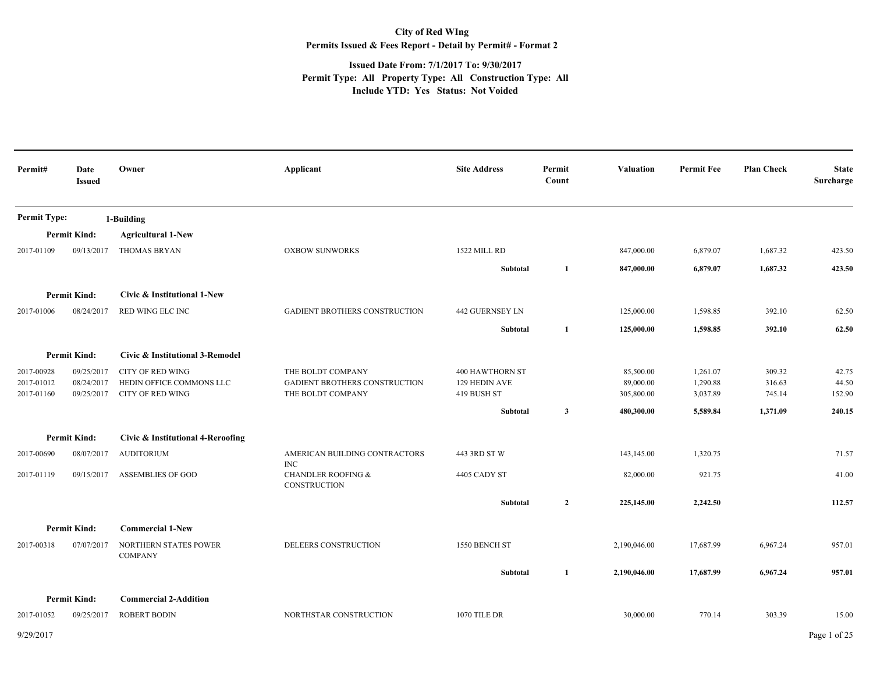## **City of Red WIng Permits Issued & Fees Report - Detail by Permit# - Format 2**

## **Issued Date From: 7/1/2017 To: 9/30/2017 Permit Type: All Property Type: All Construction Type: All Include YTD: Yes Status: Not Voided**

| Permit#                  | Date<br><b>Issued</b>    | Owner                                               | Applicant                                            | <b>Site Address</b>          | Permit<br>Count | <b>Valuation</b>        | <b>Permit Fee</b>    | <b>Plan Check</b> | <b>State</b><br>Surcharge |
|--------------------------|--------------------------|-----------------------------------------------------|------------------------------------------------------|------------------------------|-----------------|-------------------------|----------------------|-------------------|---------------------------|
| <b>Permit Type:</b>      |                          | 1-Building                                          |                                                      |                              |                 |                         |                      |                   |                           |
|                          | <b>Permit Kind:</b>      | <b>Agricultural 1-New</b>                           |                                                      |                              |                 |                         |                      |                   |                           |
| 2017-01109               | 09/13/2017               | <b>THOMAS BRYAN</b>                                 | <b>OXBOW SUNWORKS</b>                                | 1522 MILL RD                 |                 | 847,000.00              | 6,879.07             | 1,687.32          | 423.50                    |
|                          |                          |                                                     |                                                      | Subtotal                     | 1               | 847,000.00              | 6,879.07             | 1,687.32          | 423.50                    |
|                          | <b>Permit Kind:</b>      | Civic & Institutional 1-New                         |                                                      |                              |                 |                         |                      |                   |                           |
| 2017-01006               | 08/24/2017               | RED WING ELC INC                                    | <b>GADIENT BROTHERS CONSTRUCTION</b>                 | 442 GUERNSEY LN              |                 | 125,000.00              | 1,598.85             | 392.10            | 62.50                     |
|                          |                          |                                                     |                                                      | <b>Subtotal</b>              | 1               | 125,000.00              | 1,598.85             | 392.10            | 62.50                     |
|                          | <b>Permit Kind:</b>      | Civic & Institutional 3-Remodel                     |                                                      |                              |                 |                         |                      |                   |                           |
| 2017-00928               | 09/25/2017               | <b>CITY OF RED WING</b>                             | THE BOLDT COMPANY                                    | <b>400 HAWTHORN ST</b>       |                 | 85,500.00               | 1,261.07             | 309.32            | 42.75                     |
| 2017-01012<br>2017-01160 | 08/24/2017<br>09/25/2017 | HEDIN OFFICE COMMONS LLC<br><b>CITY OF RED WING</b> | GADIENT BROTHERS CONSTRUCTION<br>THE BOLDT COMPANY   | 129 HEDIN AVE<br>419 BUSH ST |                 | 89,000.00<br>305,800.00 | 1,290.88<br>3,037.89 | 316.63<br>745.14  | 44.50<br>152.90           |
|                          |                          |                                                     |                                                      | Subtotal                     | $\mathbf{3}$    | 480,300.00              | 5,589.84             | 1,371.09          | 240.15                    |
|                          | <b>Permit Kind:</b>      | Civic & Institutional 4-Reroofing                   |                                                      |                              |                 |                         |                      |                   |                           |
| 2017-00690               | 08/07/2017               | <b>AUDITORIUM</b>                                   | AMERICAN BUILDING CONTRACTORS<br>INC                 | 443 3RD ST W                 |                 | 143,145.00              | 1,320.75             |                   | 71.57                     |
| 2017-01119               | 09/15/2017               | <b>ASSEMBLIES OF GOD</b>                            | <b>CHANDLER ROOFING &amp;</b><br><b>CONSTRUCTION</b> | 4405 CADY ST                 |                 | 82,000.00               | 921.75               |                   | 41.00                     |
|                          |                          |                                                     |                                                      | Subtotal                     | $\mathbf{2}$    | 225,145.00              | 2,242.50             |                   | 112.57                    |
|                          | <b>Permit Kind:</b>      | <b>Commercial 1-New</b>                             |                                                      |                              |                 |                         |                      |                   |                           |
| 2017-00318               | 07/07/2017               | NORTHERN STATES POWER<br><b>COMPANY</b>             | DELEERS CONSTRUCTION                                 | 1550 BENCH ST                |                 | 2,190,046.00            | 17,687.99            | 6,967.24          | 957.01                    |
|                          |                          |                                                     |                                                      | Subtotal                     | 1               | 2,190,046.00            | 17,687.99            | 6,967.24          | 957.01                    |
|                          | <b>Permit Kind:</b>      | <b>Commercial 2-Addition</b>                        |                                                      |                              |                 |                         |                      |                   |                           |
| 2017-01052               | 09/25/2017               | <b>ROBERT BODIN</b>                                 | NORTHSTAR CONSTRUCTION                               | 1070 TILE DR                 |                 | 30,000.00               | 770.14               | 303.39            | 15.00                     |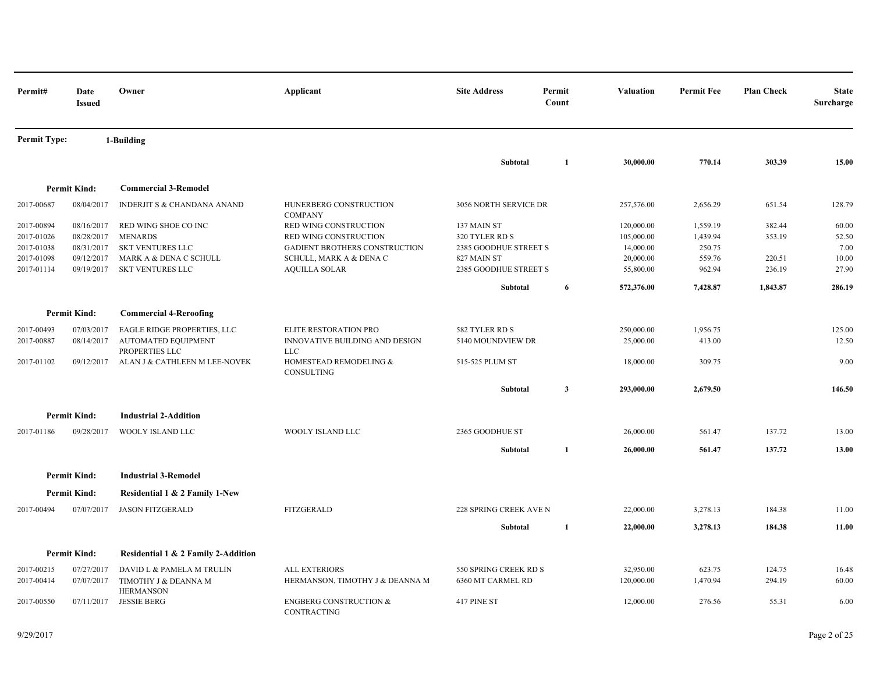| Permit#                                              | Date<br><b>Issued</b>                                | Owner                                                                                       | Applicant                                                                                                  | <b>Site Address</b>                                                   | Permit<br>Count | Valuation                                          | <b>Permit Fee</b>                        | <b>Plan Check</b>          | <b>State</b><br>Surcharge       |
|------------------------------------------------------|------------------------------------------------------|---------------------------------------------------------------------------------------------|------------------------------------------------------------------------------------------------------------|-----------------------------------------------------------------------|-----------------|----------------------------------------------------|------------------------------------------|----------------------------|---------------------------------|
| <b>Permit Type:</b>                                  |                                                      | 1-Building                                                                                  |                                                                                                            |                                                                       |                 |                                                    |                                          |                            |                                 |
|                                                      |                                                      |                                                                                             |                                                                                                            | Subtotal                                                              | 1               | 30,000.00                                          | 770.14                                   | 303.39                     | 15.00                           |
|                                                      | <b>Permit Kind:</b>                                  | <b>Commercial 3-Remodel</b>                                                                 |                                                                                                            |                                                                       |                 |                                                    |                                          |                            |                                 |
| 2017-00687                                           | 08/04/2017                                           | INDERJIT S & CHANDANA ANAND                                                                 | HUNERBERG CONSTRUCTION<br><b>COMPANY</b>                                                                   | 3056 NORTH SERVICE DR                                                 |                 | 257,576.00                                         | 2,656.29                                 | 651.54                     | 128.79                          |
| 2017-00894<br>2017-01026<br>2017-01038<br>2017-01098 | 08/16/2017<br>08/28/2017<br>08/31/2017<br>09/12/2017 | RED WING SHOE CO INC<br><b>MENARDS</b><br><b>SKT VENTURES LLC</b><br>MARK A & DENA C SCHULL | RED WING CONSTRUCTION<br>RED WING CONSTRUCTION<br>GADIENT BROTHERS CONSTRUCTION<br>SCHULL, MARK A & DENA C | 137 MAIN ST<br>320 TYLER RD S<br>2385 GOODHUE STREET S<br>827 MAIN ST |                 | 120,000.00<br>105,000.00<br>14,000.00<br>20,000.00 | 1,559.19<br>1,439.94<br>250.75<br>559.76 | 382.44<br>353.19<br>220.51 | 60.00<br>52.50<br>7.00<br>10.00 |
| 2017-01114                                           | 09/19/2017                                           | SKT VENTURES LLC                                                                            | <b>AQUILLA SOLAR</b>                                                                                       | 2385 GOODHUE STREET S                                                 |                 | 55,800.00                                          | 962.94                                   | 236.19                     | 27.90                           |
|                                                      |                                                      |                                                                                             |                                                                                                            | Subtotal                                                              | 6               | 572,376.00                                         | 7,428.87                                 | 1,843.87                   | 286.19                          |
|                                                      | <b>Permit Kind:</b>                                  | <b>Commercial 4-Reroofing</b>                                                               |                                                                                                            |                                                                       |                 |                                                    |                                          |                            |                                 |
| 2017-00493<br>2017-00887                             | 07/03/2017<br>08/14/2017                             | EAGLE RIDGE PROPERTIES, LLC<br>AUTOMATED EQUIPMENT<br>PROPERTIES LLC                        | ELITE RESTORATION PRO<br>INNOVATIVE BUILDING AND DESIGN<br><b>LLC</b>                                      | 582 TYLER RD S<br>5140 MOUNDVIEW DR                                   |                 | 250,000.00<br>25,000.00                            | 1,956.75<br>413.00                       |                            | 125.00<br>12.50                 |
| 2017-01102                                           | 09/12/2017                                           | ALAN J & CATHLEEN M LEE-NOVEK                                                               | HOMESTEAD REMODELING &<br>CONSULTING                                                                       | 515-525 PLUM ST                                                       |                 | 18,000.00                                          | 309.75                                   |                            | 9.00                            |
|                                                      |                                                      |                                                                                             |                                                                                                            | Subtotal                                                              | $\mathbf{3}$    | 293,000.00                                         | 2,679.50                                 |                            | 146.50                          |
|                                                      | <b>Permit Kind:</b>                                  | <b>Industrial 2-Addition</b>                                                                |                                                                                                            |                                                                       |                 |                                                    |                                          |                            |                                 |
| 2017-01186                                           | 09/28/2017                                           | WOOLY ISLAND LLC                                                                            | WOOLY ISLAND LLC                                                                                           | 2365 GOODHUE ST                                                       |                 | 26,000.00                                          | 561.47                                   | 137.72                     | 13.00                           |
|                                                      |                                                      |                                                                                             |                                                                                                            | Subtotal                                                              | 1               | 26,000.00                                          | 561.47                                   | 137.72                     | 13.00                           |
|                                                      | <b>Permit Kind:</b>                                  | <b>Industrial 3-Remodel</b>                                                                 |                                                                                                            |                                                                       |                 |                                                    |                                          |                            |                                 |
|                                                      | <b>Permit Kind:</b>                                  | Residential 1 & 2 Family 1-New                                                              |                                                                                                            |                                                                       |                 |                                                    |                                          |                            |                                 |
| 2017-00494                                           | 07/07/2017                                           | <b>JASON FITZGERALD</b>                                                                     | <b>FITZGERALD</b>                                                                                          | 228 SPRING CREEK AVE N                                                |                 | 22,000.00                                          | 3,278.13                                 | 184.38                     | 11.00                           |
|                                                      |                                                      |                                                                                             |                                                                                                            | Subtotal                                                              | 1               | 22,000.00                                          | 3,278.13                                 | 184.38                     | 11.00                           |
|                                                      | <b>Permit Kind:</b>                                  | Residential 1 & 2 Family 2-Addition                                                         |                                                                                                            |                                                                       |                 |                                                    |                                          |                            |                                 |
| 2017-00215                                           | 07/27/2017                                           | DAVID L & PAMELA M TRULIN                                                                   | <b>ALL EXTERIORS</b>                                                                                       | 550 SPRING CREEK RD S                                                 |                 | 32,950.00                                          | 623.75                                   | 124.75                     | 16.48                           |
| 2017-00414                                           | 07/07/2017                                           | TIMOTHY J & DEANNA M<br><b>HERMANSON</b>                                                    | HERMANSON, TIMOTHY J & DEANNA M                                                                            | 6360 MT CARMEL RD                                                     |                 | 120,000.00                                         | 1,470.94                                 | 294.19                     | 60.00                           |
| 2017-00550                                           |                                                      | 07/11/2017 JESSIE BERG                                                                      | <b>ENGBERG CONSTRUCTION &amp;</b><br>CONTRACTING                                                           | 417 PINE ST                                                           |                 | 12,000.00                                          | 276.56                                   | 55.31                      | 6.00                            |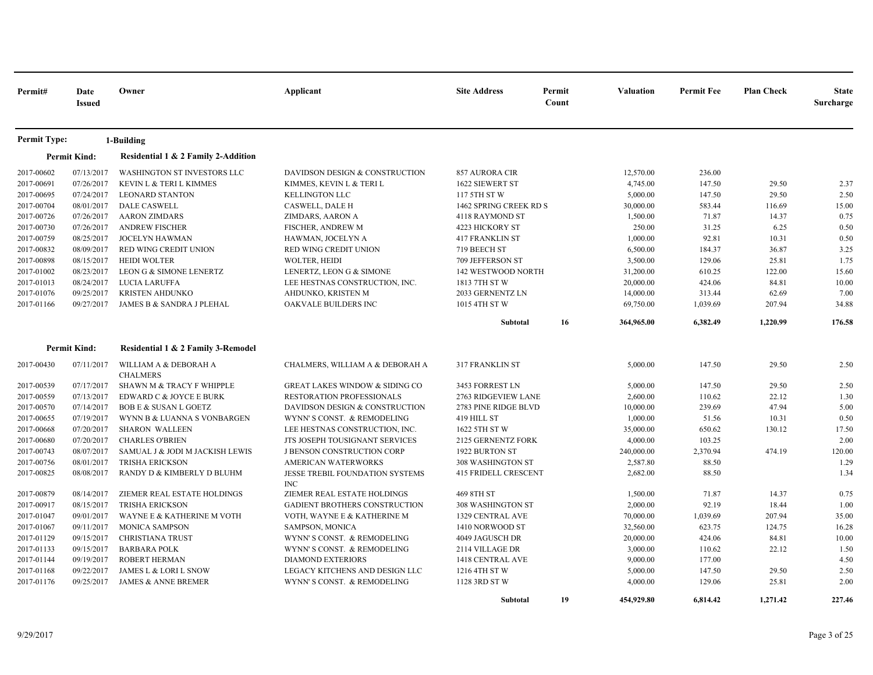| Permit#             | Date<br><b>Issued</b> | Owner                               | Applicant                                     | <b>Site Address</b>         | Permit<br>Count | <b>Valuation</b> | <b>Permit Fee</b> | <b>Plan Check</b> | <b>State</b><br>Surcharge |
|---------------------|-----------------------|-------------------------------------|-----------------------------------------------|-----------------------------|-----------------|------------------|-------------------|-------------------|---------------------------|
| <b>Permit Type:</b> |                       | 1-Building                          |                                               |                             |                 |                  |                   |                   |                           |
|                     | <b>Permit Kind:</b>   | Residential 1 & 2 Family 2-Addition |                                               |                             |                 |                  |                   |                   |                           |
| 2017-00602          | 07/13/2017            | WASHINGTON ST INVESTORS LLC         | DAVIDSON DESIGN & CONSTRUCTION                | 857 AURORA CIR              |                 | 12,570.00        | 236.00            |                   |                           |
| 2017-00691          | 07/26/2017            | KEVIN L & TERI L KIMMES             | KIMMES, KEVIN L & TERI L                      | 1622 SIEWERT ST             |                 | 4,745.00         | 147.50            | 29.50             | 2.37                      |
| 2017-00695          | 07/24/2017            | <b>LEONARD STANTON</b>              | <b>KELLINGTON LLC</b>                         | 117 5TH ST W                |                 | 5,000.00         | 147.50            | 29.50             | 2.50                      |
| 2017-00704          | 08/01/2017            | <b>DALE CASWELL</b>                 | <b>CASWELL, DALE H</b>                        | 1462 SPRING CREEK RD S      |                 | 30,000.00        | 583.44            | 116.69            | 15.00                     |
| 2017-00726          | 07/26/2017            | <b>AARON ZIMDARS</b>                | ZIMDARS, AARON A                              | 4118 RAYMOND ST             |                 | 1,500.00         | 71.87             | 14.37             | 0.75                      |
| 2017-00730          | 07/26/2017            | <b>ANDREW FISCHER</b>               | FISCHER, ANDREW M                             | 4223 HICKORY ST             |                 | 250.00           | 31.25             | 6.25              | 0.50                      |
| 2017-00759          | 08/25/2017            | <b>JOCELYN HAWMAN</b>               | HAWMAN, JOCELYN A                             | <b>417 FRANKLIN ST</b>      |                 | 1,000.00         | 92.81             | 10.31             | 0.50                      |
| 2017-00832          | 08/09/2017            | RED WING CREDIT UNION               | RED WING CREDIT UNION                         | 719 BEECH ST                |                 | 6,500.00         | 184.37            | 36.87             | 3.25                      |
| 2017-00898          | 08/15/2017            | <b>HEIDI WOLTER</b>                 | <b>WOLTER, HEIDI</b>                          | 709 JEFFERSON ST            |                 | 3,500.00         | 129.06            | 25.81             | 1.75                      |
| 2017-01002          | 08/23/2017            | LEON G & SIMONE LENERTZ             | LENERTZ, LEON G & SIMONE                      | <b>142 WESTWOOD NORTH</b>   |                 | 31,200.00        | 610.25            | 122.00            | 15.60                     |
| 2017-01013          | 08/24/2017            | LUCIA LARUFFA                       | LEE HESTNAS CONSTRUCTION, INC.                | 1813 7TH ST W               |                 | 20,000.00        | 424.06            | 84.81             | 10.00                     |
| 2017-01076          | 09/25/2017            | <b>KRISTEN AHDUNKO</b>              | AHDUNKO, KRISTEN M                            | 2033 GERNENTZ LN            |                 | 14,000.00        | 313.44            | 62.69             | 7.00                      |
| 2017-01166          | 09/27/2017            | JAMES B & SANDRA J PLEHAL           | OAKVALE BUILDERS INC                          | 1015 4TH ST W               |                 | 69,750.00        | 1,039.69          | 207.94            | 34.88                     |
|                     |                       |                                     |                                               | Subtotal                    | 16              | 364,965.00       | 6,382.49          | 1,220.99          | 176.58                    |
|                     | <b>Permit Kind:</b>   | Residential 1 & 2 Family 3-Remodel  |                                               |                             |                 |                  |                   |                   |                           |
| 2017-00430          | 07/11/2017            | WILLIAM A & DEBORAH A               | CHALMERS, WILLIAM A & DEBORAH A               | 317 FRANKLIN ST             |                 | 5,000.00         | 147.50            | 29.50             | 2.50                      |
|                     |                       | <b>CHALMERS</b>                     |                                               |                             |                 |                  |                   |                   |                           |
| 2017-00539          | 07/17/2017            | SHAWN M & TRACY F WHIPPLE           | <b>GREAT LAKES WINDOW &amp; SIDING CO</b>     | 3453 FORREST LN             |                 | 5,000.00         | 147.50            | 29.50             | 2.50                      |
| 2017-00559          | 07/13/2017            | EDWARD C & JOYCE E BURK             | RESTORATION PROFESSIONALS                     | 2763 RIDGEVIEW LANE         |                 | 2,600.00         | 110.62            | 22.12             | 1.30                      |
| 2017-00570          | 07/14/2017            | <b>BOB E &amp; SUSAN L GOETZ</b>    | DAVIDSON DESIGN & CONSTRUCTION                | 2783 PINE RIDGE BLVD        |                 | 10,000.00        | 239.69            | 47.94             | 5.00                      |
| 2017-00655          | 07/19/2017            | WYNN B & LUANNA S VONBARGEN         | WYNN'S CONST. & REMODELING                    | 419 HILL ST                 |                 | 1,000.00         | 51.56             | 10.31             | 0.50                      |
| 2017-00668          | 07/20/2017            | <b>SHARON WALLEEN</b>               | LEE HESTNAS CONSTRUCTION, INC.                | 1622 5TH ST W               |                 | 35,000.00        | 650.62            | 130.12            | 17.50                     |
| 2017-00680          | 07/20/2017            | <b>CHARLES O'BRIEN</b>              | JTS JOSEPH TOUSIGNANT SERVICES                | <b>2125 GERNENTZ FORK</b>   |                 | 4,000.00         | 103.25            |                   | 2.00                      |
| 2017-00743          | 08/07/2017            | SAMUAL J & JODI M JACKISH LEWIS     | J BENSON CONSTRUCTION CORP                    | 1922 BURTON ST              |                 | 240,000.00       | 2,370.94          | 474.19            | 120.00                    |
| 2017-00756          | 08/01/2017            | <b>TRISHA ERICKSON</b>              | AMERICAN WATERWORKS                           | 308 WASHINGTON ST           |                 | 2,587.80         | 88.50             |                   | 1.29                      |
| 2017-00825          | 08/08/2017            | RANDY D & KIMBERLY D BLUHM          | JESSE TREBIL FOUNDATION SYSTEMS<br><b>INC</b> | <b>415 FRIDELL CRESCENT</b> |                 | 2,682.00         | 88.50             |                   | 1.34                      |
| 2017-00879          | 08/14/2017            | ZIEMER REAL ESTATE HOLDINGS         | ZIEMER REAL ESTATE HOLDINGS                   | 469 8TH ST                  |                 | 1,500.00         | 71.87             | 14.37             | 0.75                      |
| 2017-00917          | 08/15/2017            | <b>TRISHA ERICKSON</b>              | <b>GADIENT BROTHERS CONSTRUCTION</b>          | 308 WASHINGTON ST           |                 | 2,000.00         | 92.19             | 18.44             | 1.00                      |
| 2017-01047          | 09/01/2017            | WAYNE E & KATHERINE M VOTH          | VOTH, WAYNE E & KATHERINE M                   | 1329 CENTRAL AVE            |                 | 70,000.00        | 1,039.69          | 207.94            | 35.00                     |
| 2017-01067          | 09/11/2017            | <b>MONICA SAMPSON</b>               | SAMPSON, MONICA                               | 1410 NORWOOD ST             |                 | 32,560.00        | 623.75            | 124.75            | 16.28                     |
| 2017-01129          | 09/15/2017            | <b>CHRISTIANA TRUST</b>             | WYNN'S CONST. & REMODELING                    | 4049 JAGUSCH DR             |                 | 20,000.00        | 424.06            | 84.81             | 10.00                     |
| 2017-01133          | 09/15/2017            | <b>BARBARA POLK</b>                 | WYNN'S CONST. & REMODELING                    | 2114 VILLAGE DR             |                 | 3,000.00         | 110.62            | 22.12             | 1.50                      |
| 2017-01144          | 09/19/2017            | ROBERT HERMAN                       | <b>DIAMOND EXTERIORS</b>                      | 1418 CENTRAL AVE            |                 | 9,000.00         | 177.00            |                   | 4.50                      |
| 2017-01168          | 09/22/2017            | JAMES L & LORI L SNOW               | LEGACY KITCHENS AND DESIGN LLC                | 1216 4TH ST W               |                 | 5,000.00         | 147.50            | 29.50             | 2.50                      |
| 2017-01176          | 09/25/2017            | <b>JAMES &amp; ANNE BREMER</b>      | WYNN'S CONST. & REMODELING                    | 1128 3RD ST W               |                 | 4,000.00         | 129.06            | 25.81             | 2.00                      |
|                     |                       |                                     |                                               | Subtotal                    | 19              | 454,929.80       | 6,814.42          | 1,271.42          | 227.46                    |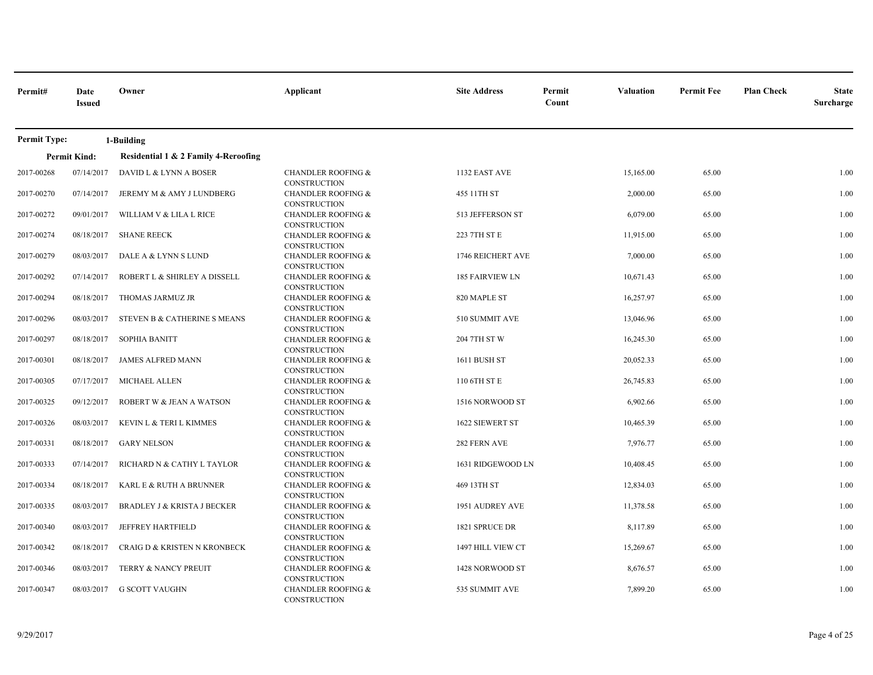| Permit#             | Date<br><b>Issued</b> | Owner                                  | Applicant                                            | <b>Site Address</b>    | Permit<br><b>Valuation</b><br>Count | <b>Permit Fee</b> | <b>Plan Check</b><br><b>State</b><br>Surcharge |
|---------------------|-----------------------|----------------------------------------|------------------------------------------------------|------------------------|-------------------------------------|-------------------|------------------------------------------------|
| <b>Permit Type:</b> |                       | 1-Building                             |                                                      |                        |                                     |                   |                                                |
|                     | <b>Permit Kind:</b>   | Residential 1 & 2 Family 4-Reroofing   |                                                      |                        |                                     |                   |                                                |
| 2017-00268          | 07/14/2017            | DAVID L & LYNN A BOSER                 | <b>CHANDLER ROOFING &amp;</b><br><b>CONSTRUCTION</b> | 1132 EAST AVE          | 15,165.00                           | 65.00             | 1.00                                           |
| 2017-00270          | 07/14/2017            | JEREMY M & AMY J LUNDBERG              | <b>CHANDLER ROOFING &amp;</b><br><b>CONSTRUCTION</b> | 455 11TH ST            | 2,000.00                            | 65.00             | 1.00                                           |
| 2017-00272          | 09/01/2017            | WILLIAM V & LILA L RICE                | <b>CHANDLER ROOFING &amp;</b><br><b>CONSTRUCTION</b> | 513 JEFFERSON ST       | 6,079.00                            | 65.00             | 1.00                                           |
| 2017-00274          | 08/18/2017            | <b>SHANE REECK</b>                     | <b>CHANDLER ROOFING &amp;</b><br>CONSTRUCTION        | 223 7TH ST E           | 11,915.00                           | 65.00             | 1.00                                           |
| 2017-00279          | 08/03/2017            | DALE A & LYNN S LUND                   | <b>CHANDLER ROOFING &amp;</b><br>CONSTRUCTION        | 1746 REICHERT AVE      | 7,000.00                            | 65.00             | 1.00                                           |
| 2017-00292          | 07/14/2017            | ROBERT L & SHIRLEY A DISSELL           | <b>CHANDLER ROOFING &amp;</b><br><b>CONSTRUCTION</b> | <b>185 FAIRVIEW LN</b> | 10,671.43                           | 65.00             | 1.00                                           |
| 2017-00294          | 08/18/2017            | THOMAS JARMUZ JR                       | <b>CHANDLER ROOFING &amp;</b><br><b>CONSTRUCTION</b> | 820 MAPLE ST           | 16,257.97                           | 65.00             | 1.00                                           |
| 2017-00296          | 08/03/2017            | STEVEN B & CATHERINE S MEANS           | <b>CHANDLER ROOFING &amp;</b><br><b>CONSTRUCTION</b> | 510 SUMMIT AVE         | 13,046.96                           | 65.00             | 1.00                                           |
| 2017-00297          | 08/18/2017            | <b>SOPHIA BANITT</b>                   | <b>CHANDLER ROOFING &amp;</b><br>CONSTRUCTION        | 204 7TH ST W           | 16,245.30                           | 65.00             | 1.00                                           |
| 2017-00301          | 08/18/2017            | <b>JAMES ALFRED MANN</b>               | <b>CHANDLER ROOFING &amp;</b><br><b>CONSTRUCTION</b> | 1611 BUSH ST           | 20,052.33                           | 65.00             | 1.00                                           |
| 2017-00305          | 07/17/2017            | MICHAEL ALLEN                          | <b>CHANDLER ROOFING &amp;</b><br><b>CONSTRUCTION</b> | 110 6TH ST E           | 26,745.83                           | 65.00             | 1.00                                           |
| 2017-00325          | 09/12/2017            | ROBERT W & JEAN A WATSON               | <b>CHANDLER ROOFING &amp;</b><br><b>CONSTRUCTION</b> | 1516 NORWOOD ST        | 6,902.66                            | 65.00             | 1.00                                           |
| 2017-00326          | 08/03/2017            | KEVIN L & TERI L KIMMES                | <b>CHANDLER ROOFING &amp;</b><br><b>CONSTRUCTION</b> | 1622 SIEWERT ST        | 10,465.39                           | 65.00             | 1.00                                           |
| 2017-00331          | 08/18/2017            | <b>GARY NELSON</b>                     | <b>CHANDLER ROOFING &amp;</b><br>CONSTRUCTION        | 282 FERN AVE           | 7,976.77                            | 65.00             | 1.00                                           |
| 2017-00333          | 07/14/2017            | RICHARD N & CATHY L TAYLOR             | <b>CHANDLER ROOFING &amp;</b><br><b>CONSTRUCTION</b> | 1631 RIDGEWOOD LN      | 10,408.45                           | 65.00             | 1.00                                           |
| 2017-00334          | 08/18/2017            | KARL E & RUTH A BRUNNER                | <b>CHANDLER ROOFING &amp;</b><br><b>CONSTRUCTION</b> | 469 13TH ST            | 12,834.03                           | 65.00             | 1.00                                           |
| 2017-00335          | 08/03/2017            | <b>BRADLEY J &amp; KRISTA J BECKER</b> | <b>CHANDLER ROOFING &amp;</b><br><b>CONSTRUCTION</b> | 1951 AUDREY AVE        | 11,378.58                           | 65.00             | 1.00                                           |
| 2017-00340          | 08/03/2017            | <b>JEFFREY HARTFIELD</b>               | <b>CHANDLER ROOFING &amp;</b><br><b>CONSTRUCTION</b> | 1821 SPRUCE DR         | 8,117.89                            | 65.00             | 1.00                                           |
| 2017-00342          | 08/18/2017            | CRAIG D & KRISTEN N KRONBECK           | <b>CHANDLER ROOFING &amp;</b><br><b>CONSTRUCTION</b> | 1497 HILL VIEW CT      | 15,269.67                           | 65.00             | 1.00                                           |
| 2017-00346          | 08/03/2017            | TERRY & NANCY PREUIT                   | <b>CHANDLER ROOFING &amp;</b><br><b>CONSTRUCTION</b> | 1428 NORWOOD ST        | 8,676.57                            | 65.00             | 1.00                                           |
| 2017-00347          | 08/03/2017            | G SCOTT VAUGHN                         | <b>CHANDLER ROOFING &amp;</b><br><b>CONSTRUCTION</b> | 535 SUMMIT AVE         | 7,899.20                            | 65.00             | 1.00                                           |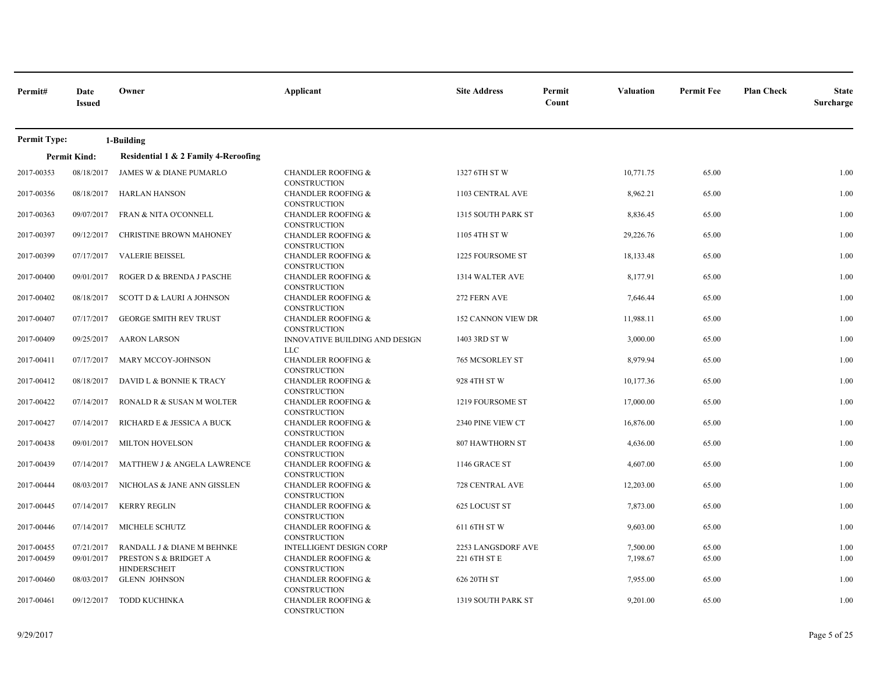| Permit#             | Date<br><b>Issued</b> | Owner                                        | Applicant                                            | <b>Site Address</b> | Permit<br>Count | <b>Valuation</b> | <b>Permit Fee</b> | <b>Plan Check</b> | <b>State</b><br>Surcharge |
|---------------------|-----------------------|----------------------------------------------|------------------------------------------------------|---------------------|-----------------|------------------|-------------------|-------------------|---------------------------|
| <b>Permit Type:</b> |                       | 1-Building                                   |                                                      |                     |                 |                  |                   |                   |                           |
|                     | <b>Permit Kind:</b>   | Residential 1 & 2 Family 4-Reroofing         |                                                      |                     |                 |                  |                   |                   |                           |
| 2017-00353          | 08/18/2017            | JAMES W & DIANE PUMARLO                      | <b>CHANDLER ROOFING &amp;</b><br><b>CONSTRUCTION</b> | 1327 6TH ST W       |                 | 10,771.75        | 65.00             |                   | 1.00                      |
| 2017-00356          | 08/18/2017            | <b>HARLAN HANSON</b>                         | <b>CHANDLER ROOFING &amp;</b><br><b>CONSTRUCTION</b> | 1103 CENTRAL AVE    |                 | 8,962.21         | 65.00             |                   | 1.00                      |
| 2017-00363          | 09/07/2017            | FRAN & NITA O'CONNELL                        | <b>CHANDLER ROOFING &amp;</b><br><b>CONSTRUCTION</b> | 1315 SOUTH PARK ST  |                 | 8,836.45         | 65.00             |                   | 1.00                      |
| 2017-00397          | 09/12/2017            | CHRISTINE BROWN MAHONEY                      | <b>CHANDLER ROOFING &amp;</b><br>CONSTRUCTION        | 1105 4TH ST W       |                 | 29,226.76        | 65.00             |                   | 1.00                      |
| 2017-00399          | 07/17/2017            | <b>VALERIE BEISSEL</b>                       | <b>CHANDLER ROOFING &amp;</b><br><b>CONSTRUCTION</b> | 1225 FOURSOME ST    |                 | 18,133.48        | 65.00             |                   | 1.00                      |
| 2017-00400          | 09/01/2017            | ROGER D & BRENDA J PASCHE                    | <b>CHANDLER ROOFING &amp;</b><br><b>CONSTRUCTION</b> | 1314 WALTER AVE     |                 | 8,177.91         | 65.00             |                   | 1.00                      |
| 2017-00402          | 08/18/2017            | SCOTT D & LAURI A JOHNSON                    | <b>CHANDLER ROOFING &amp;</b><br><b>CONSTRUCTION</b> | 272 FERN AVE        |                 | 7,646.44         | 65.00             |                   | 1.00                      |
| 2017-00407          | 07/17/2017            | <b>GEORGE SMITH REV TRUST</b>                | <b>CHANDLER ROOFING &amp;</b><br><b>CONSTRUCTION</b> | 152 CANNON VIEW DR  |                 | 11,988.11        | 65.00             |                   | 1.00                      |
| 2017-00409          | 09/25/2017            | <b>AARON LARSON</b>                          | INNOVATIVE BUILDING AND DESIGN<br><b>LLC</b>         | 1403 3RD ST W       |                 | 3,000.00         | 65.00             |                   | 1.00                      |
| 2017-00411          | 07/17/2017            | MARY MCCOY-JOHNSON                           | <b>CHANDLER ROOFING &amp;</b><br>CONSTRUCTION        | 765 MCSORLEY ST     |                 | 8,979.94         | 65.00             |                   | 1.00                      |
| 2017-00412          | 08/18/2017            | DAVID L & BONNIE K TRACY                     | <b>CHANDLER ROOFING &amp;</b><br><b>CONSTRUCTION</b> | 928 4TH ST W        |                 | 10,177.36        | 65.00             |                   | 1.00                      |
| 2017-00422          | 07/14/2017            | RONALD R & SUSAN M WOLTER                    | <b>CHANDLER ROOFING &amp;</b><br><b>CONSTRUCTION</b> | 1219 FOURSOME ST    |                 | 17,000.00        | 65.00             |                   | 1.00                      |
| 2017-00427          | 07/14/2017            | RICHARD E & JESSICA A BUCK                   | <b>CHANDLER ROOFING &amp;</b><br><b>CONSTRUCTION</b> | 2340 PINE VIEW CT   |                 | 16,876.00        | 65.00             |                   | 1.00                      |
| 2017-00438          | 09/01/2017            | MILTON HOVELSON                              | <b>CHANDLER ROOFING &amp;</b><br><b>CONSTRUCTION</b> | 807 HAWTHORN ST     |                 | 4,636.00         | 65.00             |                   | 1.00                      |
| 2017-00439          | 07/14/2017            | MATTHEW J & ANGELA LAWRENCE                  | <b>CHANDLER ROOFING &amp;</b><br><b>CONSTRUCTION</b> | 1146 GRACE ST       |                 | 4,607.00         | 65.00             |                   | 1.00                      |
| 2017-00444          | 08/03/2017            | NICHOLAS & JANE ANN GISSLEN                  | <b>CHANDLER ROOFING &amp;</b><br><b>CONSTRUCTION</b> | 728 CENTRAL AVE     |                 | 12,203.00        | 65.00             |                   | 1.00                      |
| 2017-00445          | 07/14/2017            | <b>KERRY REGLIN</b>                          | <b>CHANDLER ROOFING &amp;</b><br><b>CONSTRUCTION</b> | 625 LOCUST ST       |                 | 7,873.00         | 65.00             |                   | 1.00                      |
| 2017-00446          | 07/14/2017            | MICHELE SCHUTZ                               | <b>CHANDLER ROOFING &amp;</b><br><b>CONSTRUCTION</b> | 611 6TH ST W        |                 | 9,603.00         | 65.00             |                   | 1.00                      |
| 2017-00455          | 07/21/2017            | RANDALL J & DIANE M BEHNKE                   | <b>INTELLIGENT DESIGN CORP</b>                       | 2253 LANGSDORF AVE  |                 | 7,500.00         | 65.00             |                   | 1.00                      |
| 2017-00459          | 09/01/2017            | PRESTON S & BRIDGET A<br><b>HINDERSCHEIT</b> | <b>CHANDLER ROOFING &amp;</b><br>CONSTRUCTION        | 221 6TH ST E        |                 | 7,198.67         | 65.00             |                   | 1.00                      |
| 2017-00460          | 08/03/2017            | <b>GLENN JOHNSON</b>                         | <b>CHANDLER ROOFING &amp;</b><br><b>CONSTRUCTION</b> | 626 20TH ST         |                 | 7,955.00         | 65.00             |                   | 1.00                      |
| 2017-00461          | 09/12/2017            | <b>TODD KUCHINKA</b>                         | <b>CHANDLER ROOFING &amp;</b><br><b>CONSTRUCTION</b> | 1319 SOUTH PARK ST  |                 | 9,201.00         | 65.00             |                   | 1.00                      |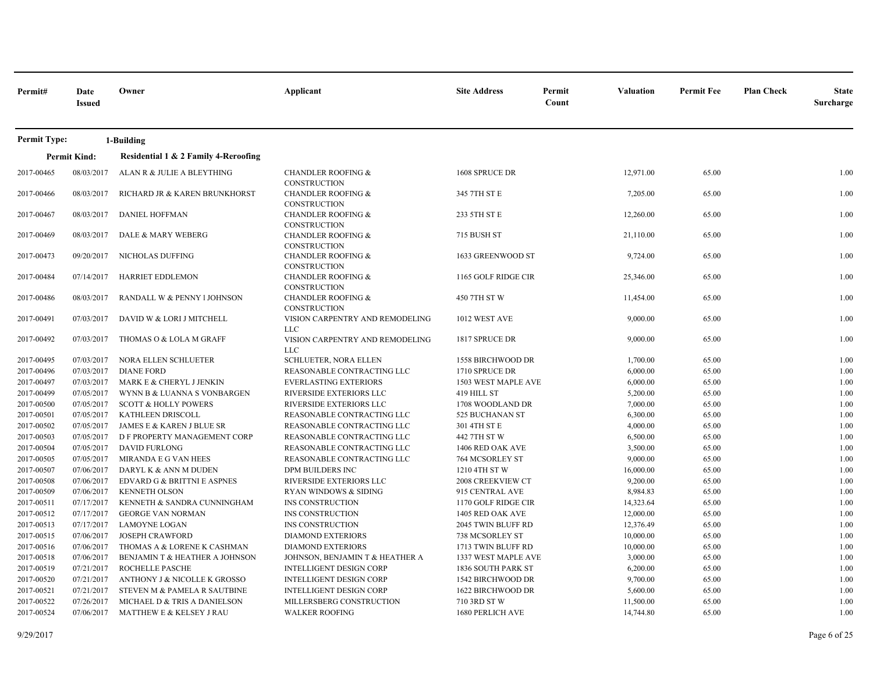| Permit#             | Date<br><b>Issued</b> | Owner                                | Applicant                                            | <b>Site Address</b> | Permit<br>Count | <b>Valuation</b> | <b>Permit Fee</b> | <b>Plan Check</b> | <b>State</b><br>Surcharge |
|---------------------|-----------------------|--------------------------------------|------------------------------------------------------|---------------------|-----------------|------------------|-------------------|-------------------|---------------------------|
| <b>Permit Type:</b> |                       | 1-Building                           |                                                      |                     |                 |                  |                   |                   |                           |
|                     | <b>Permit Kind:</b>   | Residential 1 & 2 Family 4-Reroofing |                                                      |                     |                 |                  |                   |                   |                           |
| 2017-00465          | 08/03/2017            | ALAN R & JULIE A BLEYTHING           | <b>CHANDLER ROOFING &amp;</b>                        | 1608 SPRUCE DR      |                 | 12,971.00        | 65.00             |                   | 1.00                      |
|                     |                       |                                      | <b>CONSTRUCTION</b>                                  |                     |                 |                  |                   |                   |                           |
| 2017-00466          | 08/03/2017            | RICHARD JR & KAREN BRUNKHORST        | <b>CHANDLER ROOFING &amp;</b><br><b>CONSTRUCTION</b> | 345 7TH ST E        |                 | 7,205.00         | 65.00             |                   | 1.00                      |
| 2017-00467          | 08/03/2017            | DANIEL HOFFMAN                       | <b>CHANDLER ROOFING &amp;</b><br><b>CONSTRUCTION</b> | 233 5TH ST E        |                 | 12,260.00        | 65.00             |                   | 1.00                      |
| 2017-00469          | 08/03/2017            | DALE & MARY WEBERG                   | <b>CHANDLER ROOFING &amp;</b><br><b>CONSTRUCTION</b> | 715 BUSH ST         |                 | 21,110.00        | 65.00             |                   | 1.00                      |
| 2017-00473          | 09/20/2017            | NICHOLAS DUFFING                     | <b>CHANDLER ROOFING &amp;</b><br>CONSTRUCTION        | 1633 GREENWOOD ST   |                 | 9,724.00         | 65.00             |                   | 1.00                      |
| 2017-00484          | 07/14/2017            | HARRIET EDDLEMON                     | <b>CHANDLER ROOFING &amp;</b><br>CONSTRUCTION        | 1165 GOLF RIDGE CIR |                 | 25,346.00        | 65.00             |                   | 1.00                      |
| 2017-00486          | 08/03/2017            | RANDALL W & PENNY I JOHNSON          | <b>CHANDLER ROOFING &amp;</b><br><b>CONSTRUCTION</b> | 450 7TH ST W        |                 | 11,454.00        | 65.00             |                   | 1.00                      |
| 2017-00491          | 07/03/2017            | DAVID W & LORI J MITCHELL            | VISION CARPENTRY AND REMODELING<br><b>LLC</b>        | 1012 WEST AVE       |                 | 9,000.00         | 65.00             |                   | 1.00                      |
| 2017-00492          | 07/03/2017            | THOMAS O & LOLA M GRAFF              | VISION CARPENTRY AND REMODELING<br><b>LLC</b>        | 1817 SPRUCE DR      |                 | 9,000.00         | 65.00             |                   | 1.00                      |
| 2017-00495          | 07/03/2017            | NORA ELLEN SCHLUETER                 | SCHLUETER, NORA ELLEN                                | 1558 BIRCHWOOD DR   |                 | 1,700.00         | 65.00             |                   | 1.00                      |
| 2017-00496          | 07/03/2017            | <b>DIANE FORD</b>                    | REASONABLE CONTRACTING LLC                           | 1710 SPRUCE DR      |                 | 6,000.00         | 65.00             |                   | 1.00                      |
| 2017-00497          | 07/03/2017            | MARK E & CHERYL J JENKIN             | <b>EVERLASTING EXTERIORS</b>                         | 1503 WEST MAPLE AVE |                 | 6,000.00         | 65.00             |                   | 1.00                      |
| 2017-00499          | 07/05/2017            | WYNN B & LUANNA S VONBARGEN          | RIVERSIDE EXTERIORS LLC                              | 419 HILL ST         |                 | 5,200.00         | 65.00             |                   | 1.00                      |
| 2017-00500          | 07/05/2017            | <b>SCOTT &amp; HOLLY POWERS</b>      | RIVERSIDE EXTERIORS LLC                              | 1708 WOODLAND DR    |                 | 7,000.00         | 65.00             |                   | 1.00                      |
| 2017-00501          | 07/05/2017            | KATHLEEN DRISCOLL                    | REASONABLE CONTRACTING LLC                           | 525 BUCHANAN ST     |                 | 6,300.00         | 65.00             |                   | 1.00                      |
| 2017-00502          | 07/05/2017            | JAMES E & KAREN J BLUE SR            | REASONABLE CONTRACTING LLC                           | 301 4TH ST E        |                 | 4,000.00         | 65.00             |                   | 1.00                      |
| 2017-00503          | 07/05/2017            | D F PROPERTY MANAGEMENT CORP         | REASONABLE CONTRACTING LLC                           | 442 7TH ST W        |                 | 6,500.00         | 65.00             |                   | 1.00                      |
| 2017-00504          | 07/05/2017            | <b>DAVID FURLONG</b>                 | REASONABLE CONTRACTING LLC                           | 1406 RED OAK AVE    |                 | 3,500.00         | 65.00             |                   | 1.00                      |
| 2017-00505          | 07/05/2017            | MIRANDA E G VAN HEES                 | REASONABLE CONTRACTING LLC                           | 764 MCSORLEY ST     |                 | 9,000.00         | 65.00             |                   | 1.00                      |
| 2017-00507          | 07/06/2017            | DARYL K & ANN M DUDEN                | DPM BUILDERS INC                                     | 1210 4TH ST W       |                 | 16,000.00        | 65.00             |                   | 1.00                      |
| 2017-00508          | 07/06/2017            | EDVARD G & BRITTNI E ASPNES          | RIVERSIDE EXTERIORS LLC                              | 2008 CREEKVIEW CT   |                 | 9,200.00         | 65.00             |                   | 1.00                      |
| 2017-00509          | 07/06/2017            | <b>KENNETH OLSON</b>                 | RYAN WINDOWS & SIDING                                | 915 CENTRAL AVE     |                 | 8,984.83         | 65.00             |                   | 1.00                      |
| 2017-00511          | 07/17/2017            | KENNETH & SANDRA CUNNINGHAM          | INS CONSTRUCTION                                     | 1170 GOLF RIDGE CIR |                 | 14,323.64        | 65.00             |                   | 1.00                      |
| 2017-00512          | 07/17/2017            | <b>GEORGE VAN NORMAN</b>             | INS CONSTRUCTION                                     | 1405 RED OAK AVE    |                 | 12,000.00        | 65.00             |                   | 1.00                      |
| 2017-00513          | 07/17/2017            | <b>LAMOYNE LOGAN</b>                 | INS CONSTRUCTION                                     | 2045 TWIN BLUFF RD  |                 | 12,376.49        | 65.00             |                   | 1.00                      |
| 2017-00515          | 07/06/2017            | <b>JOSEPH CRAWFORD</b>               | <b>DIAMOND EXTERIORS</b>                             | 738 MCSORLEY ST     |                 | 10,000.00        | 65.00             |                   | 1.00                      |
| 2017-00516          | 07/06/2017            | THOMAS A & LORENE K CASHMAN          | <b>DIAMOND EXTERIORS</b>                             | 1713 TWIN BLUFF RD  |                 | 10,000.00        | 65.00             |                   | 1.00                      |
| 2017-00518          | 07/06/2017            | BENJAMIN T & HEATHER A JOHNSON       | JOHNSON, BENJAMIN T & HEATHER A                      | 1337 WEST MAPLE AVE |                 | 3,000.00         | 65.00             |                   | 1.00                      |
| 2017-00519          | 07/21/2017            | ROCHELLE PASCHE                      | <b>INTELLIGENT DESIGN CORP</b>                       | 1836 SOUTH PARK ST  |                 | 6,200.00         | 65.00             |                   | 1.00                      |
| 2017-00520          | 07/21/2017            | ANTHONY J & NICOLLE K GROSSO         | <b>INTELLIGENT DESIGN CORP</b>                       | 1542 BIRCHWOOD DR   |                 | 9,700.00         | 65.00             |                   | 1.00                      |
| 2017-00521          | 07/21/2017            | STEVEN M & PAMELA R SAUTBINE         | <b>INTELLIGENT DESIGN CORP</b>                       | 1622 BIRCHWOOD DR   |                 | 5,600.00         | 65.00             |                   | 1.00                      |
| 2017-00522          | 07/26/2017            | MICHAEL D & TRIS A DANIELSON         | MILLERSBERG CONSTRUCTION                             | 710 3RD ST W        |                 | 11,500.00        | 65.00             |                   | 1.00                      |
| 2017-00524          | 07/06/2017            | MATTHEW E & KELSEY J RAU             | <b>WALKER ROOFING</b>                                | 1680 PERLICH AVE    |                 | 14,744.80        | 65.00             |                   | 1.00                      |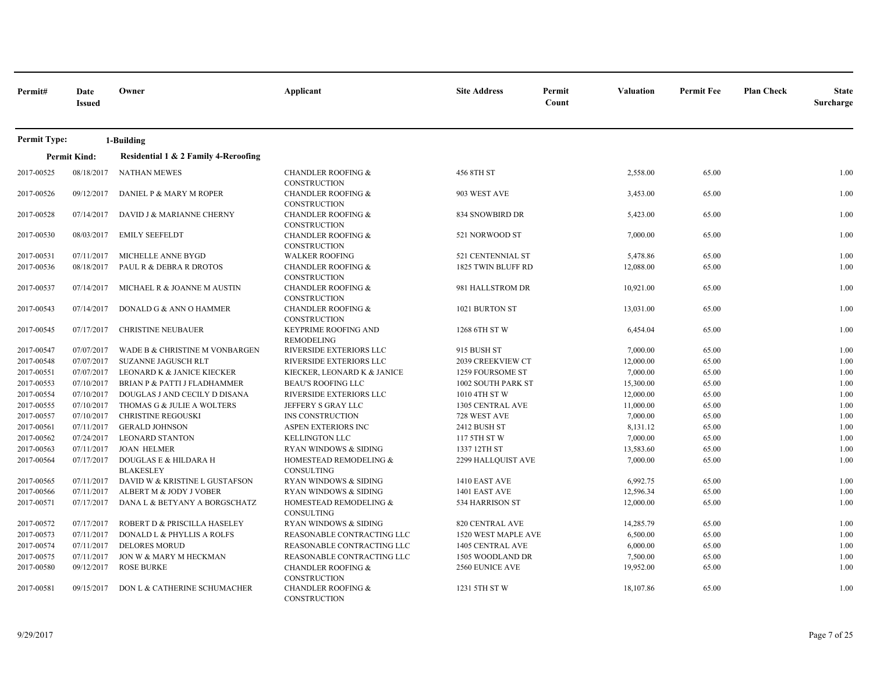| Permit#             | Date<br><b>Issued</b> | Owner                                     | Applicant                                            | <b>Site Address</b>    | Permit<br>Count | <b>Valuation</b> | <b>Permit Fee</b> | <b>Plan Check</b> | <b>State</b><br>Surcharge |
|---------------------|-----------------------|-------------------------------------------|------------------------------------------------------|------------------------|-----------------|------------------|-------------------|-------------------|---------------------------|
| <b>Permit Type:</b> |                       | 1-Building                                |                                                      |                        |                 |                  |                   |                   |                           |
|                     | <b>Permit Kind:</b>   | Residential 1 & 2 Family 4-Reroofing      |                                                      |                        |                 |                  |                   |                   |                           |
| 2017-00525          | 08/18/2017            | <b>NATHAN MEWES</b>                       | <b>CHANDLER ROOFING &amp;</b><br>CONSTRUCTION        | 456 8TH ST             |                 | 2,558.00         | 65.00             |                   | 1.00                      |
| 2017-00526          | 09/12/2017            | DANIEL P & MARY M ROPER                   | <b>CHANDLER ROOFING &amp;</b><br><b>CONSTRUCTION</b> | 903 WEST AVE           |                 | 3,453.00         | 65.00             |                   | 1.00                      |
| 2017-00528          | 07/14/2017            | DAVID J & MARIANNE CHERNY                 | <b>CHANDLER ROOFING &amp;</b><br>CONSTRUCTION        | 834 SNOWBIRD DR        |                 | 5,423.00         | 65.00             |                   | 1.00                      |
| 2017-00530          | 08/03/2017            | <b>EMILY SEEFELDT</b>                     | <b>CHANDLER ROOFING &amp;</b><br>CONSTRUCTION        | 521 NORWOOD ST         |                 | 7,000.00         | 65.00             |                   | 1.00                      |
| 2017-00531          | 07/11/2017            | MICHELLE ANNE BYGD                        | <b>WALKER ROOFING</b>                                | 521 CENTENNIAL ST      |                 | 5,478.86         | 65.00             |                   | 1.00                      |
| 2017-00536          | 08/18/2017            | PAUL R & DEBRA R DROTOS                   | <b>CHANDLER ROOFING &amp;</b><br><b>CONSTRUCTION</b> | 1825 TWIN BLUFF RD     |                 | 12,088.00        | 65.00             |                   | 1.00                      |
| 2017-00537          | 07/14/2017            | MICHAEL R & JOANNE M AUSTIN               | <b>CHANDLER ROOFING &amp;</b><br>CONSTRUCTION        | 981 HALLSTROM DR       |                 | 10,921.00        | 65.00             |                   | 1.00                      |
| 2017-00543          | 07/14/2017            | DONALD G & ANN O HAMMER                   | <b>CHANDLER ROOFING &amp;</b><br><b>CONSTRUCTION</b> | 1021 BURTON ST         |                 | 13,031.00        | 65.00             |                   | 1.00                      |
| 2017-00545          | 07/17/2017            | <b>CHRISTINE NEUBAUER</b>                 | <b>KEYPRIME ROOFING AND</b><br>REMODELING            | 1268 6TH ST W          |                 | 6,454.04         | 65.00             |                   | 1.00                      |
| 2017-00547          | 07/07/2017            | WADE B & CHRISTINE M VONBARGEN            | RIVERSIDE EXTERIORS LLC                              | 915 BUSH ST            |                 | 7,000.00         | 65.00             |                   | 1.00                      |
| 2017-00548          | 07/07/2017            | <b>SUZANNE JAGUSCH RLT</b>                | RIVERSIDE EXTERIORS LLC                              | 2039 CREEKVIEW CT      |                 | 12,000.00        | 65.00             |                   | 1.00                      |
| 2017-00551          | 07/07/2017            | LEONARD K & JANICE KIECKER                | KIECKER, LEONARD K & JANICE                          | 1259 FOURSOME ST       |                 | 7,000.00         | 65.00             |                   | 1.00                      |
| 2017-00553          | 07/10/2017            | BRIAN P & PATTI J FLADHAMMER              | <b>BEAU'S ROOFING LLC</b>                            | 1002 SOUTH PARK ST     |                 | 15,300.00        | 65.00             |                   | 1.00                      |
| 2017-00554          | 07/10/2017            | DOUGLAS J AND CECILY D DISANA             | RIVERSIDE EXTERIORS LLC                              | 1010 4TH ST W          |                 | 12,000.00        | 65.00             |                   | 1.00                      |
| 2017-00555          | 07/10/2017            | THOMAS G & JULIE A WOLTERS                | JEFFERY S GRAY LLC                                   | 1305 CENTRAL AVE       |                 | 11,000.00        | 65.00             |                   | 1.00                      |
| 2017-00557          | 07/10/2017            | <b>CHRISTINE REGOUSKI</b>                 | INS CONSTRUCTION                                     | 728 WEST AVE           |                 | 7,000.00         | 65.00             |                   | 1.00                      |
| 2017-00561          | 07/11/2017            | <b>GERALD JOHNSON</b>                     | ASPEN EXTERIORS INC                                  | 2412 BUSH ST           |                 | 8,131.12         | 65.00             |                   | 1.00                      |
| 2017-00562          | 07/24/2017            | <b>LEONARD STANTON</b>                    | <b>KELLINGTON LLC</b>                                | 117 5TH ST W           |                 | 7,000.00         | 65.00             |                   | 1.00                      |
| 2017-00563          | 07/11/2017            | <b>JOAN HELMER</b>                        | RYAN WINDOWS & SIDING                                | 1337 12TH ST           |                 | 13,583.60        | 65.00             |                   | 1.00                      |
| 2017-00564          | 07/17/2017            | DOUGLAS E & HILDARA H<br><b>BLAKESLEY</b> | HOMESTEAD REMODELING &<br>CONSULTING                 | 2299 HALLQUIST AVE     |                 | 7,000.00         | 65.00             |                   | 1.00                      |
| 2017-00565          | 07/11/2017            | DAVID W & KRISTINE L GUSTAFSON            | RYAN WINDOWS & SIDING                                | 1410 EAST AVE          |                 | 6,992.75         | 65.00             |                   | 1.00                      |
| 2017-00566          | 07/11/2017            | ALBERT M & JODY J VOBER                   | RYAN WINDOWS & SIDING                                | 1401 EAST AVE          |                 | 12,596.34        | 65.00             |                   | 1.00                      |
| 2017-00571          | 07/17/2017            | DANA L & BETYANY A BORGSCHATZ             | HOMESTEAD REMODELING &<br>CONSULTING                 | 534 HARRISON ST        |                 | 12,000.00        | 65.00             |                   | 1.00                      |
| 2017-00572          | 07/17/2017            | ROBERT D & PRISCILLA HASELEY              | <b>RYAN WINDOWS &amp; SIDING</b>                     | <b>820 CENTRAL AVE</b> |                 | 14,285.79        | 65.00             |                   | 1.00                      |
| 2017-00573          | 07/11/2017            | DONALD L & PHYLLIS A ROLFS                | REASONABLE CONTRACTING LLC                           | 1520 WEST MAPLE AVE    |                 | 6,500.00         | 65.00             |                   | 1.00                      |
| 2017-00574          | 07/11/2017            | <b>DELORES MORUD</b>                      | REASONABLE CONTRACTING LLC                           | 1405 CENTRAL AVE       |                 | 6,000.00         | 65.00             |                   | 1.00                      |
| 2017-00575          | 07/11/2017            | JON W & MARY M HECKMAN                    | REASONABLE CONTRACTING LLC                           | 1505 WOODLAND DR       |                 | 7,500.00         | 65.00             |                   | 1.00                      |
| 2017-00580          | 09/12/2017            | <b>ROSE BURKE</b>                         | <b>CHANDLER ROOFING &amp;</b><br>CONSTRUCTION        | 2560 EUNICE AVE        |                 | 19,952.00        | 65.00             |                   | 1.00                      |
| 2017-00581          | 09/15/2017            | DON L & CATHERINE SCHUMACHER              | <b>CHANDLER ROOFING &amp;</b><br><b>CONSTRUCTION</b> | 1231 5TH ST W          |                 | 18,107.86        | 65.00             |                   | 1.00                      |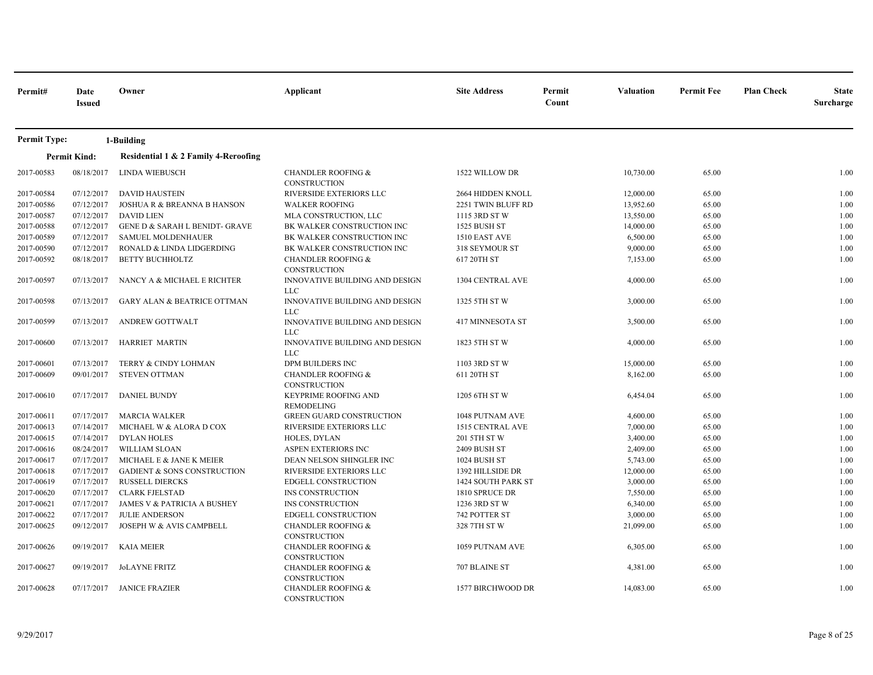| Permit#             | Date<br><b>Issued</b> | Owner                                     | Applicant                                            | <b>Site Address</b>     | Permit<br>Count | <b>Valuation</b> | <b>Permit Fee</b> | <b>Plan Check</b> | <b>State</b><br>Surcharge |
|---------------------|-----------------------|-------------------------------------------|------------------------------------------------------|-------------------------|-----------------|------------------|-------------------|-------------------|---------------------------|
| <b>Permit Type:</b> |                       | 1-Building                                |                                                      |                         |                 |                  |                   |                   |                           |
|                     | <b>Permit Kind:</b>   | Residential 1 & 2 Family 4-Reroofing      |                                                      |                         |                 |                  |                   |                   |                           |
| 2017-00583          | 08/18/2017            | LINDA WIEBUSCH                            | <b>CHANDLER ROOFING &amp;</b><br><b>CONSTRUCTION</b> | 1522 WILLOW DR          |                 | 10,730.00        | 65.00             |                   | 1.00                      |
| 2017-00584          | 07/12/2017            | <b>DAVID HAUSTEIN</b>                     | RIVERSIDE EXTERIORS LLC                              | 2664 HIDDEN KNOLL       |                 | 12,000.00        | 65.00             |                   | 1.00                      |
| 2017-00586          | 07/12/2017            | <b>JOSHUA R &amp; BREANNA B HANSON</b>    | <b>WALKER ROOFING</b>                                | 2251 TWIN BLUFF RD      |                 | 13,952.60        | 65.00             |                   | 1.00                      |
| 2017-00587          | 07/12/2017            | <b>DAVID LIEN</b>                         | MLA CONSTRUCTION, LLC                                | 1115 3RD ST W           |                 | 13,550.00        | 65.00             |                   | 1.00                      |
| 2017-00588          | 07/12/2017            | <b>GENE D &amp; SARAH L BENIDT- GRAVE</b> | BK WALKER CONSTRUCTION INC                           | 1525 BUSH ST            |                 | 14,000.00        | 65.00             |                   | 1.00                      |
| 2017-00589          | 07/12/2017            | <b>SAMUEL MOLDENHAUER</b>                 | BK WALKER CONSTRUCTION INC                           | 1510 EAST AVE           |                 | 6,500.00         | 65.00             |                   | 1.00                      |
| 2017-00590          | 07/12/2017            | RONALD & LINDA LIDGERDING                 | BK WALKER CONSTRUCTION INC                           | 318 SEYMOUR ST          |                 | 9,000.00         | 65.00             |                   | 1.00                      |
| 2017-00592          | 08/18/2017            | <b>BETTY BUCHHOLTZ</b>                    | <b>CHANDLER ROOFING &amp;</b><br>CONSTRUCTION        | 617 20TH ST             |                 | 7,153.00         | 65.00             |                   | 1.00                      |
| 2017-00597          | 07/13/2017            | NANCY A & MICHAEL E RICHTER               | INNOVATIVE BUILDING AND DESIGN<br><b>LLC</b>         | <b>1304 CENTRAL AVE</b> |                 | 4,000.00         | 65.00             |                   | 1.00                      |
| 2017-00598          | 07/13/2017            | <b>GARY ALAN &amp; BEATRICE OTTMAN</b>    | <b>INNOVATIVE BUILDING AND DESIGN</b><br><b>LLC</b>  | 1325 5TH ST W           |                 | 3,000.00         | 65.00             |                   | 1.00                      |
| 2017-00599          | 07/13/2017            | <b>ANDREW GOTTWALT</b>                    | INNOVATIVE BUILDING AND DESIGN<br><b>LLC</b>         | 417 MINNESOTA ST        |                 | 3,500.00         | 65.00             |                   | 1.00                      |
| 2017-00600          | 07/13/2017            | HARRIET MARTIN                            | INNOVATIVE BUILDING AND DESIGN<br><b>LLC</b>         | 1823 5TH ST W           |                 | 4,000.00         | 65.00             |                   | 1.00                      |
| 2017-00601          | 07/13/2017            | TERRY & CINDY LOHMAN                      | DPM BUILDERS INC                                     | 1103 3RD ST W           |                 | 15,000.00        | 65.00             |                   | 1.00                      |
| 2017-00609          | 09/01/2017            | <b>STEVEN OTTMAN</b>                      | <b>CHANDLER ROOFING &amp;</b><br>CONSTRUCTION        | 611 20TH ST             |                 | 8,162.00         | 65.00             |                   | 1.00                      |
| 2017-00610          | 07/17/2017            | <b>DANIEL BUNDY</b>                       | KEYPRIME ROOFING AND<br><b>REMODELING</b>            | 1205 6TH ST W           |                 | 6,454.04         | 65.00             |                   | 1.00                      |
| 2017-00611          | 07/17/2017            | <b>MARCIA WALKER</b>                      | <b>GREEN GUARD CONSTRUCTION</b>                      | 1048 PUTNAM AVE         |                 | 4,600.00         | 65.00             |                   | 1.00                      |
| 2017-00613          | 07/14/2017            | MICHAEL W & ALORA D COX                   | RIVERSIDE EXTERIORS LLC                              | 1515 CENTRAL AVE        |                 | 7,000.00         | 65.00             |                   | 1.00                      |
| 2017-00615          | 07/14/2017            | <b>DYLAN HOLES</b>                        | HOLES, DYLAN                                         | 201 5TH ST W            |                 | 3,400.00         | 65.00             |                   | 1.00                      |
| 2017-00616          | 08/24/2017            | <b>WILLIAM SLOAN</b>                      | ASPEN EXTERIORS INC                                  | 2409 BUSH ST            |                 | 2,409.00         | 65.00             |                   | 1.00                      |
| 2017-00617          | 07/17/2017            | MICHAEL E & JANE K MEIER                  | DEAN NELSON SHINGLER INC                             | 1024 BUSH ST            |                 | 5,743.00         | 65.00             |                   | 1.00                      |
| 2017-00618          | 07/17/2017            | <b>GADIENT &amp; SONS CONSTRUCTION</b>    | RIVERSIDE EXTERIORS LLC                              | 1392 HILLSIDE DR        |                 | 12,000.00        | 65.00             |                   | 1.00                      |
| 2017-00619          | 07/17/2017            | <b>RUSSELL DIERCKS</b>                    | EDGELL CONSTRUCTION                                  | 1424 SOUTH PARK ST      |                 | 3,000.00         | 65.00             |                   | 1.00                      |
| 2017-00620          | 07/17/2017            | <b>CLARK FJELSTAD</b>                     | INS CONSTRUCTION                                     | 1810 SPRUCE DR          |                 | 7,550.00         | 65.00             |                   | 1.00                      |
| 2017-00621          | 07/17/2017            | JAMES V & PATRICIA A BUSHEY               | INS CONSTRUCTION                                     | 1236 3RD ST W           |                 | 6,340.00         | 65.00             |                   | 1.00                      |
| 2017-00622          | 07/17/2017            | <b>JULIE ANDERSON</b>                     | EDGELL CONSTRUCTION                                  | 742 POTTER ST           |                 | 3,000.00         | 65.00             |                   | 1.00                      |
| 2017-00625          | 09/12/2017            | JOSEPH W & AVIS CAMPBELL                  | <b>CHANDLER ROOFING &amp;</b><br>CONSTRUCTION        | 328 7TH ST W            |                 | 21,099.00        | 65.00             |                   | 1.00                      |
| 2017-00626          | 09/19/2017            | KAIA MEIER                                | <b>CHANDLER ROOFING &amp;</b><br><b>CONSTRUCTION</b> | 1059 PUTNAM AVE         |                 | 6,305.00         | 65.00             |                   | 1.00                      |
| 2017-00627          | 09/19/2017            | <b>JOLAYNE FRITZ</b>                      | <b>CHANDLER ROOFING &amp;</b><br><b>CONSTRUCTION</b> | 707 BLAINE ST           |                 | 4,381.00         | 65.00             |                   | 1.00                      |
| 2017-00628          |                       | 07/17/2017 JANICE FRAZIER                 | <b>CHANDLER ROOFING &amp;</b><br><b>CONSTRUCTION</b> | 1577 BIRCHWOOD DR       |                 | 14,083.00        | 65.00             |                   | 1.00                      |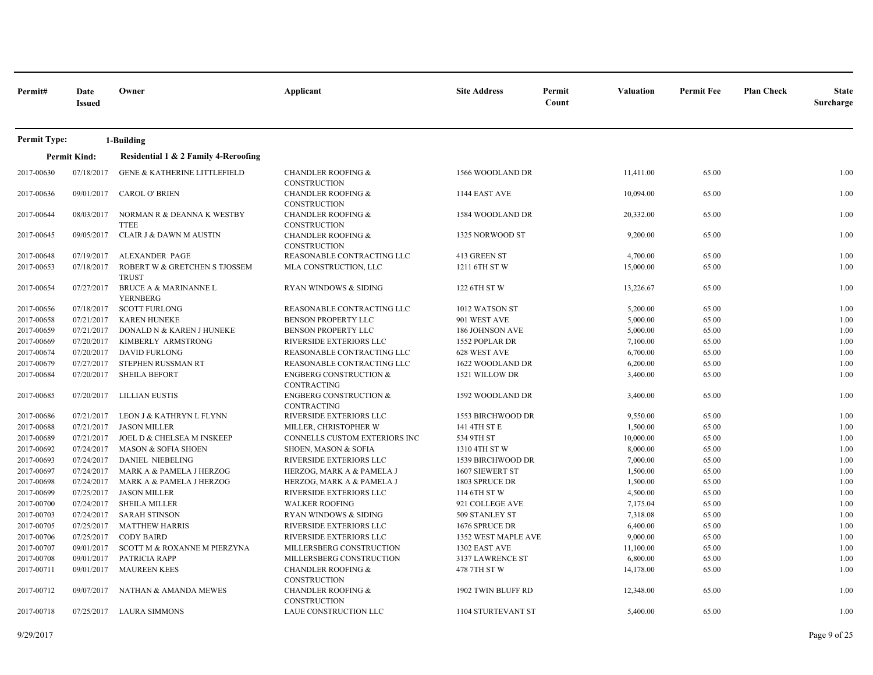| Permit#             | Date<br><b>Issued</b> | Owner                                               | Applicant                                                                   | <b>Site Address</b>       | Permit<br>Count | Valuation | <b>Permit Fee</b> | <b>Plan Check</b> | <b>State</b><br>Surcharge |
|---------------------|-----------------------|-----------------------------------------------------|-----------------------------------------------------------------------------|---------------------------|-----------------|-----------|-------------------|-------------------|---------------------------|
| <b>Permit Type:</b> |                       | 1-Building                                          |                                                                             |                           |                 |           |                   |                   |                           |
|                     | <b>Permit Kind:</b>   | Residential 1 & 2 Family 4-Reroofing                |                                                                             |                           |                 |           |                   |                   |                           |
| 2017-00630          | 07/18/2017            | <b>GENE &amp; KATHERINE LITTLEFIELD</b>             | <b>CHANDLER ROOFING &amp;</b>                                               | 1566 WOODLAND DR          |                 | 11,411.00 | 65.00             |                   | 1.00                      |
| 2017-00636          | 09/01/2017            | <b>CAROL O' BRIEN</b>                               | CONSTRUCTION<br><b>CHANDLER ROOFING &amp;</b>                               | 1144 EAST AVE             |                 | 10,094.00 | 65.00             |                   | 1.00                      |
| 2017-00644          | 08/03/2017            | NORMAN R & DEANNA K WESTBY<br><b>TTEE</b>           | <b>CONSTRUCTION</b><br><b>CHANDLER ROOFING &amp;</b><br><b>CONSTRUCTION</b> | 1584 WOODLAND DR          |                 | 20,332.00 | 65.00             |                   | 1.00                      |
| 2017-00645          | 09/05/2017            | <b>CLAIR J &amp; DAWN M AUSTIN</b>                  | <b>CHANDLER ROOFING &amp;</b><br><b>CONSTRUCTION</b>                        | 1325 NORWOOD ST           |                 | 9,200.00  | 65.00             |                   | 1.00                      |
| 2017-00648          | 07/19/2017            | <b>ALEXANDER PAGE</b>                               | REASONABLE CONTRACTING LLC                                                  | 413 GREEN ST              |                 | 4,700.00  | 65.00             |                   | 1.00                      |
| 2017-00653          | 07/18/2017            | ROBERT W & GRETCHEN S TJOSSEM<br><b>TRUST</b>       | MLA CONSTRUCTION, LLC                                                       | 1211 6TH ST W             |                 | 15,000.00 | 65.00             |                   | 1.00                      |
| 2017-00654          | 07/27/2017            | <b>BRUCE A &amp; MARINANNE L</b><br><b>YERNBERG</b> | RYAN WINDOWS & SIDING                                                       | 122 6TH ST W              |                 | 13,226.67 | 65.00             |                   | 1.00                      |
| 2017-00656          | 07/18/2017            | <b>SCOTT FURLONG</b>                                | REASONABLE CONTRACTING LLC                                                  | 1012 WATSON ST            |                 | 5,200.00  | 65.00             |                   | 1.00                      |
| 2017-00658          | 07/21/2017            | <b>KAREN HUNEKE</b>                                 | BENSON PROPERTY LLC                                                         | 901 WEST AVE              |                 | 5,000.00  | 65.00             |                   | 1.00                      |
| 2017-00659          | 07/21/2017            | DONALD N & KAREN J HUNEKE                           | <b>BENSON PROPERTY LLC</b>                                                  | <b>186 JOHNSON AVE</b>    |                 | 5,000.00  | 65.00             |                   | 1.00                      |
| 2017-00669          | 07/20/2017            | KIMBERLY ARMSTRONG                                  | RIVERSIDE EXTERIORS LLC                                                     | 1552 POPLAR DR            |                 | 7,100.00  | 65.00             |                   | 1.00                      |
| 2017-00674          | 07/20/2017            | <b>DAVID FURLONG</b>                                | REASONABLE CONTRACTING LLC                                                  | 628 WEST AVE              |                 | 6,700.00  | 65.00             |                   | 1.00                      |
| 2017-00679          | 07/27/2017            | STEPHEN RUSSMAN RT                                  | REASONABLE CONTRACTING LLC                                                  | 1622 WOODLAND DR          |                 | 6,200.00  | 65.00             |                   | 1.00                      |
| 2017-00684          | 07/20/2017            | <b>SHEILA BEFORT</b>                                | <b>ENGBERG CONSTRUCTION &amp;</b><br><b>CONTRACTING</b>                     | 1521 WILLOW DR            |                 | 3,400.00  | 65.00             |                   | 1.00                      |
| 2017-00685          | 07/20/2017            | LILLIAN EUSTIS                                      | <b>ENGBERG CONSTRUCTION &amp;</b><br><b>CONTRACTING</b>                     | 1592 WOODLAND DR          |                 | 3,400.00  | 65.00             |                   | 1.00                      |
| 2017-00686          | 07/21/2017            | LEON J & KATHRYN L FLYNN                            | RIVERSIDE EXTERIORS LLC                                                     | 1553 BIRCHWOOD DR         |                 | 9,550.00  | 65.00             |                   | 1.00                      |
| 2017-00688          | 07/21/2017            | <b>JASON MILLER</b>                                 | MILLER, CHRISTOPHER W                                                       | 141 4TH ST E              |                 | 1,500.00  | 65.00             |                   | 1.00                      |
| 2017-00689          | 07/21/2017            | JOEL D & CHELSEA M INSKEEP                          | CONNELLS CUSTOM EXTERIORS INC                                               | 534 9TH ST                |                 | 10,000.00 | 65.00             |                   | 1.00                      |
| 2017-00692          | 07/24/2017            | MASON & SOFIA SHOEN                                 | SHOEN, MASON & SOFIA                                                        | 1310 4TH ST W             |                 | 8,000.00  | 65.00             |                   | 1.00                      |
| 2017-00693          | 07/24/2017            | <b>DANIEL NIEBELING</b>                             | RIVERSIDE EXTERIORS LLC                                                     | 1539 BIRCHWOOD DR         |                 | 7,000.00  | 65.00             |                   | 1.00                      |
| 2017-00697          | 07/24/2017            | MARK A & PAMELA J HERZOG                            | HERZOG, MARK A & PAMELA J                                                   | <b>1607 SIEWERT ST</b>    |                 | 1,500.00  | 65.00             |                   | 1.00                      |
| 2017-00698          | 07/24/2017            | MARK A & PAMELA J HERZOG                            | HERZOG, MARK A & PAMELA J                                                   | 1803 SPRUCE DR            |                 | 1,500.00  | 65.00             |                   | 1.00                      |
| 2017-00699          |                       | 07/25/2017 JASON MILLER                             | RIVERSIDE EXTERIORS LLC                                                     | 114 6TH ST W              |                 | 4,500.00  | 65.00             |                   | 1.00                      |
| 2017-00700          | 07/24/2017            | <b>SHEILA MILLER</b>                                | <b>WALKER ROOFING</b>                                                       | 921 COLLEGE AVE           |                 | 7,175.04  | 65.00             |                   | 1.00                      |
| 2017-00703          | 07/24/2017            | <b>SARAH STINSON</b>                                | <b>RYAN WINDOWS &amp; SIDING</b>                                            | 509 STANLEY ST            |                 | 7,318.08  | 65.00             |                   | 1.00                      |
| 2017-00705          | 07/25/2017            | <b>MATTHEW HARRIS</b>                               | RIVERSIDE EXTERIORS LLC                                                     | 1676 SPRUCE DR            |                 | 6,400.00  | 65.00             |                   | 1.00                      |
| 2017-00706          | 07/25/2017            | <b>CODY BAIRD</b>                                   | RIVERSIDE EXTERIORS LLC                                                     | 1352 WEST MAPLE AVE       |                 | 9,000.00  | 65.00             |                   | 1.00                      |
| 2017-00707          | 09/01/2017            | <b>SCOTT M &amp; ROXANNE M PIERZYNA</b>             | MILLERSBERG CONSTRUCTION                                                    | 1302 EAST AVE             |                 | 11,100.00 | 65.00             |                   | 1.00                      |
| 2017-00708          | 09/01/2017            | PATRICIA RAPP                                       | MILLERSBERG CONSTRUCTION                                                    | 3137 LAWRENCE ST          |                 | 6,800.00  | 65.00             |                   | 1.00                      |
| 2017-00711          | 09/01/2017            | <b>MAUREEN KEES</b>                                 | <b>CHANDLER ROOFING &amp;</b>                                               | 478 7TH ST W              |                 | 14,178.00 | 65.00             |                   | 1.00                      |
|                     |                       |                                                     | <b>CONSTRUCTION</b>                                                         |                           |                 |           |                   |                   |                           |
| 2017-00712          | 09/07/2017            | NATHAN & AMANDA MEWES                               | <b>CHANDLER ROOFING &amp;</b><br>CONSTRUCTION                               | 1902 TWIN BLUFF RD        |                 | 12,348.00 | 65.00             |                   | 1.00                      |
| 2017-00718          | 07/25/2017            | <b>LAURA SIMMONS</b>                                | LAUE CONSTRUCTION LLC                                                       | <b>1104 STURTEVANT ST</b> |                 | 5,400.00  | 65.00             |                   | 1.00                      |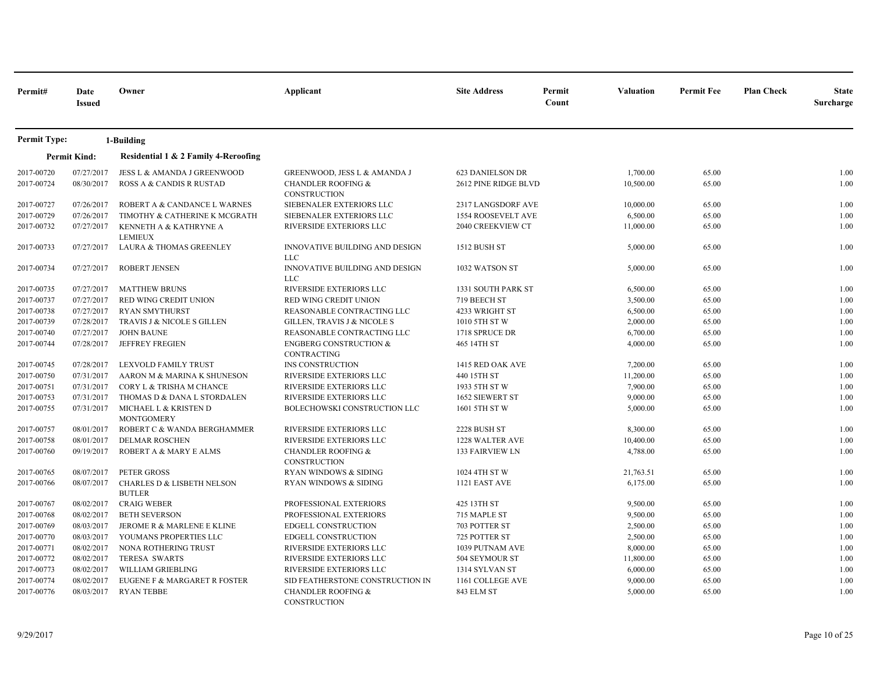| Permit#                  | Date<br><b>Issued</b>    | Owner                                                   | Applicant                                                                                       | <b>Site Address</b>                             | Permit<br>Count | <b>Valuation</b>      | <b>Permit Fee</b> | <b>Plan Check</b> | <b>State</b><br>Surcharge |
|--------------------------|--------------------------|---------------------------------------------------------|-------------------------------------------------------------------------------------------------|-------------------------------------------------|-----------------|-----------------------|-------------------|-------------------|---------------------------|
| <b>Permit Type:</b>      |                          | 1-Building                                              |                                                                                                 |                                                 |                 |                       |                   |                   |                           |
|                          | <b>Permit Kind:</b>      | Residential 1 & 2 Family 4-Reroofing                    |                                                                                                 |                                                 |                 |                       |                   |                   |                           |
| 2017-00720<br>2017-00724 | 07/27/2017<br>08/30/2017 | JESS L & AMANDA J GREENWOOD<br>ROSS A & CANDIS R RUSTAD | <b>GREENWOOD, JESS L &amp; AMANDA J</b><br><b>CHANDLER ROOFING &amp;</b><br><b>CONSTRUCTION</b> | <b>623 DANIELSON DR</b><br>2612 PINE RIDGE BLVD |                 | 1,700.00<br>10,500.00 | 65.00<br>65.00    |                   | 1.00<br>1.00              |
| 2017-00727               | 07/26/2017               | ROBERT A & CANDANCE L WARNES                            | SIEBENALER EXTERIORS LLC                                                                        | 2317 LANGSDORF AVE                              |                 | 10,000.00             | 65.00             |                   | 1.00                      |
| 2017-00729               | 07/26/2017               | TIMOTHY & CATHERINE K MCGRATH                           | SIEBENALER EXTERIORS LLC                                                                        | 1554 ROOSEVELT AVE                              |                 | 6,500.00              | 65.00             |                   | 1.00                      |
| 2017-00732               | 07/27/2017               | KENNETH A & KATHRYNE A<br><b>LEMIEUX</b>                | RIVERSIDE EXTERIORS LLC                                                                         | 2040 CREEKVIEW CT                               |                 | 11,000.00             | 65.00             |                   | 1.00                      |
| 2017-00733               | 07/27/2017               | LAURA & THOMAS GREENLEY                                 | INNOVATIVE BUILDING AND DESIGN<br><b>LLC</b>                                                    | 1512 BUSH ST                                    |                 | 5,000.00              | 65.00             |                   | 1.00                      |
| 2017-00734               | 07/27/2017               | <b>ROBERT JENSEN</b>                                    | INNOVATIVE BUILDING AND DESIGN<br><b>LLC</b>                                                    | 1032 WATSON ST                                  |                 | 5,000.00              | 65.00             |                   | 1.00                      |
| 2017-00735               | 07/27/2017               | <b>MATTHEW BRUNS</b>                                    | RIVERSIDE EXTERIORS LLC                                                                         | 1331 SOUTH PARK ST                              |                 | 6,500.00              | 65.00             |                   | 1.00                      |
| 2017-00737               | 07/27/2017               | RED WING CREDIT UNION                                   | RED WING CREDIT UNION                                                                           | 719 BEECH ST                                    |                 | 3,500.00              | 65.00             |                   | 1.00                      |
| 2017-00738               | 07/27/2017               | <b>RYAN SMYTHURST</b>                                   | REASONABLE CONTRACTING LLC                                                                      | 4233 WRIGHT ST                                  |                 | 6,500.00              | 65.00             |                   | 1.00                      |
| 2017-00739               | 07/28/2017               | TRAVIS J & NICOLE S GILLEN                              | <b>GILLEN, TRAVIS J &amp; NICOLE S</b>                                                          | 1010 5TH ST W                                   |                 | 2,000.00              | 65.00             |                   | 1.00                      |
| 2017-00740               | 07/27/2017               | <b>JOHN BAUNE</b>                                       | REASONABLE CONTRACTING LLC                                                                      | 1718 SPRUCE DR                                  |                 | 6,700.00              | 65.00             |                   | 1.00                      |
| 2017-00744               | 07/28/2017               | <b>JEFFREY FREGIEN</b>                                  | <b>ENGBERG CONSTRUCTION &amp;</b><br>CONTRACTING                                                | 465 14TH ST                                     |                 | 4,000.00              | 65.00             |                   | 1.00                      |
| 2017-00745               | 07/28/2017               | LEXVOLD FAMILY TRUST                                    | INS CONSTRUCTION                                                                                | 1415 RED OAK AVE                                |                 | 7,200.00              | 65.00             |                   | 1.00                      |
| 2017-00750               | 07/31/2017               | AARON M & MARINA K SHUNESON                             | RIVERSIDE EXTERIORS LLC                                                                         | 440 15TH ST                                     |                 | 11,200.00             | 65.00             |                   | 1.00                      |
| 2017-00751               | 07/31/2017               | CORY L & TRISHA M CHANCE                                | RIVERSIDE EXTERIORS LLC                                                                         | 1933 5TH ST W                                   |                 | 7,900.00              | 65.00             |                   | 1.00                      |
| 2017-00753               | 07/31/2017               | THOMAS D & DANA L STORDALEN                             | RIVERSIDE EXTERIORS LLC                                                                         | 1652 SIEWERT ST                                 |                 | 9,000.00              | 65.00             |                   | 1.00                      |
| 2017-00755               | 07/31/2017               | MICHAEL L & KRISTEN D<br><b>MONTGOMERY</b>              | BOLECHOWSKI CONSTRUCTION LLC                                                                    | 1601 5TH ST W                                   |                 | 5,000.00              | 65.00             |                   | 1.00                      |
| 2017-00757               | 08/01/2017               | ROBERT C & WANDA BERGHAMMER                             | RIVERSIDE EXTERIORS LLC                                                                         | 2228 BUSH ST                                    |                 | 8,300.00              | 65.00             |                   | 1.00                      |
| 2017-00758               | 08/01/2017               | <b>DELMAR ROSCHEN</b>                                   | RIVERSIDE EXTERIORS LLC                                                                         | 1228 WALTER AVE                                 |                 | 10,400.00             | 65.00             |                   | 1.00                      |
| 2017-00760               | 09/19/2017               | ROBERT A & MARY E ALMS                                  | <b>CHANDLER ROOFING &amp;</b><br><b>CONSTRUCTION</b>                                            | <b>133 FAIRVIEW LN</b>                          |                 | 4,788.00              | 65.00             |                   | 1.00                      |
| 2017-00765               | 08/07/2017               | PETER GROSS                                             | RYAN WINDOWS & SIDING                                                                           | 1024 4TH ST W                                   |                 | 21,763.51             | 65.00             |                   | 1.00                      |
| 2017-00766               | 08/07/2017               | <b>CHARLES D &amp; LISBETH NELSON</b><br><b>BUTLER</b>  | RYAN WINDOWS & SIDING                                                                           | 1121 EAST AVE                                   |                 | 6,175.00              | 65.00             |                   | 1.00                      |
| 2017-00767               | 08/02/2017               | <b>CRAIG WEBER</b>                                      | PROFESSIONAL EXTERIORS                                                                          | 425 13TH ST                                     |                 | 9,500.00              | 65.00             |                   | 1.00                      |
| 2017-00768               | 08/02/2017               | <b>BETH SEVERSON</b>                                    | PROFESSIONAL EXTERIORS                                                                          | 715 MAPLE ST                                    |                 | 9,500.00              | 65.00             |                   | 1.00                      |
| 2017-00769               | 08/03/2017               | JEROME R & MARLENE E KLINE                              | <b>EDGELL CONSTRUCTION</b>                                                                      | 703 POTTER ST                                   |                 | 2,500.00              | 65.00             |                   | 1.00                      |
| 2017-00770               | 08/03/2017               | YOUMANS PROPERTIES LLC                                  | <b>EDGELL CONSTRUCTION</b>                                                                      | 725 POTTER ST                                   |                 | 2,500.00              | 65.00             |                   | 1.00                      |
| 2017-00771               | 08/02/2017               | NONA ROTHERING TRUST                                    | RIVERSIDE EXTERIORS LLC                                                                         | 1039 PUTNAM AVE                                 |                 | 8,000.00              | 65.00             |                   | 1.00                      |
| 2017-00772               | 08/02/2017               | <b>TERESA SWARTS</b>                                    | RIVERSIDE EXTERIORS LLC                                                                         | 504 SEYMOUR ST                                  |                 | 11,800.00             | 65.00             |                   | 1.00                      |
| 2017-00773               | 08/02/2017               | WILLIAM GRIEBLING                                       | RIVERSIDE EXTERIORS LLC                                                                         | 1314 SYLVAN ST                                  |                 | 6,000.00              | 65.00             |                   | 1.00                      |
| 2017-00774               | 08/02/2017               | EUGENE F & MARGARET R FOSTER                            | SID FEATHERSTONE CONSTRUCTION IN                                                                | 1161 COLLEGE AVE                                |                 | 9,000.00              | 65.00             |                   | 1.00                      |
| 2017-00776               | 08/03/2017               | <b>RYAN TEBBE</b>                                       | <b>CHANDLER ROOFING &amp;</b><br><b>CONSTRUCTION</b>                                            | 843 ELM ST                                      |                 | 5,000.00              | 65.00             |                   | 1.00                      |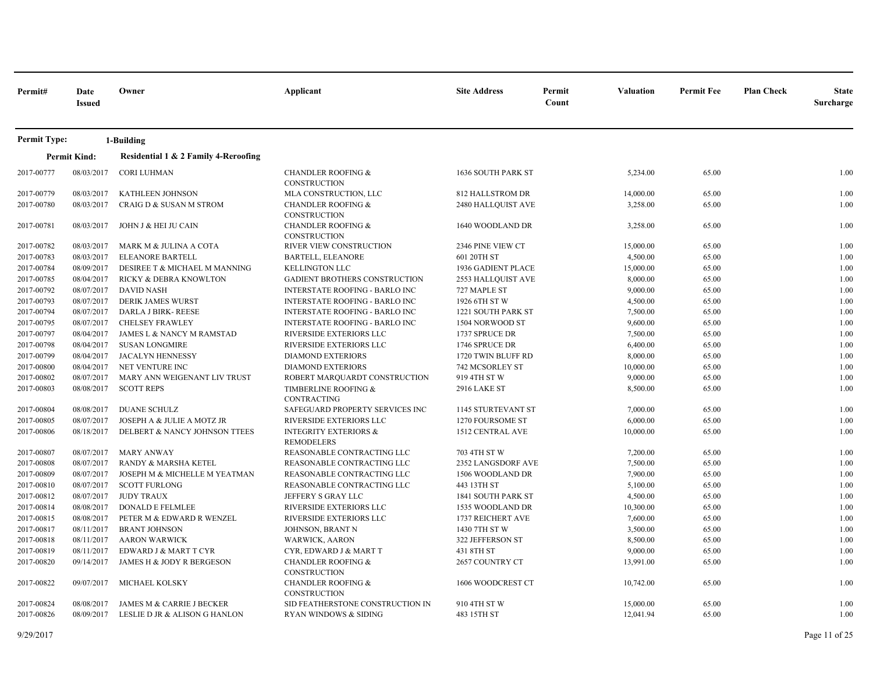| Permit#             | Date<br><b>Issued</b> | Owner                                | Applicant                                             | <b>Site Address</b>       | Permit<br>Count | Valuation | <b>Permit Fee</b> | <b>Plan Check</b> | <b>State</b><br>Surcharge |
|---------------------|-----------------------|--------------------------------------|-------------------------------------------------------|---------------------------|-----------------|-----------|-------------------|-------------------|---------------------------|
| <b>Permit Type:</b> |                       | 1-Building                           |                                                       |                           |                 |           |                   |                   |                           |
|                     | <b>Permit Kind:</b>   | Residential 1 & 2 Family 4-Reroofing |                                                       |                           |                 |           |                   |                   |                           |
| 2017-00777          | 08/03/2017            | <b>CORI LUHMAN</b>                   | <b>CHANDLER ROOFING &amp;</b><br><b>CONSTRUCTION</b>  | 1636 SOUTH PARK ST        |                 | 5,234.00  | 65.00             |                   | 1.00                      |
| 2017-00779          | 08/03/2017            | <b>KATHLEEN JOHNSON</b>              | MLA CONSTRUCTION, LLC                                 | 812 HALLSTROM DR          |                 | 14,000.00 | 65.00             |                   | 1.00                      |
| 2017-00780          | 08/03/2017            | CRAIG D & SUSAN M STROM              | <b>CHANDLER ROOFING &amp;</b><br>CONSTRUCTION         | 2480 HALLQUIST AVE        |                 | 3,258.00  | 65.00             |                   | 1.00                      |
| 2017-00781          | 08/03/2017            | JOHN J & HEI JU CAIN                 | <b>CHANDLER ROOFING &amp;</b><br>CONSTRUCTION         | 1640 WOODLAND DR          |                 | 3,258.00  | 65.00             |                   | 1.00                      |
| 2017-00782          | 08/03/2017            | MARK M & JULINA A COTA               | RIVER VIEW CONSTRUCTION                               | 2346 PINE VIEW CT         |                 | 15,000.00 | 65.00             |                   | 1.00                      |
| 2017-00783          | 08/03/2017            | <b>ELEANORE BARTELL</b>              | <b>BARTELL, ELEANORE</b>                              | 601 20TH ST               |                 | 4,500.00  | 65.00             |                   | 1.00                      |
| 2017-00784          | 08/09/2017            | DESIREE T & MICHAEL M MANNING        | <b>KELLINGTON LLC</b>                                 | 1936 GADIENT PLACE        |                 | 15,000.00 | 65.00             |                   | 1.00                      |
| 2017-00785          | 08/04/2017            | RICKY & DEBRA KNOWLTON               | <b>GADIENT BROTHERS CONSTRUCTION</b>                  | 2553 HALLQUIST AVE        |                 | 8,000.00  | 65.00             |                   | 1.00                      |
| 2017-00792          | 08/07/2017            | <b>DAVID NASH</b>                    | <b>INTERSTATE ROOFING - BARLO INC</b>                 | 727 MAPLE ST              |                 | 9,000.00  | 65.00             |                   | 1.00                      |
| 2017-00793          | 08/07/2017            | <b>DERIK JAMES WURST</b>             | <b>INTERSTATE ROOFING - BARLO INC</b>                 | 1926 6TH ST W             |                 | 4,500.00  | 65.00             |                   | 1.00                      |
| 2017-00794          | 08/07/2017            | DARLA J BIRK-REESE                   | <b>INTERSTATE ROOFING - BARLO INC</b>                 | 1221 SOUTH PARK ST        |                 | 7,500.00  | 65.00             |                   | 1.00                      |
| 2017-00795          | 08/07/2017            | <b>CHELSEY FRAWLEY</b>               | <b>INTERSTATE ROOFING - BARLO INC</b>                 | 1504 NORWOOD ST           |                 | 9,600.00  | 65.00             |                   | 1.00                      |
| 2017-00797          | 08/04/2017            | JAMES L & NANCY M RAMSTAD            | RIVERSIDE EXTERIORS LLC                               | 1737 SPRUCE DR            |                 | 7,500.00  | 65.00             |                   | 1.00                      |
| 2017-00798          | 08/04/2017            | <b>SUSAN LONGMIRE</b>                | RIVERSIDE EXTERIORS LLC                               | 1746 SPRUCE DR            |                 | 6,400.00  | 65.00             |                   | 1.00                      |
| 2017-00799          | 08/04/2017            | <b>JACALYN HENNESSY</b>              | <b>DIAMOND EXTERIORS</b>                              | 1720 TWIN BLUFF RD        |                 | 8,000.00  | 65.00             |                   | 1.00                      |
| 2017-00800          | 08/04/2017            | NET VENTURE INC                      | <b>DIAMOND EXTERIORS</b>                              | 742 MCSORLEY ST           |                 | 10,000.00 | 65.00             |                   | 1.00                      |
| 2017-00802          | 08/07/2017            | MARY ANN WEIGENANT LIV TRUST         | ROBERT MARQUARDT CONSTRUCTION                         | 919 4TH ST W              |                 | 9,000.00  | 65.00             |                   | 1.00                      |
| 2017-00803          | 08/08/2017            | <b>SCOTT REPS</b>                    | TIMBERLINE ROOFING &<br><b>CONTRACTING</b>            | <b>2916 LAKE ST</b>       |                 | 8,500.00  | 65.00             |                   | 1.00                      |
| 2017-00804          | 08/08/2017            | <b>DUANE SCHULZ</b>                  | SAFEGUARD PROPERTY SERVICES INC                       | <b>1145 STURTEVANT ST</b> |                 | 7,000.00  | 65.00             |                   | 1.00                      |
| 2017-00805          | 08/07/2017            | JOSEPH A & JULIE A MOTZ JR           | RIVERSIDE EXTERIORS LLC                               | 1270 FOURSOME ST          |                 | 6,000.00  | 65.00             |                   | 1.00                      |
| 2017-00806          | 08/18/2017            | DELBERT & NANCY JOHNSON TTEES        | <b>INTEGRITY EXTERIORS &amp;</b><br><b>REMODELERS</b> | 1512 CENTRAL AVE          |                 | 10,000.00 | 65.00             |                   | 1.00                      |
| 2017-00807          | 08/07/2017            | <b>MARY ANWAY</b>                    | REASONABLE CONTRACTING LLC                            | 703 4TH ST W              |                 | 7,200.00  | 65.00             |                   | 1.00                      |
| 2017-00808          | 08/07/2017            | RANDY & MARSHA KETEL                 | REASONABLE CONTRACTING LLC                            | 2352 LANGSDORF AVE        |                 | 7,500.00  | 65.00             |                   | 1.00                      |
| 2017-00809          | 08/07/2017            | JOSEPH M & MICHELLE M YEATMAN        | REASONABLE CONTRACTING LLC                            | 1506 WOODLAND DR          |                 | 7,900.00  | 65.00             |                   | 1.00                      |
| 2017-00810          | 08/07/2017            | <b>SCOTT FURLONG</b>                 | REASONABLE CONTRACTING LLC                            | 443 13TH ST               |                 | 5,100.00  | 65.00             |                   | 1.00                      |
| 2017-00812          | 08/07/2017            | <b>JUDY TRAUX</b>                    | JEFFERY S GRAY LLC                                    | <b>1841 SOUTH PARK ST</b> |                 | 4,500.00  | 65.00             |                   | 1.00                      |
| 2017-00814          | 08/08/2017            | <b>DONALD E FELMLEE</b>              | <b>RIVERSIDE EXTERIORS LLC</b>                        | 1535 WOODLAND DR          |                 | 10,300.00 | 65.00             |                   | 1.00                      |
| 2017-00815          | 08/08/2017            | PETER M & EDWARD R WENZEL            | RIVERSIDE EXTERIORS LLC                               | 1737 REICHERT AVE         |                 | 7,600.00  | 65.00             |                   | 1.00                      |
| 2017-00817          | 08/11/2017            | <b>BRANT JOHNSON</b>                 | JOHNSON, BRANT N                                      | 1430 7TH ST W             |                 | 3,500.00  | 65.00             |                   | 1.00                      |
| 2017-00818          | 08/11/2017            | <b>AARON WARWICK</b>                 | WARWICK, AARON                                        | 322 JEFFERSON ST          |                 | 8,500.00  | 65.00             |                   | 1.00                      |
| 2017-00819          | 08/11/2017            | EDWARD J & MART T CYR                | CYR, EDWARD J & MART T                                | 431 8TH ST                |                 | 9,000.00  | 65.00             |                   | 1.00                      |
| 2017-00820          | 09/14/2017            | JAMES H & JODY R BERGESON            | <b>CHANDLER ROOFING &amp;</b><br>CONSTRUCTION         | 2657 COUNTRY CT           |                 | 13,991.00 | 65.00             |                   | 1.00                      |
| 2017-00822          | 09/07/2017            | MICHAEL KOLSKY                       | <b>CHANDLER ROOFING &amp;</b><br>CONSTRUCTION         | 1606 WOODCREST CT         |                 | 10,742.00 | 65.00             |                   | 1.00                      |
| 2017-00824          | 08/08/2017            | JAMES M & CARRIE J BECKER            | SID FEATHERSTONE CONSTRUCTION IN                      | 910 4TH ST W              |                 | 15,000.00 | 65.00             |                   | 1.00                      |
| 2017-00826          | 08/09/2017            | LESLIE D JR & ALISON G HANLON        | <b>RYAN WINDOWS &amp; SIDING</b>                      | 483 15TH ST               |                 | 12,041.94 | 65.00             |                   | 1.00                      |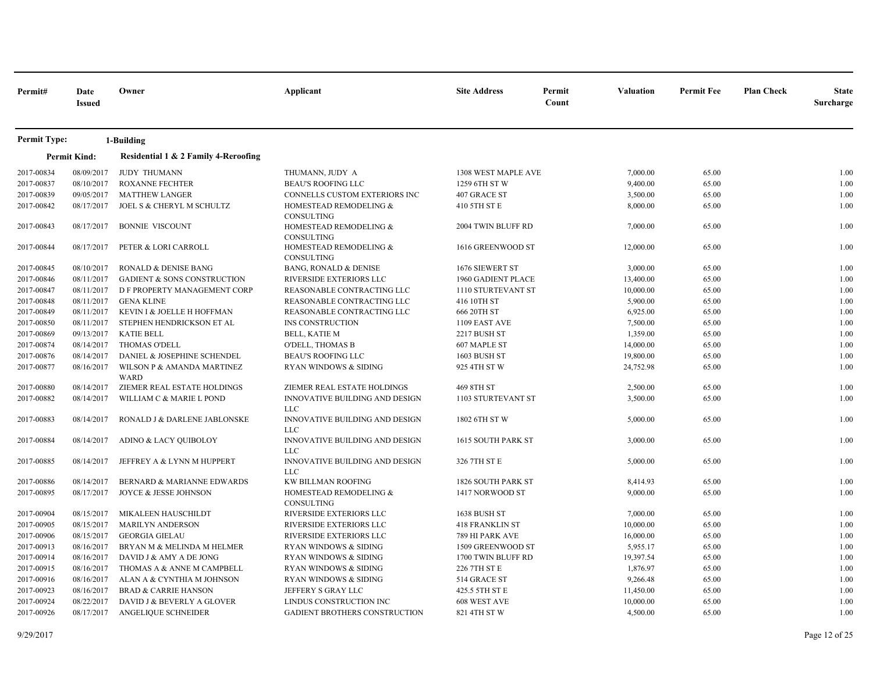| Permit#             | Date<br><b>Issued</b> | Owner                                     | Applicant                                    | <b>Site Address</b>       | Permit<br>Count | <b>Valuation</b> | <b>Permit Fee</b> | <b>Plan Check</b> | <b>State</b><br>Surcharge |
|---------------------|-----------------------|-------------------------------------------|----------------------------------------------|---------------------------|-----------------|------------------|-------------------|-------------------|---------------------------|
| <b>Permit Type:</b> |                       | 1-Building                                |                                              |                           |                 |                  |                   |                   |                           |
|                     | <b>Permit Kind:</b>   | Residential 1 & 2 Family 4-Reroofing      |                                              |                           |                 |                  |                   |                   |                           |
| 2017-00834          | 08/09/2017            | <b>JUDY THUMANN</b>                       | THUMANN, JUDY A                              | 1308 WEST MAPLE AVE       |                 | 7,000.00         | 65.00             |                   | 1.00                      |
| 2017-00837          | 08/10/2017            | <b>ROXANNE FECHTER</b>                    | <b>BEAU'S ROOFING LLC</b>                    | 1259 6TH ST W             |                 | 9,400.00         | 65.00             |                   | 1.00                      |
| 2017-00839          | 09/05/2017            | <b>MATTHEW LANGER</b>                     | CONNELLS CUSTOM EXTERIORS INC                | 407 GRACE ST              |                 | 3,500.00         | 65.00             |                   | 1.00                      |
| 2017-00842          | 08/17/2017            | JOEL S & CHERYL M SCHULTZ                 | HOMESTEAD REMODELING &<br>CONSULTING         | 410 5TH ST E              |                 | 8,000.00         | 65.00             |                   | 1.00                      |
| 2017-00843          | 08/17/2017            | <b>BONNIE VISCOUNT</b>                    | HOMESTEAD REMODELING &<br>CONSULTING         | 2004 TWIN BLUFF RD        |                 | 7,000.00         | 65.00             |                   | 1.00                      |
| 2017-00844          | 08/17/2017            | PETER & LORI CARROLL                      | HOMESTEAD REMODELING &<br><b>CONSULTING</b>  | 1616 GREENWOOD ST         |                 | 12,000.00        | 65.00             |                   | 1.00                      |
| 2017-00845          | 08/10/2017            | RONALD & DENISE BANG                      | <b>BANG, RONALD &amp; DENISE</b>             | 1676 SIEWERT ST           |                 | 3,000.00         | 65.00             |                   | 1.00                      |
| 2017-00846          | 08/11/2017            | <b>GADIENT &amp; SONS CONSTRUCTION</b>    | RIVERSIDE EXTERIORS LLC                      | 1960 GADIENT PLACE        |                 | 13,400.00        | 65.00             |                   | 1.00                      |
| 2017-00847          | 08/11/2017            | D F PROPERTY MANAGEMENT CORP              | REASONABLE CONTRACTING LLC                   | 1110 STURTEVANT ST        |                 | 10,000.00        | 65.00             |                   | 1.00                      |
| 2017-00848          | 08/11/2017            | <b>GENA KLINE</b>                         | REASONABLE CONTRACTING LLC                   | 416 10TH ST               |                 | 5,900.00         | 65.00             |                   | 1.00                      |
| 2017-00849          | 08/11/2017            | KEVIN I & JOELLE H HOFFMAN                | REASONABLE CONTRACTING LLC                   | 666 20TH ST               |                 | 6,925.00         | 65.00             |                   | 1.00                      |
| 2017-00850          | 08/11/2017            | STEPHEN HENDRICKSON ET AL                 | INS CONSTRUCTION                             | 1109 EAST AVE             |                 | 7,500.00         | 65.00             |                   | 1.00                      |
| 2017-00869          | 09/13/2017            | <b>KATIE BELL</b>                         | <b>BELL, KATIE M</b>                         | 2217 BUSH ST              |                 | 1,359.00         | 65.00             |                   | 1.00                      |
| 2017-00874          | 08/14/2017            | THOMAS O'DELL                             | O'DELL, THOMAS B                             | 607 MAPLE ST              |                 | 14,000.00        | 65.00             |                   | 1.00                      |
| 2017-00876          | 08/14/2017            | DANIEL & JOSEPHINE SCHENDEL               | <b>BEAU'S ROOFING LLC</b>                    | 1603 BUSH ST              |                 | 19,800.00        | 65.00             |                   | 1.00                      |
| 2017-00877          | 08/16/2017            | WILSON P & AMANDA MARTINEZ<br><b>WARD</b> | <b>RYAN WINDOWS &amp; SIDING</b>             | 925 4TH ST W              |                 | 24,752.98        | 65.00             |                   | 1.00                      |
| 2017-00880          | 08/14/2017            | ZIEMER REAL ESTATE HOLDINGS               | ZIEMER REAL ESTATE HOLDINGS                  | 469 8TH ST                |                 | 2,500.00         | 65.00             |                   | 1.00                      |
| 2017-00882          | 08/14/2017            | WILLIAM C & MARIE L POND                  | INNOVATIVE BUILDING AND DESIGN<br>LLC.       | <b>1103 STURTEVANT ST</b> |                 | 3,500.00         | 65.00             |                   | 1.00                      |
| 2017-00883          | 08/14/2017            | RONALD J & DARLENE JABLONSKE              | INNOVATIVE BUILDING AND DESIGN<br>LLC        | 1802 6TH ST W             |                 | 5,000.00         | 65.00             |                   | 1.00                      |
| 2017-00884          | 08/14/2017            | ADINO & LACY QUIBOLOY                     | INNOVATIVE BUILDING AND DESIGN<br><b>LLC</b> | 1615 SOUTH PARK ST        |                 | 3,000.00         | 65.00             |                   | 1.00                      |
| 2017-00885          | 08/14/2017            | JEFFREY A & LYNN M HUPPERT                | INNOVATIVE BUILDING AND DESIGN<br>LLC.       | 326 7TH ST E              |                 | 5,000.00         | 65.00             |                   | 1.00                      |
| 2017-00886          | 08/14/2017            | BERNARD & MARIANNE EDWARDS                | <b>KW BILLMAN ROOFING</b>                    | 1826 SOUTH PARK ST        |                 | 8,414.93         | 65.00             |                   | 1.00                      |
| 2017-00895          | 08/17/2017            | JOYCE & JESSE JOHNSON                     | HOMESTEAD REMODELING &<br>CONSULTING         | 1417 NORWOOD ST           |                 | 9,000.00         | 65.00             |                   | 1.00                      |
| 2017-00904          | 08/15/2017            | MIKALEEN HAUSCHILDT                       | RIVERSIDE EXTERIORS LLC                      | 1638 BUSH ST              |                 | 7,000.00         | 65.00             |                   | 1.00                      |
| 2017-00905          | 08/15/2017            | <b>MARILYN ANDERSON</b>                   | RIVERSIDE EXTERIORS LLC                      | <b>418 FRANKLIN ST</b>    |                 | 10,000.00        | 65.00             |                   | 1.00                      |
| 2017-00906          | 08/15/2017            | <b>GEORGIA GIELAU</b>                     | RIVERSIDE EXTERIORS LLC                      | 789 HI PARK AVE           |                 | 16,000.00        | 65.00             |                   | 1.00                      |
| 2017-00913          | 08/16/2017            | BRYAN M & MELINDA M HELMER                | RYAN WINDOWS & SIDING                        | 1509 GREENWOOD ST         |                 | 5,955.17         | 65.00             |                   | 1.00                      |
| 2017-00914          | 08/16/2017            | DAVID J & AMY A DE JONG                   | RYAN WINDOWS & SIDING                        | 1700 TWIN BLUFF RD        |                 | 19,397.54        | 65.00             |                   | 1.00                      |
| 2017-00915          | 08/16/2017            | THOMAS A & ANNE M CAMPBELL                | RYAN WINDOWS & SIDING                        | 226 7TH ST E              |                 | 1,876.97         | 65.00             |                   | 1.00                      |
| 2017-00916          | 08/16/2017            | ALAN A & CYNTHIA M JOHNSON                | RYAN WINDOWS & SIDING                        | 514 GRACE ST              |                 | 9,266.48         | 65.00             |                   | 1.00                      |
| 2017-00923          | 08/16/2017            | <b>BRAD &amp; CARRIE HANSON</b>           | JEFFERY S GRAY LLC                           | 425.5 5TH ST E            |                 | 11,450.00        | 65.00             |                   | 1.00                      |
| 2017-00924          | 08/22/2017            | DAVID J & BEVERLY A GLOVER                | LINDUS CONSTRUCTION INC                      | 608 WEST AVE              |                 | 10,000.00        | 65.00             |                   | 1.00                      |
| 2017-00926          | 08/17/2017            | ANGELIQUE SCHNEIDER                       | <b>GADIENT BROTHERS CONSTRUCTION</b>         | 821 4TH ST W              |                 | 4,500.00         | 65.00             |                   | 1.00                      |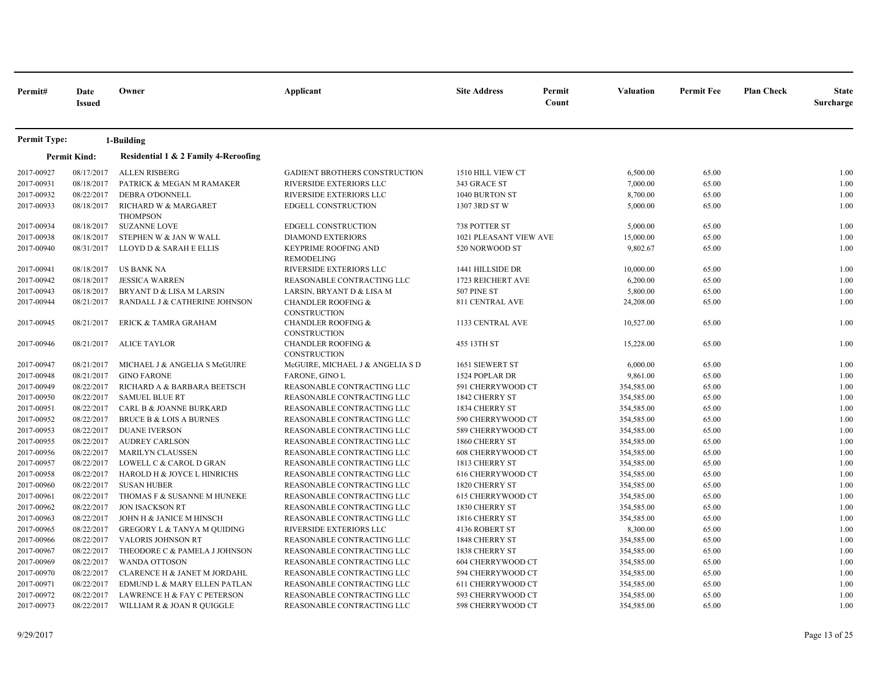| Permit#             | Date<br><b>Issued</b> | Owner                                   | Applicant                                            | <b>Site Address</b>      | Permit<br>Count | Valuation  | <b>Permit Fee</b> | <b>Plan Check</b> | <b>State</b><br>Surcharge |
|---------------------|-----------------------|-----------------------------------------|------------------------------------------------------|--------------------------|-----------------|------------|-------------------|-------------------|---------------------------|
| <b>Permit Type:</b> |                       | 1-Building                              |                                                      |                          |                 |            |                   |                   |                           |
|                     | <b>Permit Kind:</b>   | Residential 1 & 2 Family 4-Reroofing    |                                                      |                          |                 |            |                   |                   |                           |
| 2017-00927          | 08/17/2017            | <b>ALLEN RISBERG</b>                    | <b>GADIENT BROTHERS CONSTRUCTION</b>                 | 1510 HILL VIEW CT        |                 | 6,500.00   | 65.00             |                   | 1.00                      |
| 2017-00931          | 08/18/2017            | PATRICK & MEGAN M RAMAKER               | RIVERSIDE EXTERIORS LLC                              | 343 GRACE ST             |                 | 7,000.00   | 65.00             |                   | 1.00                      |
| 2017-00932          | 08/22/2017            | DEBRA O'DONNELL                         | RIVERSIDE EXTERIORS LLC                              | 1040 BURTON ST           |                 | 8,700.00   | 65.00             |                   | 1.00                      |
| 2017-00933          | 08/18/2017            | RICHARD W & MARGARET<br><b>THOMPSON</b> | EDGELL CONSTRUCTION                                  | 1307 3RD ST W            |                 | 5,000.00   | 65.00             |                   | 1.00                      |
| 2017-00934          | 08/18/2017            | <b>SUZANNE LOVE</b>                     | EDGELL CONSTRUCTION                                  | 738 POTTER ST            |                 | 5,000.00   | 65.00             |                   | 1.00                      |
| 2017-00938          | 08/18/2017            | STEPHEN W & JAN W WALL                  | <b>DIAMOND EXTERIORS</b>                             | 1021 PLEASANT VIEW AVE   |                 | 15,000.00  | 65.00             |                   | 1.00                      |
| 2017-00940          | 08/31/2017            | LLOYD D & SARAH E ELLIS                 | KEYPRIME ROOFING AND<br>REMODELING                   | 520 NORWOOD ST           |                 | 9,802.67   | 65.00             |                   | 1.00                      |
| 2017-00941          | 08/18/2017            | <b>US BANK NA</b>                       | RIVERSIDE EXTERIORS LLC                              | 1441 HILLSIDE DR         |                 | 10,000.00  | 65.00             |                   | 1.00                      |
| 2017-00942          | 08/18/2017            | <b>JESSICA WARREN</b>                   | REASONABLE CONTRACTING LLC                           | 1723 REICHERT AVE        |                 | 6,200.00   | 65.00             |                   | 1.00                      |
| 2017-00943          | 08/18/2017            | BRYANT D & LISA M LARSIN                | LARSIN, BRYANT D & LISA M                            | 507 PINE ST              |                 | 5,800.00   | 65.00             |                   | 1.00                      |
| 2017-00944          | 08/21/2017            | RANDALL J & CATHERINE JOHNSON           | <b>CHANDLER ROOFING &amp;</b><br><b>CONSTRUCTION</b> | 811 CENTRAL AVE          |                 | 24,208.00  | 65.00             |                   | 1.00                      |
| 2017-00945          | 08/21/2017            | ERICK & TAMRA GRAHAM                    | <b>CHANDLER ROOFING &amp;</b><br>CONSTRUCTION        | 1133 CENTRAL AVE         |                 | 10,527.00  | 65.00             |                   | 1.00                      |
| 2017-00946          | 08/21/2017            | <b>ALICE TAYLOR</b>                     | <b>CHANDLER ROOFING &amp;</b><br>CONSTRUCTION        | 455 13TH ST              |                 | 15,228.00  | 65.00             |                   | 1.00                      |
| 2017-00947          | 08/21/2017            | MICHAEL J & ANGELIA S McGUIRE           | McGUIRE, MICHAEL J & ANGELIA S D                     | 1651 SIEWERT ST          |                 | 6,000.00   | 65.00             |                   | 1.00                      |
| 2017-00948          | 08/21/2017            | <b>GINO FARONE</b>                      | <b>FARONE, GINO L</b>                                | 1524 POPLAR DR           |                 | 9,861.00   | 65.00             |                   | 1.00                      |
| 2017-00949          | 08/22/2017            | RICHARD A & BARBARA BEETSCH             | REASONABLE CONTRACTING LLC                           | 591 CHERRYWOOD CT        |                 | 354,585.00 | 65.00             |                   | 1.00                      |
| 2017-00950          | 08/22/2017            | <b>SAMUEL BLUE RT</b>                   | REASONABLE CONTRACTING LLC                           | 1842 CHERRY ST           |                 | 354,585.00 | 65.00             |                   | 1.00                      |
| 2017-00951          | 08/22/2017            | CARL B & JOANNE BURKARD                 | REASONABLE CONTRACTING LLC                           | 1834 CHERRY ST           |                 | 354,585.00 | 65.00             |                   | 1.00                      |
| 2017-00952          | 08/22/2017            | <b>BRUCE B &amp; LOIS A BURNES</b>      | REASONABLE CONTRACTING LLC                           | 590 CHERRYWOOD CT        |                 | 354,585.00 | 65.00             |                   | 1.00                      |
| 2017-00953          | 08/22/2017            | <b>DUANE IVERSON</b>                    | REASONABLE CONTRACTING LLC                           | 589 CHERRYWOOD CT        |                 | 354,585.00 | 65.00             |                   | 1.00                      |
| 2017-00955          | 08/22/2017            | <b>AUDREY CARLSON</b>                   | REASONABLE CONTRACTING LLC                           | 1860 CHERRY ST           |                 | 354,585.00 | 65.00             |                   | 1.00                      |
| 2017-00956          | 08/22/2017            | <b>MARILYN CLAUSSEN</b>                 | REASONABLE CONTRACTING LLC                           | <b>608 CHERRYWOOD CT</b> |                 | 354,585.00 | 65.00             |                   | 1.00                      |
| 2017-00957          | 08/22/2017            | LOWELL C & CAROL D GRAN                 | REASONABLE CONTRACTING LLC                           | 1813 CHERRY ST           |                 | 354,585.00 | 65.00             |                   | 1.00                      |
| 2017-00958          | 08/22/2017            | HAROLD H & JOYCE L HINRICHS             | REASONABLE CONTRACTING LLC                           | 616 CHERRYWOOD CT        |                 | 354,585.00 | 65.00             |                   | 1.00                      |
| 2017-00960          | 08/22/2017            | <b>SUSAN HUBER</b>                      | REASONABLE CONTRACTING LLC                           | 1820 CHERRY ST           |                 | 354,585.00 | 65.00             |                   | 1.00                      |
| 2017-00961          | 08/22/2017            | THOMAS F & SUSANNE M HUNEKE             | REASONABLE CONTRACTING LLC                           | 615 CHERRYWOOD CT        |                 | 354,585.00 | 65.00             |                   | 1.00                      |
| 2017-00962          | 08/22/2017            | <b>JON ISACKSON RT</b>                  | REASONABLE CONTRACTING LLC                           | 1830 CHERRY ST           |                 | 354,585.00 | 65.00             |                   | 1.00                      |
| 2017-00963          | 08/22/2017            | JOHN H & JANICE M HINSCH                | REASONABLE CONTRACTING LLC                           | 1816 CHERRY ST           |                 | 354,585.00 | 65.00             |                   | 1.00                      |
| 2017-00965          | 08/22/2017            | <b>GREGORY L &amp; TANYA M QUIDING</b>  | RIVERSIDE EXTERIORS LLC                              | 4136 ROBERT ST           |                 | 8,300.00   | 65.00             |                   | 1.00                      |
| 2017-00966          | 08/22/2017            | <b>VALORIS JOHNSON RT</b>               | REASONABLE CONTRACTING LLC                           | 1848 CHERRY ST           |                 | 354,585.00 | 65.00             |                   | 1.00                      |
| 2017-00967          | 08/22/2017            | THEODORE C & PAMELA J JOHNSON           | REASONABLE CONTRACTING LLC                           | 1838 CHERRY ST           |                 | 354,585.00 | 65.00             |                   | 1.00                      |
| 2017-00969          | 08/22/2017            | <b>WANDA OTTOSON</b>                    | REASONABLE CONTRACTING LLC                           | 604 CHERRYWOOD CT        |                 | 354,585.00 | 65.00             |                   | 1.00                      |
| 2017-00970          | 08/22/2017            | CLARENCE H & JANET M JORDAHL            | REASONABLE CONTRACTING LLC                           | 594 CHERRYWOOD CT        |                 | 354,585.00 | 65.00             |                   | 1.00                      |
| 2017-00971          | 08/22/2017            | EDMUND L & MARY ELLEN PATLAN            | REASONABLE CONTRACTING LLC                           | 611 CHERRYWOOD CT        |                 | 354,585.00 | 65.00             |                   | 1.00                      |
| 2017-00972          | 08/22/2017            | LAWRENCE H & FAY C PETERSON             | REASONABLE CONTRACTING LLC                           | 593 CHERRYWOOD CT        |                 | 354,585.00 | 65.00             |                   | 1.00                      |
| 2017-00973          | 08/22/2017            | WILLIAM R & JOAN R QUIGGLE              | REASONABLE CONTRACTING LLC                           | 598 CHERRYWOOD CT        |                 | 354,585.00 | 65.00             |                   | 1.00                      |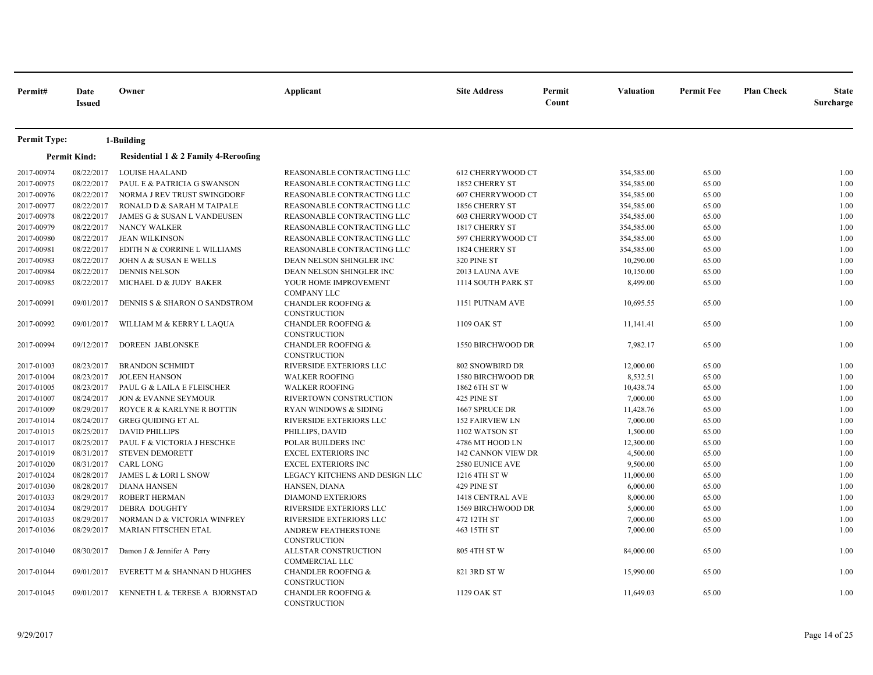| Permit#             | Date<br><b>Issued</b> | Owner                                | Applicant                                            | <b>Site Address</b>      | Permit<br>Count | <b>Valuation</b> | <b>Permit Fee</b> | <b>Plan Check</b> | <b>State</b><br>Surcharge |
|---------------------|-----------------------|--------------------------------------|------------------------------------------------------|--------------------------|-----------------|------------------|-------------------|-------------------|---------------------------|
| <b>Permit Type:</b> |                       | 1-Building                           |                                                      |                          |                 |                  |                   |                   |                           |
|                     | <b>Permit Kind:</b>   | Residential 1 & 2 Family 4-Reroofing |                                                      |                          |                 |                  |                   |                   |                           |
| 2017-00974          | 08/22/2017            | <b>LOUISE HAALAND</b>                | REASONABLE CONTRACTING LLC                           | 612 CHERRYWOOD CT        |                 | 354,585.00       | 65.00             |                   | 1.00                      |
| 2017-00975          | 08/22/2017            | PAUL E & PATRICIA G SWANSON          | REASONABLE CONTRACTING LLC                           | 1852 CHERRY ST           |                 | 354,585.00       | 65.00             |                   | 1.00                      |
| 2017-00976          | 08/22/2017            | NORMA J REV TRUST SWINGDORF          | REASONABLE CONTRACTING LLC                           | <b>607 CHERRYWOOD CT</b> |                 | 354,585.00       | 65.00             |                   | 1.00                      |
| 2017-00977          | 08/22/2017            | RONALD D & SARAH M TAIPALE           | REASONABLE CONTRACTING LLC                           | 1856 CHERRY ST           |                 | 354,585.00       | 65.00             |                   | 1.00                      |
| 2017-00978          | 08/22/2017            | JAMES G & SUSAN L VANDEUSEN          | REASONABLE CONTRACTING LLC                           | <b>603 CHERRYWOOD CT</b> |                 | 354,585.00       | 65.00             |                   | 1.00                      |
| 2017-00979          | 08/22/2017            | NANCY WALKER                         | REASONABLE CONTRACTING LLC                           | 1817 CHERRY ST           |                 | 354,585.00       | 65.00             |                   | 1.00                      |
| 2017-00980          | 08/22/2017            | <b>JEAN WILKINSON</b>                | REASONABLE CONTRACTING LLC                           | 597 CHERRYWOOD CT        |                 | 354,585.00       | 65.00             |                   | 1.00                      |
| 2017-00981          | 08/22/2017            | EDITH N & CORRINE L WILLIAMS         | REASONABLE CONTRACTING LLC                           | 1824 CHERRY ST           |                 | 354,585.00       | 65.00             |                   | 1.00                      |
| 2017-00983          | 08/22/2017            | JOHN A & SUSAN E WELLS               | DEAN NELSON SHINGLER INC                             | 320 PINE ST              |                 | 10,290.00        | 65.00             |                   | 1.00                      |
| 2017-00984          | 08/22/2017            | <b>DENNIS NELSON</b>                 | DEAN NELSON SHINGLER INC                             | 2013 LAUNA AVE           |                 | 10,150.00        | 65.00             |                   | 1.00                      |
| 2017-00985          | 08/22/2017            | MICHAEL D & JUDY BAKER               | YOUR HOME IMPROVEMENT<br><b>COMPANY LLC</b>          | 1114 SOUTH PARK ST       |                 | 8,499.00         | 65.00             |                   | 1.00                      |
| 2017-00991          | 09/01/2017            | DENNIS S & SHARON O SANDSTROM        | <b>CHANDLER ROOFING &amp;</b><br><b>CONSTRUCTION</b> | 1151 PUTNAM AVE          |                 | 10,695.55        | 65.00             |                   | 1.00                      |
| 2017-00992          | 09/01/2017            | WILLIAM M & KERRY L LAQUA            | <b>CHANDLER ROOFING &amp;</b><br><b>CONSTRUCTION</b> | 1109 OAK ST              |                 | 11,141.41        | 65.00             |                   | 1.00                      |
| 2017-00994          | 09/12/2017            | <b>DOREEN JABLONSKE</b>              | <b>CHANDLER ROOFING &amp;</b><br><b>CONSTRUCTION</b> | 1550 BIRCHWOOD DR        |                 | 7,982.17         | 65.00             |                   | 1.00                      |
| 2017-01003          | 08/23/2017            | <b>BRANDON SCHMIDT</b>               | RIVERSIDE EXTERIORS LLC                              | 802 SNOWBIRD DR          |                 | 12,000.00        | 65.00             |                   | 1.00                      |
| 2017-01004          | 08/23/2017            | <b>JOLEEN HANSON</b>                 | <b>WALKER ROOFING</b>                                | 1580 BIRCHWOOD DR        |                 | 8,532.51         | 65.00             |                   | 1.00                      |
| 2017-01005          | 08/23/2017            | PAUL G & LAILA E FLEISCHER           | <b>WALKER ROOFING</b>                                | 1862 6TH ST W            |                 | 10,438.74        | 65.00             |                   | 1.00                      |
| 2017-01007          | 08/24/2017            | JON & EVANNE SEYMOUR                 | RIVERTOWN CONSTRUCTION                               | 425 PINE ST              |                 | 7,000.00         | 65.00             |                   | 1.00                      |
| 2017-01009          | 08/29/2017            | ROYCE R & KARLYNE R BOTTIN           | <b>RYAN WINDOWS &amp; SIDING</b>                     | 1667 SPRUCE DR           |                 | 11,428.76        | 65.00             |                   | 1.00                      |
| 2017-01014          | 08/24/2017            | <b>GREG QUIDING ET AL</b>            | RIVERSIDE EXTERIORS LLC                              | 152 FAIRVIEW LN          |                 | 7,000.00         | 65.00             |                   | 1.00                      |
| 2017-01015          | 08/25/2017            | <b>DAVID PHILLIPS</b>                | PHILLIPS, DAVID                                      | 1102 WATSON ST           |                 | 1,500.00         | 65.00             |                   | 1.00                      |
| 2017-01017          | 08/25/2017            | PAUL F & VICTORIA J HESCHKE          | POLAR BUILDERS INC                                   | 4786 MT HOOD LN          |                 | 12,300.00        | 65.00             |                   | 1.00                      |
| 2017-01019          | 08/31/2017            | <b>STEVEN DEMORETT</b>               | <b>EXCEL EXTERIORS INC</b>                           | 142 CANNON VIEW DR       |                 | 4,500.00         | 65.00             |                   | 1.00                      |
| 2017-01020          | 08/31/2017            | CARL LONG                            | <b>EXCEL EXTERIORS INC</b>                           | 2580 EUNICE AVE          |                 | 9,500.00         | 65.00             |                   | 1.00                      |
| 2017-01024          | 08/28/2017            | JAMES L & LORI L SNOW                | LEGACY KITCHENS AND DESIGN LLC                       | 1216 4TH ST W            |                 | 11,000.00        | 65.00             |                   | 1.00                      |
| 2017-01030          | 08/28/2017            | <b>DIANA HANSEN</b>                  | HANSEN, DIANA                                        | 429 PINE ST              |                 | 6,000.00         | 65.00             |                   | 1.00                      |
| 2017-01033          | 08/29/2017            | <b>ROBERT HERMAN</b>                 | <b>DIAMOND EXTERIORS</b>                             | 1418 CENTRAL AVE         |                 | 8,000.00         | 65.00             |                   | 1.00                      |
| 2017-01034          | 08/29/2017            | <b>DEBRA DOUGHTY</b>                 | RIVERSIDE EXTERIORS LLC                              | 1569 BIRCHWOOD DR        |                 | 5,000.00         | 65.00             |                   | 1.00                      |
| 2017-01035          | 08/29/2017            | NORMAN D & VICTORIA WINFREY          | RIVERSIDE EXTERIORS LLC                              | 472 12TH ST              |                 | 7,000.00         | 65.00             |                   | 1.00                      |
| 2017-01036          | 08/29/2017            | MARIAN FITSCHEN ETAL                 | ANDREW FEATHERSTONE<br><b>CONSTRUCTION</b>           | 463 15TH ST              |                 | 7,000.00         | 65.00             |                   | 1.00                      |
| 2017-01040          | 08/30/2017            | Damon J & Jennifer A Perry           | ALLSTAR CONSTRUCTION<br><b>COMMERCIAL LLC</b>        | 805 4TH ST W             |                 | 84,000.00        | 65.00             |                   | 1.00                      |
| 2017-01044          | 09/01/2017            | EVERETT M & SHANNAN D HUGHES         | <b>CHANDLER ROOFING &amp;</b><br><b>CONSTRUCTION</b> | 821 3RD ST W             |                 | 15,990.00        | 65.00             |                   | 1.00                      |
| 2017-01045          | 09/01/2017            | KENNETH L & TERESE A BJORNSTAD       | <b>CHANDLER ROOFING &amp;</b><br>CONSTRUCTION        | 1129 OAK ST              |                 | 11,649.03        | 65.00             |                   | 1.00                      |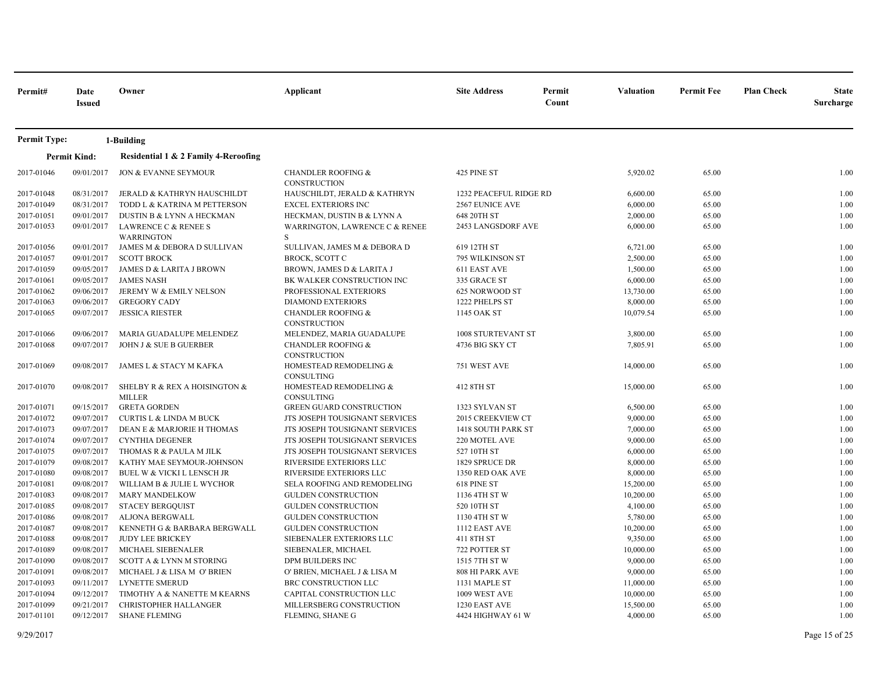| Permit#                  | Date<br><b>Issued</b>    | Owner                                                    | Applicant                                            | <b>Site Address</b>                | Permit<br>Count | <b>Valuation</b>      | <b>Permit Fee</b> | <b>Plan Check</b> | <b>State</b><br><b>Surcharge</b> |
|--------------------------|--------------------------|----------------------------------------------------------|------------------------------------------------------|------------------------------------|-----------------|-----------------------|-------------------|-------------------|----------------------------------|
| <b>Permit Type:</b>      |                          | 1-Building                                               |                                                      |                                    |                 |                       |                   |                   |                                  |
|                          | <b>Permit Kind:</b>      | Residential 1 & 2 Family 4-Reroofing                     |                                                      |                                    |                 |                       |                   |                   |                                  |
| 2017-01046               | 09/01/2017               | JON & EVANNE SEYMOUR                                     | <b>CHANDLER ROOFING &amp;</b><br><b>CONSTRUCTION</b> | 425 PINE ST                        |                 | 5,920.02              | 65.00             |                   | 1.00                             |
| 2017-01048               | 08/31/2017               | <b>JERALD &amp; KATHRYN HAUSCHILDT</b>                   | HAUSCHILDT, JERALD & KATHRYN                         | 1232 PEACEFUL RIDGE RD             |                 | 6,600.00              | 65.00             |                   | 1.00                             |
| 2017-01049               | 08/31/2017               | TODD L & KATRINA M PETTERSON                             | <b>EXCEL EXTERIORS INC</b>                           | <b>2567 EUNICE AVE</b>             |                 | 6,000.00              | 65.00             |                   | 1.00                             |
| 2017-01051               | 09/01/2017               | DUSTIN B & LYNN A HECKMAN                                | HECKMAN, DUSTIN B & LYNN A                           | 648 20TH ST                        |                 | 2,000.00              | 65.00             |                   | 1.00                             |
| 2017-01053               | 09/01/2017               | LAWRENCE C & RENEE S                                     | WARRINGTON, LAWRENCE C & RENEE                       | 2453 LANGSDORF AVE                 |                 | 6,000.00              | 65.00             |                   | 1.00                             |
|                          |                          | <b>WARRINGTON</b>                                        | S                                                    |                                    |                 |                       |                   |                   |                                  |
| 2017-01056               | 09/01/2017               | JAMES M & DEBORA D SULLIVAN                              | SULLIVAN, JAMES M & DEBORA D                         | 619 12TH ST                        |                 | 6,721.00              | 65.00             |                   | 1.00                             |
| 2017-01057               | 09/01/2017               | <b>SCOTT BROCK</b>                                       | <b>BROCK, SCOTT C</b>                                | 795 WILKINSON ST                   |                 | 2,500.00              | 65.00             |                   | 1.00                             |
| 2017-01059               | 09/05/2017               | JAMES D & LARITA J BROWN                                 | BROWN, JAMES D & LARITA J                            | 611 EAST AVE                       |                 | 1,500.00              | 65.00             |                   | 1.00                             |
| 2017-01061               | 09/05/2017               | <b>JAMES NASH</b>                                        | BK WALKER CONSTRUCTION INC                           | 335 GRACE ST                       |                 | 6,000.00              | 65.00             |                   | 1.00                             |
| 2017-01062<br>2017-01063 | 09/06/2017<br>09/06/2017 | JEREMY W & EMILY NELSON<br><b>GREGORY CADY</b>           | PROFESSIONAL EXTERIORS<br><b>DIAMOND EXTERIORS</b>   | 625 NORWOOD ST<br>1222 PHELPS ST   |                 | 13,730.00<br>8,000.00 | 65.00<br>65.00    |                   | 1.00<br>1.00                     |
| 2017-01065               | 09/07/2017               | <b>JESSICA RIESTER</b>                                   | <b>CHANDLER ROOFING &amp;</b>                        | 1145 OAK ST                        |                 | 10,079.54             | 65.00             |                   | 1.00                             |
|                          |                          |                                                          | <b>CONSTRUCTION</b>                                  |                                    |                 |                       |                   |                   |                                  |
| 2017-01066               | 09/06/2017               | MARIA GUADALUPE MELENDEZ                                 | MELENDEZ, MARIA GUADALUPE                            | 1008 STURTEVANT ST                 |                 | 3,800.00              | 65.00             |                   | 1.00                             |
| 2017-01068               | 09/07/2017               | JOHN J & SUE B GUERBER                                   | <b>CHANDLER ROOFING &amp;</b>                        | 4736 BIG SKY CT                    |                 | 7,805.91              | 65.00             |                   | 1.00                             |
|                          |                          |                                                          | <b>CONSTRUCTION</b>                                  |                                    |                 |                       |                   |                   |                                  |
| 2017-01069               | 09/08/2017               | JAMES L & STACY M KAFKA                                  | HOMESTEAD REMODELING &                               | 751 WEST AVE                       |                 | 14,000.00             | 65.00             |                   | 1.00                             |
|                          |                          |                                                          | CONSULTING                                           |                                    |                 |                       |                   |                   |                                  |
| 2017-01070               | 09/08/2017               | SHELBY R & REX A HOISINGTON &                            | HOMESTEAD REMODELING &                               | 412 8TH ST                         |                 | 15,000.00             | 65.00             |                   | 1.00                             |
|                          |                          | <b>MILLER</b>                                            | CONSULTING                                           |                                    |                 |                       |                   |                   |                                  |
| 2017-01071               | 09/15/2017               | <b>GRETA GORDEN</b>                                      | <b>GREEN GUARD CONSTRUCTION</b>                      | 1323 SYLVAN ST                     |                 | 6,500.00              | 65.00             |                   | 1.00                             |
| 2017-01072               | 09/07/2017               | <b>CURTIS L &amp; LINDA M BUCK</b>                       | JTS JOSEPH TOUSIGNANT SERVICES                       | 2015 CREEKVIEW CT                  |                 | 9,000.00              | 65.00             |                   | 1.00                             |
| 2017-01073               | 09/07/2017               | DEAN E & MARJORIE H THOMAS                               | JTS JOSEPH TOUSIGNANT SERVICES                       | 1418 SOUTH PARK ST                 |                 | 7,000.00              | 65.00             |                   | 1.00                             |
| 2017-01074               | 09/07/2017               | <b>CYNTHIA DEGENER</b>                                   | JTS JOSEPH TOUSIGNANT SERVICES                       | 220 MOTEL AVE                      |                 | 9,000.00              | 65.00             |                   | 1.00                             |
| 2017-01075               | 09/07/2017               | THOMAS R & PAULA M JILK                                  | JTS JOSEPH TOUSIGNANT SERVICES                       | 527 10TH ST                        |                 | 6,000.00              | 65.00             |                   | 1.00                             |
| 2017-01079               | 09/08/2017<br>09/08/2017 | KATHY MAE SEYMOUR-JOHNSON                                | RIVERSIDE EXTERIORS LLC<br>RIVERSIDE EXTERIORS LLC   | 1829 SPRUCE DR<br>1350 RED OAK AVE |                 | 8,000.00              | 65.00             |                   | 1.00                             |
| 2017-01080<br>2017-01081 | 09/08/2017               | BUEL W & VICKI L LENSCH JR<br>WILLIAM B & JULIE L WYCHOR | SELA ROOFING AND REMODELING                          | 618 PINE ST                        |                 | 8,000.00<br>15,200.00 | 65.00<br>65.00    |                   | 1.00<br>1.00                     |
| 2017-01083               | 09/08/2017               | <b>MARY MANDELKOW</b>                                    | <b>GULDEN CONSTRUCTION</b>                           | 1136 4TH ST W                      |                 | 10,200.00             | 65.00             |                   | 1.00                             |
| 2017-01085               | 09/08/2017               | <b>STACEY BERGQUIST</b>                                  | <b>GULDEN CONSTRUCTION</b>                           | 520 10TH ST                        |                 | 4,100.00              | 65.00             |                   | 1.00                             |
| 2017-01086               | 09/08/2017               | ALJONA BERGWALL                                          | <b>GULDEN CONSTRUCTION</b>                           | 1130 4TH ST W                      |                 | 5,780.00              | 65.00             |                   | 1.00                             |
| 2017-01087               | 09/08/2017               | KENNETH G & BARBARA BERGWALL                             | <b>GULDEN CONSTRUCTION</b>                           | 1112 EAST AVE                      |                 | 10,200.00             | 65.00             |                   | 1.00                             |
| 2017-01088               | 09/08/2017               | <b>JUDY LEE BRICKEY</b>                                  | SIEBENALER EXTERIORS LLC                             | 411 8TH ST                         |                 | 9,350.00              | 65.00             |                   | 1.00                             |
| 2017-01089               | 09/08/2017               | MICHAEL SIEBENALER                                       | SIEBENALER, MICHAEL                                  | 722 POTTER ST                      |                 | 10,000.00             | 65.00             |                   | 1.00                             |
| 2017-01090               | 09/08/2017               | <b>SCOTT A &amp; LYNN M STORING</b>                      | DPM BUILDERS INC                                     | 1515 7TH ST W                      |                 | 9,000.00              | 65.00             |                   | 1.00                             |
| 2017-01091               | 09/08/2017               | MICHAEL J & LISA M O' BRIEN                              | O' BRIEN, MICHAEL J & LISA M                         | 808 HI PARK AVE                    |                 | 9,000.00              | 65.00             |                   | 1.00                             |
| 2017-01093               | 09/11/2017               | LYNETTE SMERUD                                           | BRC CONSTRUCTION LLC                                 | 1131 MAPLE ST                      |                 | 11,000.00             | 65.00             |                   | 1.00                             |
| 2017-01094               | 09/12/2017               | TIMOTHY A & NANETTE M KEARNS                             | CAPITAL CONSTRUCTION LLC                             | 1009 WEST AVE                      |                 | 10,000.00             | 65.00             |                   | 1.00                             |
| 2017-01099               | 09/21/2017               | <b>CHRISTOPHER HALLANGER</b>                             | MILLERSBERG CONSTRUCTION                             | 1230 EAST AVE                      |                 | 15,500.00             | 65.00             |                   | 1.00                             |
| 2017-01101               | 09/12/2017               | <b>SHANE FLEMING</b>                                     | FLEMING, SHANE G                                     | 4424 HIGHWAY 61 W                  |                 | 4,000.00              | 65.00             |                   | 1.00                             |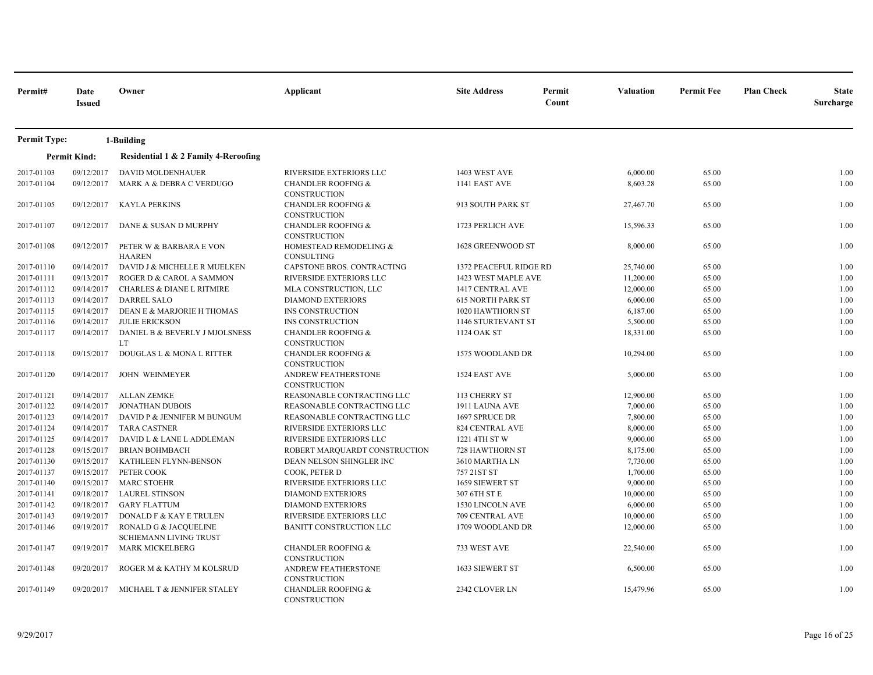| Permit#             | Date<br><b>Issued</b> | Owner                                           | Applicant                                            | <b>Site Address</b>           | Permit<br>Count | <b>Valuation</b> | <b>Permit Fee</b> | <b>Plan Check</b> | <b>State</b><br>Surcharge |
|---------------------|-----------------------|-------------------------------------------------|------------------------------------------------------|-------------------------------|-----------------|------------------|-------------------|-------------------|---------------------------|
| <b>Permit Type:</b> |                       | 1-Building                                      |                                                      |                               |                 |                  |                   |                   |                           |
|                     | <b>Permit Kind:</b>   | Residential 1 & 2 Family 4-Reroofing            |                                                      |                               |                 |                  |                   |                   |                           |
| 2017-01103          | 09/12/2017            | DAVID MOLDENHAUER                               | RIVERSIDE EXTERIORS LLC                              | 1403 WEST AVE                 |                 | 6,000.00         | 65.00             |                   | 1.00                      |
| 2017-01104          | 09/12/2017            | MARK A & DEBRA C VERDUGO                        | <b>CHANDLER ROOFING &amp;</b><br>CONSTRUCTION        | 1141 EAST AVE                 |                 | 8,603.28         | 65.00             |                   | 1.00                      |
| 2017-01105          | 09/12/2017            | <b>KAYLA PERKINS</b>                            | <b>CHANDLER ROOFING &amp;</b><br><b>CONSTRUCTION</b> | 913 SOUTH PARK ST             |                 | 27,467.70        | 65.00             |                   | 1.00                      |
| 2017-01107          | 09/12/2017            | DANE & SUSAN D MURPHY                           | <b>CHANDLER ROOFING &amp;</b><br><b>CONSTRUCTION</b> | 1723 PERLICH AVE              |                 | 15,596.33        | 65.00             |                   | 1.00                      |
| 2017-01108          | 09/12/2017            | PETER W & BARBARA E VON<br><b>HAAREN</b>        | HOMESTEAD REMODELING &<br><b>CONSULTING</b>          | 1628 GREENWOOD ST             |                 | 8,000.00         | 65.00             |                   | 1.00                      |
| 2017-01110          | 09/14/2017            | DAVID J & MICHELLE R MUELKEN                    | CAPSTONE BROS. CONTRACTING                           | <b>1372 PEACEFUL RIDGE RD</b> |                 | 25,740.00        | 65.00             |                   | 1.00                      |
| 2017-01111          | 09/13/2017            | ROGER D & CAROL A SAMMON                        | RIVERSIDE EXTERIORS LLC                              | 1423 WEST MAPLE AVE           |                 | 11,200.00        | 65.00             |                   | 1.00                      |
| 2017-01112          | 09/14/2017            | <b>CHARLES &amp; DIANE L RITMIRE</b>            | MLA CONSTRUCTION, LLC                                | 1417 CENTRAL AVE              |                 | 12,000.00        | 65.00             |                   | 1.00                      |
| 2017-01113          | 09/14/2017            | <b>DARREL SALO</b>                              | <b>DIAMOND EXTERIORS</b>                             | <b>615 NORTH PARK ST</b>      |                 | 6,000.00         | 65.00             |                   | 1.00                      |
| 2017-01115          | 09/14/2017            | DEAN E & MARJORIE H THOMAS                      | INS CONSTRUCTION                                     | 1020 HAWTHORN ST              |                 | 6,187.00         | 65.00             |                   | 1.00                      |
| 2017-01116          | 09/14/2017            | <b>JULIE ERICKSON</b>                           | INS CONSTRUCTION                                     | 1146 STURTEVANT ST            |                 | 5,500.00         | 65.00             |                   | 1.00                      |
| 2017-01117          | 09/14/2017            | DANIEL B & BEVERLY J MJOLSNESS<br>LT            | <b>CHANDLER ROOFING &amp;</b><br><b>CONSTRUCTION</b> | 1124 OAK ST                   |                 | 18,331.00        | 65.00             |                   | 1.00                      |
| 2017-01118          | 09/15/2017            | DOUGLAS L & MONA L RITTER                       | <b>CHANDLER ROOFING &amp;</b><br><b>CONSTRUCTION</b> | 1575 WOODLAND DR              |                 | 10,294.00        | 65.00             |                   | 1.00                      |
| 2017-01120          | 09/14/2017            | <b>JOHN WEINMEYER</b>                           | ANDREW FEATHERSTONE<br><b>CONSTRUCTION</b>           | 1524 EAST AVE                 |                 | 5,000.00         | 65.00             |                   | 1.00                      |
| 2017-01121          | 09/14/2017            | ALLAN ZEMKE                                     | REASONABLE CONTRACTING LLC                           | 113 CHERRY ST                 |                 | 12,900.00        | 65.00             |                   | 1.00                      |
| 2017-01122          | 09/14/2017            | <b>JONATHAN DUBOIS</b>                          | REASONABLE CONTRACTING LLC                           | 1911 LAUNA AVE                |                 | 7,000.00         | 65.00             |                   | 1.00                      |
| 2017-01123          | 09/14/2017            | DAVID P & JENNIFER M BUNGUM                     | REASONABLE CONTRACTING LLC                           | 1697 SPRUCE DR                |                 | 7,800.00         | 65.00             |                   | 1.00                      |
| 2017-01124          | 09/14/2017            | <b>TARA CASTNER</b>                             | RIVERSIDE EXTERIORS LLC                              | <b>824 CENTRAL AVE</b>        |                 | 8,000.00         | 65.00             |                   | 1.00                      |
| 2017-01125          | 09/14/2017            | DAVID L & LANE L ADDLEMAN                       | RIVERSIDE EXTERIORS LLC                              | 1221 4TH ST W                 |                 | 9,000.00         | 65.00             |                   | 1.00                      |
| 2017-01128          | 09/15/2017            | <b>BRIAN BOHMBACH</b>                           | ROBERT MARQUARDT CONSTRUCTION                        | 728 HAWTHORN ST               |                 | 8,175.00         | 65.00             |                   | 1.00                      |
| 2017-01130          | 09/15/2017            | KATHLEEN FLYNN-BENSON                           | DEAN NELSON SHINGLER INC                             | 3610 MARTHA LN                |                 | 7,730.00         | 65.00             |                   | 1.00                      |
| 2017-01137          | 09/15/2017            | PETER COOK                                      | COOK, PETER D                                        | 757 21ST ST                   |                 | 1,700.00         | 65.00             |                   | 1.00                      |
| 2017-01140          | 09/15/2017            | <b>MARC STOEHR</b>                              | RIVERSIDE EXTERIORS LLC                              | 1659 SIEWERT ST               |                 | 9,000.00         | 65.00             |                   | 1.00                      |
| 2017-01141          | 09/18/2017            | <b>LAUREL STINSON</b>                           | <b>DIAMOND EXTERIORS</b>                             | 307 6TH ST E                  |                 | 10,000.00        | 65.00             |                   | 1.00                      |
| 2017-01142          | 09/18/2017            | <b>GARY FLATTUM</b>                             | <b>DIAMOND EXTERIORS</b>                             | 1530 LINCOLN AVE              |                 | 6,000.00         | 65.00             |                   | 1.00                      |
| 2017-01143          | 09/19/2017            | DONALD F & KAY E TRULEN                         | RIVERSIDE EXTERIORS LLC                              | 709 CENTRAL AVE               |                 | 10,000.00        | 65.00             |                   | 1.00                      |
| 2017-01146          | 09/19/2017            | RONALD G & JACQUELINE<br>SCHIEMANN LIVING TRUST | <b>BANITT CONSTRUCTION LLC</b>                       | 1709 WOODLAND DR              |                 | 12,000.00        | 65.00             |                   | 1.00                      |
| 2017-01147          | 09/19/2017            | MARK MICKELBERG                                 | <b>CHANDLER ROOFING &amp;</b><br>CONSTRUCTION        | 733 WEST AVE                  |                 | 22,540.00        | 65.00             |                   | 1.00                      |
| 2017-01148          | 09/20/2017            | ROGER M & KATHY M KOLSRUD                       | ANDREW FEATHERSTONE<br><b>CONSTRUCTION</b>           | 1633 SIEWERT ST               |                 | 6,500.00         | 65.00             |                   | 1.00                      |
| 2017-01149          | 09/20/2017            | MICHAEL T & JENNIFER STALEY                     | <b>CHANDLER ROOFING &amp;</b><br>CONSTRUCTION        | 2342 CLOVER LN                |                 | 15,479.96        | 65.00             |                   | 1.00                      |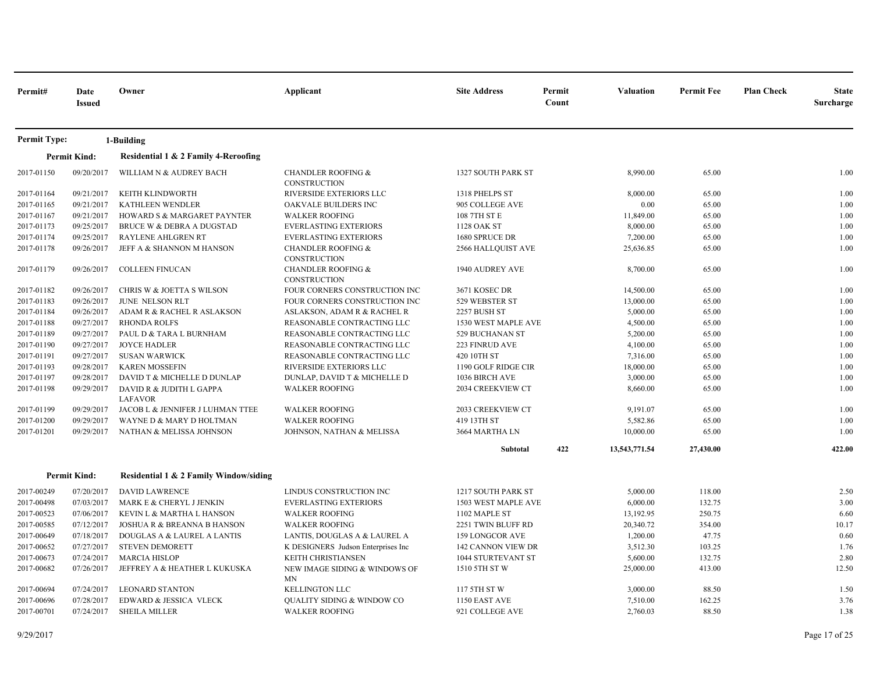| Permit#             | Date<br><b>Issued</b> | Owner                                      | Applicant                                            | <b>Site Address</b>       | Permit<br>Count | Valuation     | <b>Permit Fee</b> | <b>Plan Check</b> | <b>State</b><br>Surcharge |
|---------------------|-----------------------|--------------------------------------------|------------------------------------------------------|---------------------------|-----------------|---------------|-------------------|-------------------|---------------------------|
| <b>Permit Type:</b> |                       | 1-Building                                 |                                                      |                           |                 |               |                   |                   |                           |
|                     | <b>Permit Kind:</b>   | Residential 1 & 2 Family 4-Reroofing       |                                                      |                           |                 |               |                   |                   |                           |
| 2017-01150          | 09/20/2017            | WILLIAM N & AUDREY BACH                    | <b>CHANDLER ROOFING &amp;</b><br>CONSTRUCTION        | 1327 SOUTH PARK ST        |                 | 8,990.00      | 65.00             |                   | 1.00                      |
| 2017-01164          | 09/21/2017            | KEITH KLINDWORTH                           | RIVERSIDE EXTERIORS LLC                              | 1318 PHELPS ST            |                 | 8,000.00      | 65.00             |                   | 1.00                      |
| 2017-01165          | 09/21/2017            | <b>KATHLEEN WENDLER</b>                    | OAKVALE BUILDERS INC                                 | 905 COLLEGE AVE           |                 | 0.00          | 65.00             |                   | 1.00                      |
| 2017-01167          | 09/21/2017            | HOWARD S & MARGARET PAYNTER                | <b>WALKER ROOFING</b>                                | 108 7TH ST E              |                 | 11,849.00     | 65.00             |                   | 1.00                      |
| 2017-01173          | 09/25/2017            | <b>BRUCE W &amp; DEBRA A DUGSTAD</b>       | <b>EVERLASTING EXTERIORS</b>                         | 1128 OAK ST               |                 | 8,000.00      | 65.00             |                   | 1.00                      |
| 2017-01174          | 09/25/2017            | <b>RAYLENE AHLGREN RT</b>                  | <b>EVERLASTING EXTERIORS</b>                         | 1680 SPRUCE DR            |                 | 7,200.00      | 65.00             |                   | 1.00                      |
| 2017-01178          | 09/26/2017            | JEFF A & SHANNON M HANSON                  | <b>CHANDLER ROOFING &amp;</b><br>CONSTRUCTION        | 2566 HALLQUIST AVE        |                 | 25,636.85     | 65.00             |                   | 1.00                      |
| 2017-01179          | 09/26/2017            | <b>COLLEEN FINUCAN</b>                     | <b>CHANDLER ROOFING &amp;</b><br><b>CONSTRUCTION</b> | 1940 AUDREY AVE           |                 | 8,700.00      | 65.00             |                   | 1.00                      |
| 2017-01182          | 09/26/2017            | CHRIS W & JOETTA S WILSON                  | FOUR CORNERS CONSTRUCTION INC                        | 3671 KOSEC DR             |                 | 14,500.00     | 65.00             |                   | 1.00                      |
| 2017-01183          | 09/26/2017            | JUNE NELSON RLT                            | FOUR CORNERS CONSTRUCTION INC                        | 529 WEBSTER ST            |                 | 13,000.00     | 65.00             |                   | 1.00                      |
| 2017-01184          | 09/26/2017            | ADAM R & RACHEL R ASLAKSON                 | ASLAKSON, ADAM R & RACHEL R                          | <b>2257 BUSH ST</b>       |                 | 5,000.00      | 65.00             |                   | 1.00                      |
| 2017-01188          | 09/27/2017            | <b>RHONDA ROLFS</b>                        | REASONABLE CONTRACTING LLC                           | 1530 WEST MAPLE AVE       |                 | 4,500.00      | 65.00             |                   | 1.00                      |
| 2017-01189          | 09/27/2017            | PAUL D & TARA L BURNHAM                    | REASONABLE CONTRACTING LLC                           | 529 BUCHANAN ST           |                 | 5,200.00      | 65.00             |                   | 1.00                      |
| 2017-01190          | 09/27/2017            | <b>JOYCE HADLER</b>                        | REASONABLE CONTRACTING LLC                           | 223 FINRUD AVE            |                 | 4,100.00      | 65.00             |                   | 1.00                      |
| 2017-01191          | 09/27/2017            | <b>SUSAN WARWICK</b>                       | REASONABLE CONTRACTING LLC                           | 420 10TH ST               |                 | 7,316.00      | 65.00             |                   | 1.00                      |
| 2017-01193          | 09/28/2017            | <b>KAREN MOSSEFIN</b>                      | RIVERSIDE EXTERIORS LLC                              | 1190 GOLF RIDGE CIR       |                 | 18,000.00     | 65.00             |                   | 1.00                      |
| 2017-01197          | 09/28/2017            | DAVID T & MICHELLE D DUNLAP                | DUNLAP, DAVID T & MICHELLE D                         | 1036 BIRCH AVE            |                 | 3,000.00      | 65.00             |                   | 1.00                      |
| 2017-01198          | 09/29/2017            | DAVID R & JUDITH L GAPPA<br><b>LAFAVOR</b> | <b>WALKER ROOFING</b>                                | 2034 CREEKVIEW CT         |                 | 8,660.00      | 65.00             |                   | 1.00                      |
| 2017-01199          | 09/29/2017            | JACOB L & JENNIFER J LUHMAN TTEE           | <b>WALKER ROOFING</b>                                | 2033 CREEKVIEW CT         |                 | 9,191.07      | 65.00             |                   | 1.00                      |
| 2017-01200          | 09/29/2017            | WAYNE D & MARY D HOLTMAN                   | <b>WALKER ROOFING</b>                                | 419 13TH ST               |                 | 5,582.86      | 65.00             |                   | 1.00                      |
| 2017-01201          | 09/29/2017            | NATHAN & MELISSA JOHNSON                   | JOHNSON, NATHAN & MELISSA                            | 3664 MARTHA LN            |                 | 10,000.00     | 65.00             |                   | 1.00                      |
|                     |                       |                                            |                                                      | Subtotal                  | 422             | 13,543,771.54 | 27,430.00         |                   | 422.00                    |
|                     | <b>Permit Kind:</b>   | Residential 1 & 2 Family Window/siding     |                                                      |                           |                 |               |                   |                   |                           |
| 2017-00249          | 07/20/2017            | <b>DAVID LAWRENCE</b>                      | LINDUS CONSTRUCTION INC                              | 1217 SOUTH PARK ST        |                 | 5,000.00      | 118.00            |                   | 2.50                      |
| 2017-00498          | 07/03/2017            | MARK E & CHERYL J JENKIN                   | <b>EVERLASTING EXTERIORS</b>                         | 1503 WEST MAPLE AVE       |                 | 6,000.00      | 132.75            |                   | 3.00                      |
| 2017-00523          | 07/06/2017            | KEVIN L & MARTHA L HANSON                  | <b>WALKER ROOFING</b>                                | 1102 MAPLE ST             |                 | 13,192.95     | 250.75            |                   | 6.60                      |
| 2017-00585          | 07/12/2017            | <b>JOSHUA R &amp; BREANNA B HANSON</b>     | <b>WALKER ROOFING</b>                                | 2251 TWIN BLUFF RD        |                 | 20,340.72     | 354.00            |                   | 10.17                     |
| 2017-00649          | 07/18/2017            | DOUGLAS A & LAUREL A LANTIS                | LANTIS, DOUGLAS A & LAUREL A                         | 159 LONGCOR AVE           |                 | 1,200.00      | 47.75             |                   | 0.60                      |
| 2017-00652          | 07/27/2017            | <b>STEVEN DEMORETT</b>                     | K DESIGNERS Judson Enterprises Inc                   | <b>142 CANNON VIEW DR</b> |                 | 3,512.30      | 103.25            |                   | 1.76                      |
| 2017-00673          | 07/24/2017            | <b>MARCIA HISLOP</b>                       | KEITH CHRISTIANSEN                                   | 1044 STURTEVANT ST        |                 | 5,600.00      | 132.75            |                   | 2.80                      |
| 2017-00682          | 07/26/2017            | JEFFREY A & HEATHER L KUKUSKA              | NEW IMAGE SIDING & WINDOWS OF<br>MN                  | 1510 5TH ST W             |                 | 25,000.00     | 413.00            |                   | 12.50                     |
| 2017-00694          | 07/24/2017            | <b>LEONARD STANTON</b>                     | <b>KELLINGTON LLC</b>                                | 117 5TH ST W              |                 | 3,000.00      | 88.50             |                   | 1.50                      |
| 2017-00696          | 07/28/2017            | EDWARD & JESSICA VLECK                     | <b>QUALITY SIDING &amp; WINDOW CO</b>                | 1150 EAST AVE             |                 | 7,510.00      | 162.25            |                   | 3.76                      |
| 2017-00701          | 07/24/2017            | <b>SHEILA MILLER</b>                       | <b>WALKER ROOFING</b>                                | 921 COLLEGE AVE           |                 | 2,760.03      | 88.50             |                   | 1.38                      |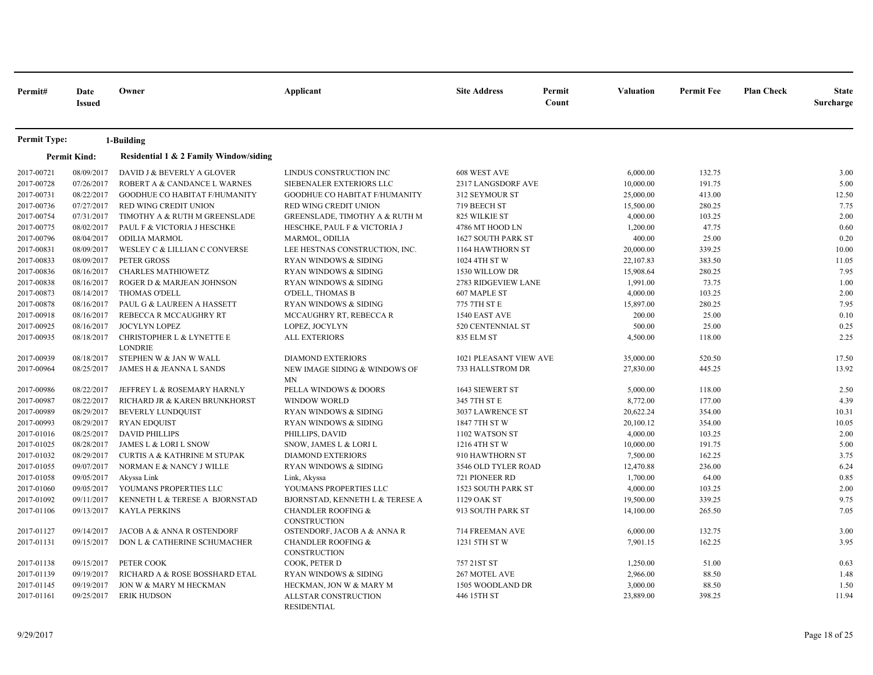| Permit#             | Date<br><b>Issued</b> | Owner                                       | Applicant                                     | <b>Site Address</b>       | Permit<br>Count | Valuation | <b>Permit Fee</b> | <b>Plan Check</b> | <b>State</b><br>Surcharge |
|---------------------|-----------------------|---------------------------------------------|-----------------------------------------------|---------------------------|-----------------|-----------|-------------------|-------------------|---------------------------|
| <b>Permit Type:</b> |                       | 1-Building                                  |                                               |                           |                 |           |                   |                   |                           |
|                     | <b>Permit Kind:</b>   | Residential 1 & 2 Family Window/siding      |                                               |                           |                 |           |                   |                   |                           |
| 2017-00721          | 08/09/2017            | DAVID J & BEVERLY A GLOVER                  | LINDUS CONSTRUCTION INC                       | 608 WEST AVE              |                 | 6,000.00  | 132.75            |                   | 3.00                      |
| 2017-00728          | 07/26/2017            | ROBERT A & CANDANCE L WARNES                | SIEBENALER EXTERIORS LLC                      | 2317 LANGSDORF AVE        |                 | 10,000.00 | 191.75            |                   | 5.00                      |
| 2017-00731          | 08/22/2017            | GOODHUE CO HABITAT F/HUMANITY               | GOODHUE CO HABITAT F/HUMANITY                 | 312 SEYMOUR ST            |                 | 25,000.00 | 413.00            |                   | 12.50                     |
| 2017-00736          | 07/27/2017            | RED WING CREDIT UNION                       | RED WING CREDIT UNION                         | 719 BEECH ST              |                 | 15,500.00 | 280.25            |                   | 7.75                      |
| 2017-00754          | 07/31/2017            | TIMOTHY A & RUTH M GREENSLADE               | GREENSLADE, TIMOTHY A & RUTH M                | 825 WILKIE ST             |                 | 4,000.00  | 103.25            |                   | 2.00                      |
| 2017-00775          | 08/02/2017            | PAUL F & VICTORIA J HESCHKE                 | HESCHKE, PAUL F & VICTORIA J                  | 4786 MT HOOD LN           |                 | 1,200.00  | 47.75             |                   | 0.60                      |
| 2017-00796          | 08/04/2017            | <b>ODILIA MARMOL</b>                        | MARMOL, ODILIA                                | 1627 SOUTH PARK ST        |                 | 400.00    | 25.00             |                   | 0.20                      |
| 2017-00831          | 08/09/2017            | WESLEY C & LILLIAN C CONVERSE               | LEE HESTNAS CONSTRUCTION, INC.                | 1164 HAWTHORN ST          |                 | 20,000.00 | 339.25            |                   | 10.00                     |
| 2017-00833          | 08/09/2017            | PETER GROSS                                 | <b>RYAN WINDOWS &amp; SIDING</b>              | 1024 4TH ST W             |                 | 22,107.83 | 383.50            |                   | 11.05                     |
| 2017-00836          | 08/16/2017            | <b>CHARLES MATHIOWETZ</b>                   | <b>RYAN WINDOWS &amp; SIDING</b>              | 1530 WILLOW DR            |                 | 15,908.64 | 280.25            |                   | 7.95                      |
| 2017-00838          | 08/16/2017            | ROGER D & MARJEAN JOHNSON                   | <b>RYAN WINDOWS &amp; SIDING</b>              | 2783 RIDGEVIEW LANE       |                 | 1,991.00  | 73.75             |                   | 1.00                      |
| 2017-00873          | 08/14/2017            | <b>THOMAS O'DELL</b>                        | <b>O'DELL, THOMAS B</b>                       | 607 MAPLE ST              |                 | 4,000.00  | 103.25            |                   | 2.00                      |
| 2017-00878          | 08/16/2017            | PAUL G & LAUREEN A HASSETT                  | RYAN WINDOWS & SIDING                         | 775 7TH ST E              |                 | 15,897.00 | 280.25            |                   | 7.95                      |
| 2017-00918          | 08/16/2017            | REBECCA R MCCAUGHRY RT                      | MCCAUGHRY RT, REBECCA R                       | 1540 EAST AVE             |                 | 200.00    | 25.00             |                   | 0.10                      |
| 2017-00925          | 08/16/2017            | JOCYLYN LOPEZ                               | LOPEZ, JOCYLYN                                | 520 CENTENNIAL ST         |                 | 500.00    | 25.00             |                   | 0.25                      |
| 2017-00935          | 08/18/2017            | CHRISTOPHER L & LYNETTE E<br><b>LONDRIE</b> | <b>ALL EXTERIORS</b>                          | 835 ELM ST                |                 | 4,500.00  | 118.00            |                   | 2.25                      |
| 2017-00939          | 08/18/2017            | STEPHEN W & JAN W WALL                      | <b>DIAMOND EXTERIORS</b>                      | 1021 PLEASANT VIEW AVE    |                 | 35,000.00 | 520.50            |                   | 17.50                     |
| 2017-00964          | 08/25/2017            | JAMES H & JEANNA L SANDS                    | NEW IMAGE SIDING & WINDOWS OF<br>MN           | 733 HALLSTROM DR          |                 | 27,830.00 | 445.25            |                   | 13.92                     |
| 2017-00986          | 08/22/2017            | JEFFREY L & ROSEMARY HARNLY                 | PELLA WINDOWS & DOORS                         | 1643 SIEWERT ST           |                 | 5,000.00  | 118.00            |                   | 2.50                      |
| 2017-00987          | 08/22/2017            | RICHARD JR & KAREN BRUNKHORST               | <b>WINDOW WORLD</b>                           | 345 7TH ST E              |                 | 8,772.00  | 177.00            |                   | 4.39                      |
| 2017-00989          | 08/29/2017            | <b>BEVERLY LUNDQUIST</b>                    | RYAN WINDOWS & SIDING                         | 3037 LAWRENCE ST          |                 | 20,622.24 | 354.00            |                   | 10.31                     |
| 2017-00993          | 08/29/2017            | <b>RYAN EDQUIST</b>                         | RYAN WINDOWS & SIDING                         | 1847 7TH ST W             |                 | 20,100.12 | 354.00            |                   | 10.05                     |
| 2017-01016          | 08/25/2017            | <b>DAVID PHILLIPS</b>                       | PHILLIPS, DAVID                               | 1102 WATSON ST            |                 | 4,000.00  | 103.25            |                   | 2.00                      |
| 2017-01025          | 08/28/2017            | JAMES L & LORI L SNOW                       | SNOW, JAMES L & LORI L                        | 1216 4TH ST W             |                 | 10,000.00 | 191.75            |                   | 5.00                      |
| 2017-01032          | 08/29/2017            | <b>CURTIS A &amp; KATHRINE M STUPAK</b>     | <b>DIAMOND EXTERIORS</b>                      | 910 HAWTHORN ST           |                 | 7,500.00  | 162.25            |                   | 3.75                      |
| 2017-01055          | 09/07/2017            | NORMAN E & NANCY J WILLE                    | RYAN WINDOWS & SIDING                         | 3546 OLD TYLER ROAD       |                 | 12,470.88 | 236.00            |                   | 6.24                      |
| 2017-01058          | 09/05/2017            | Akyssa Link                                 | Link, Akyssa                                  | 721 PIONEER RD            |                 | 1,700.00  | 64.00             |                   | 0.85                      |
| 2017-01060          | 09/05/2017            | YOUMANS PROPERTIES LLC                      | YOUMANS PROPERTIES LLC                        | <b>1523 SOUTH PARK ST</b> |                 | 4,000.00  | 103.25            |                   | 2.00                      |
| 2017-01092          | 09/11/2017            | KENNETH L & TERESE A BJORNSTAD              | BJORNSTAD, KENNETH L & TERESE A               | 1129 OAK ST               |                 | 19,500.00 | 339.25            |                   | 9.75                      |
| 2017-01106          | 09/13/2017            | <b>KAYLA PERKINS</b>                        | <b>CHANDLER ROOFING &amp;</b><br>CONSTRUCTION | 913 SOUTH PARK ST         |                 | 14,100.00 | 265.50            |                   | 7.05                      |
| 2017-01127          | 09/14/2017            | JACOB A & ANNA R OSTENDORF                  | OSTENDORF, JACOB A & ANNA R                   | 714 FREEMAN AVE           |                 | 6,000.00  | 132.75            |                   | 3.00                      |
| 2017-01131          | 09/15/2017            | DON L & CATHERINE SCHUMACHER                | <b>CHANDLER ROOFING &amp;</b><br>CONSTRUCTION | 1231 5TH ST W             |                 | 7,901.15  | 162.25            |                   | 3.95                      |
| 2017-01138          | 09/15/2017            | PETER COOK                                  | COOK, PETER D                                 | 757 21ST ST               |                 | 1,250.00  | 51.00             |                   | 0.63                      |
| 2017-01139          | 09/19/2017            | RICHARD A & ROSE BOSSHARD ETAL              | RYAN WINDOWS & SIDING                         | 267 MOTEL AVE             |                 | 2,966.00  | 88.50             |                   | 1.48                      |
| 2017-01145          | 09/19/2017            | JON W & MARY M HECKMAN                      | HECKMAN, JON W & MARY M                       | 1505 WOODLAND DR          |                 | 3,000.00  | 88.50             |                   | 1.50                      |
| 2017-01161          | 09/25/2017            | <b>ERIK HUDSON</b>                          | ALLSTAR CONSTRUCTION<br><b>RESIDENTIAL</b>    | 446 15TH ST               |                 | 23,889.00 | 398.25            |                   | 11.94                     |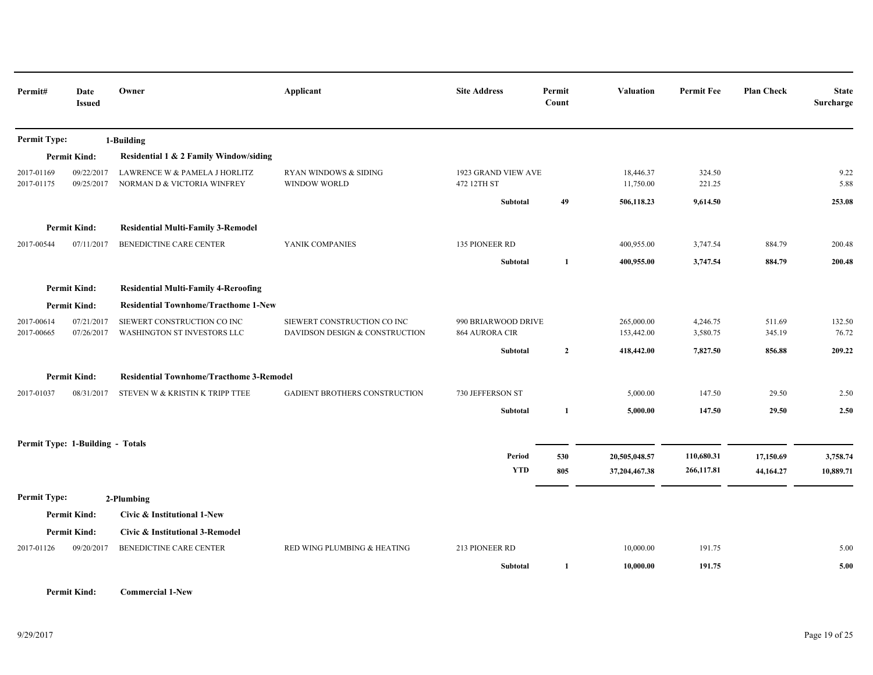| Permit#                  | Date<br><b>Issued</b>            | Owner                                                        | Applicant                                                     | <b>Site Address</b>                          | Permit<br>Count | <b>Valuation</b>         | <b>Permit Fee</b>    | <b>Plan Check</b> | <b>State</b><br>Surcharge |
|--------------------------|----------------------------------|--------------------------------------------------------------|---------------------------------------------------------------|----------------------------------------------|-----------------|--------------------------|----------------------|-------------------|---------------------------|
| <b>Permit Type:</b>      |                                  | 1-Building                                                   |                                                               |                                              |                 |                          |                      |                   |                           |
|                          | <b>Permit Kind:</b>              | Residential 1 & 2 Family Window/siding                       |                                                               |                                              |                 |                          |                      |                   |                           |
| 2017-01169<br>2017-01175 | 09/22/2017<br>09/25/2017         | LAWRENCE W & PAMELA J HORLITZ<br>NORMAN D & VICTORIA WINFREY | RYAN WINDOWS & SIDING<br><b>WINDOW WORLD</b>                  | 1923 GRAND VIEW AVE<br>472 12TH ST           |                 | 18,446.37<br>11,750.00   | 324.50<br>221.25     |                   | 9.22<br>5.88              |
|                          |                                  |                                                              |                                                               | Subtotal                                     | 49              | 506,118.23               | 9,614.50             |                   | 253.08                    |
|                          | <b>Permit Kind:</b>              | <b>Residential Multi-Family 3-Remodel</b>                    |                                                               |                                              |                 |                          |                      |                   |                           |
| 2017-00544               | 07/11/2017                       | BENEDICTINE CARE CENTER                                      | YANIK COMPANIES                                               | 135 PIONEER RD                               |                 | 400,955.00               | 3,747.54             | 884.79            | 200.48                    |
|                          |                                  |                                                              |                                                               | Subtotal                                     | 1               | 400,955.00               | 3,747.54             | 884.79            | 200.48                    |
|                          | <b>Permit Kind:</b>              | <b>Residential Multi-Family 4-Reroofing</b>                  |                                                               |                                              |                 |                          |                      |                   |                           |
|                          | <b>Permit Kind:</b>              | <b>Residential Townhome/Tracthome 1-New</b>                  |                                                               |                                              |                 |                          |                      |                   |                           |
| 2017-00614<br>2017-00665 | 07/21/2017<br>07/26/2017         | SIEWERT CONSTRUCTION CO INC<br>WASHINGTON ST INVESTORS LLC   | SIEWERT CONSTRUCTION CO INC<br>DAVIDSON DESIGN & CONSTRUCTION | 990 BRIARWOOD DRIVE<br><b>864 AURORA CIR</b> |                 | 265,000.00<br>153,442.00 | 4,246.75<br>3,580.75 | 511.69<br>345.19  | 132.50<br>76.72           |
|                          |                                  |                                                              |                                                               | Subtotal                                     | $\overline{2}$  | 418,442.00               | 7,827.50             | 856.88            | 209.22                    |
|                          | <b>Permit Kind:</b>              | <b>Residential Townhome/Tracthome 3-Remodel</b>              |                                                               |                                              |                 |                          |                      |                   |                           |
| 2017-01037               | 08/31/2017                       | STEVEN W & KRISTIN K TRIPP TTEE                              | <b>GADIENT BROTHERS CONSTRUCTION</b>                          | 730 JEFFERSON ST                             |                 | 5,000.00                 | 147.50               | 29.50             | 2.50                      |
|                          |                                  |                                                              |                                                               | Subtotal                                     | 1               | 5,000.00                 | 147.50               | 29.50             | 2.50                      |
|                          | Permit Type: 1-Building - Totals |                                                              |                                                               |                                              |                 |                          |                      |                   |                           |
|                          |                                  |                                                              |                                                               | Period                                       | 530             | 20,505,048.57            | 110,680.31           | 17,150.69         | 3,758.74                  |
|                          |                                  |                                                              |                                                               | <b>YTD</b>                                   | 805             | 37,204,467.38            | 266,117.81           | 44,164.27         | 10,889.71                 |
| Permit Type:             |                                  | 2-Plumbing                                                   |                                                               |                                              |                 |                          |                      |                   |                           |
|                          | <b>Permit Kind:</b>              | Civic & Institutional 1-New                                  |                                                               |                                              |                 |                          |                      |                   |                           |
|                          | <b>Permit Kind:</b>              | Civic & Institutional 3-Remodel                              |                                                               |                                              |                 |                          |                      |                   |                           |
| 2017-01126               | 09/20/2017                       | BENEDICTINE CARE CENTER                                      | RED WING PLUMBING & HEATING                                   | 213 PIONEER RD                               |                 | 10,000.00                | 191.75               |                   | 5.00                      |
|                          |                                  |                                                              |                                                               | Subtotal                                     | 1               | 10,000.00                | 191.75               |                   | 5.00                      |

**Permit Kind: Commercial 1-New**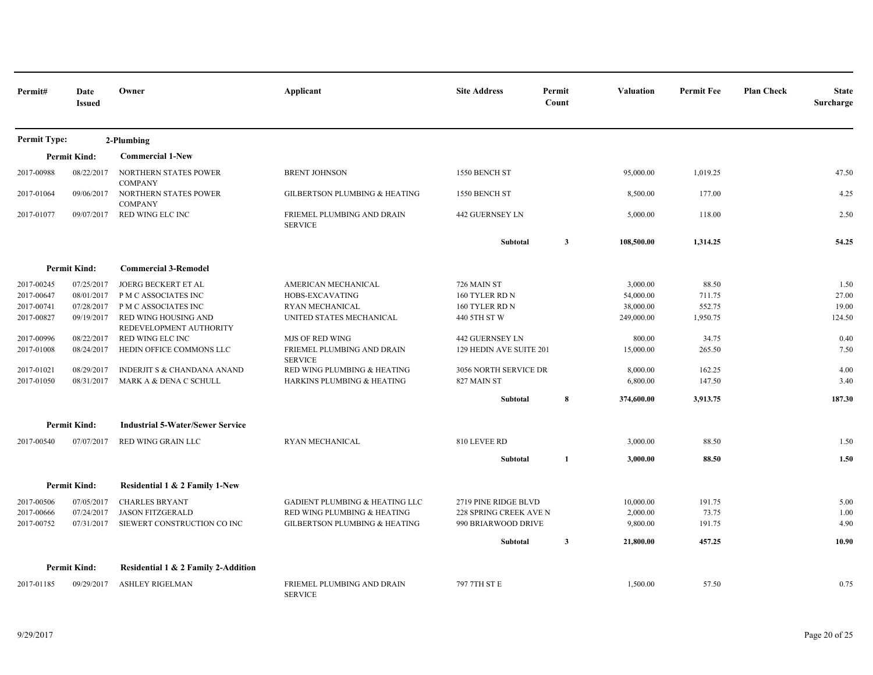| Permit#             | Date<br><b>Issued</b> | Owner                                           | Applicant                                    | <b>Site Address</b>     | Permit<br>Count | <b>Valuation</b> | <b>Permit Fee</b> | <b>Plan Check</b> | <b>State</b><br>Surcharge |
|---------------------|-----------------------|-------------------------------------------------|----------------------------------------------|-------------------------|-----------------|------------------|-------------------|-------------------|---------------------------|
| <b>Permit Type:</b> |                       | 2-Plumbing                                      |                                              |                         |                 |                  |                   |                   |                           |
|                     | <b>Permit Kind:</b>   | <b>Commercial 1-New</b>                         |                                              |                         |                 |                  |                   |                   |                           |
| 2017-00988          | 08/22/2017            | NORTHERN STATES POWER                           | <b>BRENT JOHNSON</b>                         | 1550 BENCH ST           |                 | 95,000.00        | 1,019.25          |                   | 47.50                     |
| 2017-01064          | 09/06/2017            | <b>COMPANY</b><br>NORTHERN STATES POWER         | <b>GILBERTSON PLUMBING &amp; HEATING</b>     | 1550 BENCH ST           |                 | 8,500.00         | 177.00            |                   | 4.25                      |
| 2017-01077          | 09/07/2017            | <b>COMPANY</b><br>RED WING ELC INC              | FRIEMEL PLUMBING AND DRAIN<br><b>SERVICE</b> | <b>442 GUERNSEY LN</b>  |                 | 5,000.00         | 118.00            |                   | 2.50                      |
|                     |                       |                                                 |                                              | Subtotal                | $\mathbf{3}$    | 108,500.00       | 1,314.25          |                   | 54.25                     |
|                     | <b>Permit Kind:</b>   | <b>Commercial 3-Remodel</b>                     |                                              |                         |                 |                  |                   |                   |                           |
| 2017-00245          | 07/25/2017            | <b>JOERG BECKERT ET AL</b>                      | AMERICAN MECHANICAL                          | 726 MAIN ST             |                 | 3,000.00         | 88.50             |                   | 1.50                      |
| 2017-00647          | 08/01/2017            | P M C ASSOCIATES INC                            | HOBS-EXCAVATING                              | 160 TYLER RD N          |                 | 54,000.00        | 711.75            |                   | 27.00                     |
| 2017-00741          | 07/28/2017            | P M C ASSOCIATES INC                            | RYAN MECHANICAL                              | 160 TYLER RD N          |                 | 38,000.00        | 552.75            |                   | 19.00                     |
| 2017-00827          | 09/19/2017            | RED WING HOUSING AND<br>REDEVELOPMENT AUTHORITY | UNITED STATES MECHANICAL                     | 440 5TH ST W            |                 | 249,000.00       | 1,950.75          |                   | 124.50                    |
| 2017-00996          | 08/22/2017            | RED WING ELC INC                                | <b>MJS OF RED WING</b>                       | <b>442 GUERNSEY LN</b>  |                 | 800.00           | 34.75             |                   | 0.40                      |
| 2017-01008          | 08/24/2017            | HEDIN OFFICE COMMONS LLC                        | FRIEMEL PLUMBING AND DRAIN<br><b>SERVICE</b> | 129 HEDIN AVE SUITE 201 |                 | 15,000.00        | 265.50            |                   | 7.50                      |
| 2017-01021          | 08/29/2017            | INDERJIT S & CHANDANA ANAND                     | RED WING PLUMBING & HEATING                  | 3056 NORTH SERVICE DR   |                 | 8,000.00         | 162.25            |                   | 4.00                      |
| 2017-01050          | 08/31/2017            | MARK A & DENA C SCHULL                          | HARKINS PLUMBING & HEATING                   | 827 MAIN ST             |                 | 6,800.00         | 147.50            |                   | 3.40                      |
|                     |                       |                                                 |                                              | Subtotal                | 8               | 374,600.00       | 3,913.75          |                   | 187.30                    |
|                     | <b>Permit Kind:</b>   | <b>Industrial 5-Water/Sewer Service</b>         |                                              |                         |                 |                  |                   |                   |                           |
| 2017-00540          | 07/07/2017            | RED WING GRAIN LLC                              | RYAN MECHANICAL                              | 810 LEVEE RD            |                 | 3,000.00         | 88.50             |                   | 1.50                      |
|                     |                       |                                                 |                                              | Subtotal                | 1               | 3,000.00         | 88.50             |                   | 1.50                      |
|                     | <b>Permit Kind:</b>   | Residential 1 & 2 Family 1-New                  |                                              |                         |                 |                  |                   |                   |                           |
| 2017-00506          | 07/05/2017            | <b>CHARLES BRYANT</b>                           | <b>GADIENT PLUMBING &amp; HEATING LLC</b>    | 2719 PINE RIDGE BLVD    |                 | 10,000.00        | 191.75            |                   | 5.00                      |
| 2017-00666          | 07/24/2017            | <b>JASON FITZGERALD</b>                         | RED WING PLUMBING & HEATING                  | 228 SPRING CREEK AVE N  |                 | 2,000.00         | 73.75             |                   | 1.00                      |
| 2017-00752          | 07/31/2017            | SIEWERT CONSTRUCTION CO INC                     | <b>GILBERTSON PLUMBING &amp; HEATING</b>     | 990 BRIARWOOD DRIVE     |                 | 9,800.00         | 191.75            |                   | 4.90                      |
|                     |                       |                                                 |                                              | Subtotal                | $\mathbf{3}$    | 21,800.00        | 457.25            |                   | 10.90                     |
|                     | <b>Permit Kind:</b>   | Residential 1 & 2 Family 2-Addition             |                                              |                         |                 |                  |                   |                   |                           |
| 2017-01185          | 09/29/2017            | <b>ASHLEY RIGELMAN</b>                          | FRIEMEL PLUMBING AND DRAIN<br><b>SERVICE</b> | 797 7TH ST E            |                 | 1,500.00         | 57.50             |                   | 0.75                      |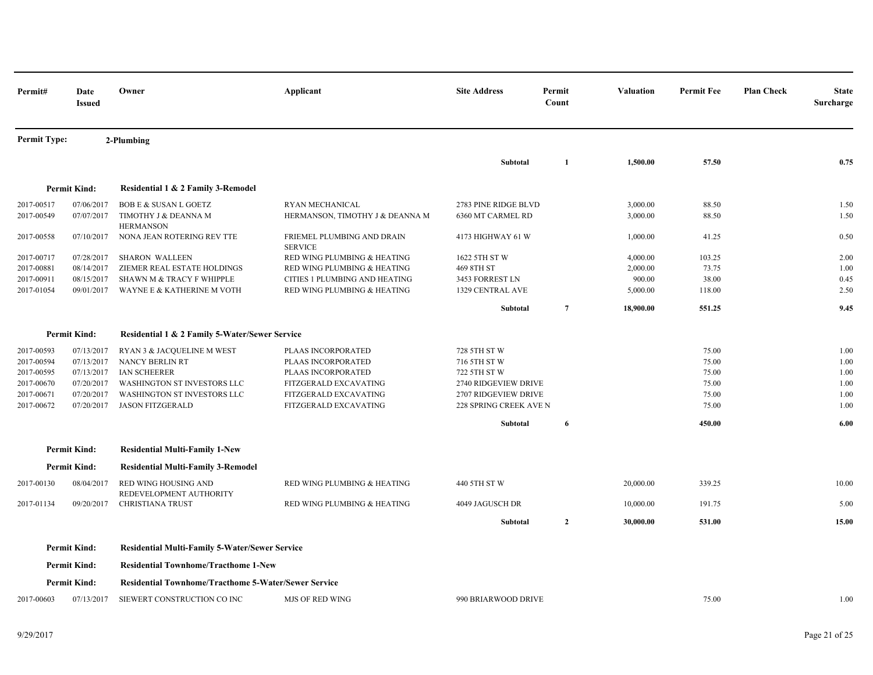| Permit#                  | Date<br><b>Issued</b>    | Owner                                                       | Applicant                                             | <b>Site Address</b>                                   | Permit<br>Count | <b>Valuation</b> | <b>Permit Fee</b> | <b>Plan Check</b> | <b>State</b><br>Surcharge |
|--------------------------|--------------------------|-------------------------------------------------------------|-------------------------------------------------------|-------------------------------------------------------|-----------------|------------------|-------------------|-------------------|---------------------------|
| <b>Permit Type:</b>      |                          | 2-Plumbing                                                  |                                                       |                                                       |                 |                  |                   |                   |                           |
|                          |                          |                                                             |                                                       | Subtotal                                              | 1               | 1,500.00         | 57.50             |                   | 0.75                      |
|                          | <b>Permit Kind:</b>      | Residential 1 & 2 Family 3-Remodel                          |                                                       |                                                       |                 |                  |                   |                   |                           |
| 2017-00517               | 07/06/2017               | <b>BOB E &amp; SUSAN L GOETZ</b>                            | RYAN MECHANICAL                                       | 2783 PINE RIDGE BLVD                                  |                 | 3,000.00         | 88.50             |                   | 1.50                      |
| 2017-00549               | 07/07/2017               | TIMOTHY J & DEANNA M<br><b>HERMANSON</b>                    | HERMANSON, TIMOTHY J & DEANNA M                       | 6360 MT CARMEL RD                                     |                 | 3,000.00         | 88.50             |                   | 1.50                      |
| 2017-00558               | 07/10/2017               | NONA JEAN ROTERING REV TTE                                  | FRIEMEL PLUMBING AND DRAIN<br><b>SERVICE</b>          | 4173 HIGHWAY 61 W                                     |                 | 1,000.00         | 41.25             |                   | 0.50                      |
| 2017-00717               | 07/28/2017               | <b>SHARON WALLEEN</b>                                       | RED WING PLUMBING & HEATING                           | 1622 5TH ST W                                         |                 | 4,000.00         | 103.25            |                   | 2.00                      |
| 2017-00881               | 08/14/2017               | ZIEMER REAL ESTATE HOLDINGS                                 | RED WING PLUMBING & HEATING                           | 469 8TH ST                                            |                 | 2,000.00         | 73.75             |                   | 1.00                      |
| 2017-00911               | 08/15/2017               | SHAWN M & TRACY F WHIPPLE                                   | CITIES 1 PLUMBING AND HEATING                         | 3453 FORREST LN                                       |                 | 900.00           | 38.00             |                   | 0.45                      |
| 2017-01054               | 09/01/2017               | WAYNE E & KATHERINE M VOTH                                  | RED WING PLUMBING & HEATING                           | 1329 CENTRAL AVE                                      |                 | 5,000.00         | 118.00            |                   | 2.50                      |
|                          |                          |                                                             |                                                       | Subtotal                                              | $\overline{7}$  | 18,900.00        | 551.25            |                   | 9.45                      |
|                          | <b>Permit Kind:</b>      | Residential 1 & 2 Family 5-Water/Sewer Service              |                                                       |                                                       |                 |                  |                   |                   |                           |
| 2017-00593               | 07/13/2017               | RYAN 3 & JACQUELINE M WEST                                  | PLAAS INCORPORATED                                    | 728 5TH ST W                                          |                 |                  | 75.00             |                   | 1.00                      |
| 2017-00594               | 07/13/2017               | NANCY BERLIN RT                                             | PLAAS INCORPORATED                                    | 716 5TH ST W                                          |                 |                  | 75.00             |                   | 1.00                      |
| 2017-00595               | 07/13/2017               | <b>IAN SCHEERER</b>                                         | PLAAS INCORPORATED                                    | 722 5TH ST W                                          |                 |                  | 75.00             |                   | 1.00                      |
| 2017-00670               | 07/20/2017               | WASHINGTON ST INVESTORS LLC                                 | FITZGERALD EXCAVATING                                 | 2740 RIDGEVIEW DRIVE                                  |                 |                  | 75.00<br>75.00    |                   | 1.00<br>1.00              |
| 2017-00671<br>2017-00672 | 07/20/2017<br>07/20/2017 | WASHINGTON ST INVESTORS LLC<br><b>JASON FITZGERALD</b>      | FITZGERALD EXCAVATING<br><b>FITZGERALD EXCAVATING</b> | 2707 RIDGEVIEW DRIVE<br><b>228 SPRING CREEK AVE N</b> |                 |                  | 75.00             |                   | 1.00                      |
|                          |                          |                                                             |                                                       | Subtotal                                              | 6               |                  | 450.00            |                   | 6.00                      |
|                          |                          |                                                             |                                                       |                                                       |                 |                  |                   |                   |                           |
|                          | <b>Permit Kind:</b>      | <b>Residential Multi-Family 1-New</b>                       |                                                       |                                                       |                 |                  |                   |                   |                           |
|                          | <b>Permit Kind:</b>      | <b>Residential Multi-Family 3-Remodel</b>                   |                                                       |                                                       |                 |                  |                   |                   |                           |
| 2017-00130               | 08/04/2017               | <b>RED WING HOUSING AND</b><br>REDEVELOPMENT AUTHORITY      | RED WING PLUMBING & HEATING                           | 440 5TH ST W                                          |                 | 20,000.00        | 339.25            |                   | 10.00                     |
| 2017-01134               | 09/20/2017               | <b>CHRISTIANA TRUST</b>                                     | RED WING PLUMBING & HEATING                           | 4049 JAGUSCH DR                                       |                 | 10,000.00        | 191.75            |                   | 5.00                      |
|                          |                          |                                                             |                                                       | Subtotal                                              | $\mathbf{2}$    | 30,000.00        | 531.00            |                   | 15.00                     |
|                          | <b>Permit Kind:</b>      | <b>Residential Multi-Family 5-Water/Sewer Service</b>       |                                                       |                                                       |                 |                  |                   |                   |                           |
|                          | <b>Permit Kind:</b>      | <b>Residential Townhome/Tracthome 1-New</b>                 |                                                       |                                                       |                 |                  |                   |                   |                           |
|                          | <b>Permit Kind:</b>      | <b>Residential Townhome/Tracthome 5-Water/Sewer Service</b> |                                                       |                                                       |                 |                  |                   |                   |                           |
| 2017-00603               | 07/13/2017               | SIEWERT CONSTRUCTION CO INC                                 | <b>MJS OF RED WING</b>                                | 990 BRIARWOOD DRIVE                                   |                 |                  | 75.00             |                   | 1.00                      |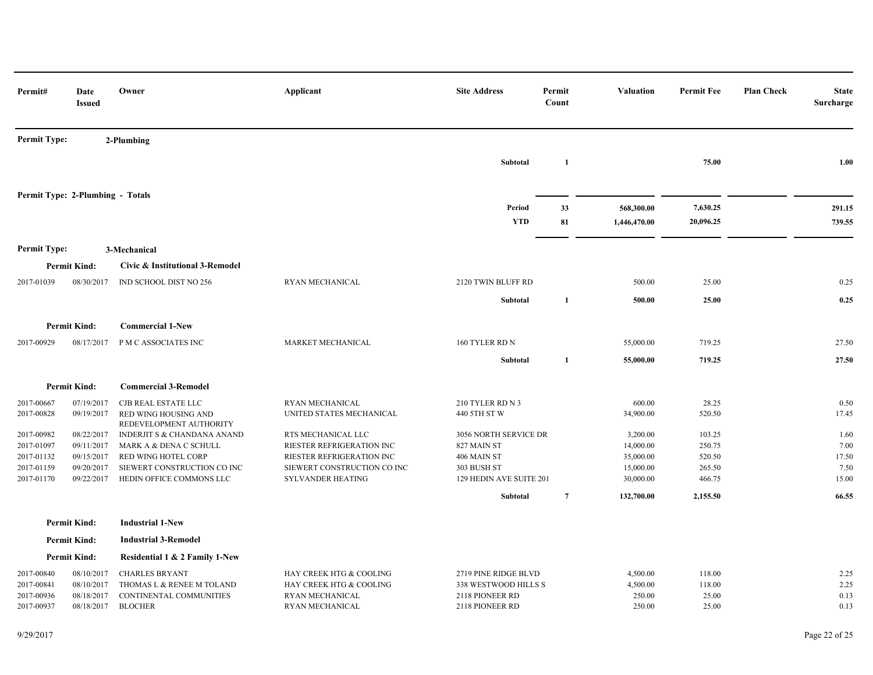| Permit#                          | Date<br><b>Issued</b>    | Owner                                                  | Applicant                                                | <b>Site Address</b>                | Permit<br>Count | <b>Valuation</b>           | <b>Permit Fee</b>     | <b>Plan Check</b> | <b>State</b><br>Surcharge |
|----------------------------------|--------------------------|--------------------------------------------------------|----------------------------------------------------------|------------------------------------|-----------------|----------------------------|-----------------------|-------------------|---------------------------|
| <b>Permit Type:</b>              |                          | 2-Plumbing                                             |                                                          |                                    |                 |                            |                       |                   |                           |
|                                  |                          |                                                        |                                                          | Subtotal                           | 1               |                            | 75.00                 |                   | 1.00                      |
| Permit Type: 2-Plumbing - Totals |                          |                                                        |                                                          |                                    |                 |                            |                       |                   |                           |
|                                  |                          |                                                        |                                                          | Period<br><b>YTD</b>               | 33<br>81        | 568,300.00<br>1,446,470.00 | 7,630.25<br>20,096.25 |                   | 291.15<br>739.55          |
| <b>Permit Type:</b>              |                          | 3-Mechanical                                           |                                                          |                                    |                 |                            |                       |                   |                           |
|                                  | <b>Permit Kind:</b>      | Civic & Institutional 3-Remodel                        |                                                          |                                    |                 |                            |                       |                   |                           |
| 2017-01039                       | 08/30/2017               | IND SCHOOL DIST NO 256                                 | RYAN MECHANICAL                                          | 2120 TWIN BLUFF RD                 |                 | 500.00                     | 25.00                 |                   | 0.25                      |
|                                  |                          |                                                        |                                                          | Subtotal                           | 1               | 500.00                     | 25.00                 |                   | 0.25                      |
|                                  | <b>Permit Kind:</b>      | <b>Commercial 1-New</b>                                |                                                          |                                    |                 |                            |                       |                   |                           |
| 2017-00929                       | 08/17/2017               | P M C ASSOCIATES INC                                   | MARKET MECHANICAL                                        | 160 TYLER RD N                     |                 | 55,000.00                  | 719.25                |                   | 27.50                     |
|                                  |                          |                                                        |                                                          | Subtotal                           | 1               | 55,000.00                  | 719.25                |                   | 27.50                     |
|                                  | <b>Permit Kind:</b>      | <b>Commercial 3-Remodel</b>                            |                                                          |                                    |                 |                            |                       |                   |                           |
| 2017-00667                       | 07/19/2017               | CJB REAL ESTATE LLC                                    | RYAN MECHANICAL                                          | 210 TYLER RD N 3                   |                 | 600.00                     | 28.25                 |                   | 0.50                      |
| 2017-00828                       | 09/19/2017               | <b>RED WING HOUSING AND</b><br>REDEVELOPMENT AUTHORITY | UNITED STATES MECHANICAL                                 | 440 5TH ST W                       |                 | 34,900.00                  | 520.50                |                   | 17.45                     |
| 2017-00982                       | 08/22/2017               | INDERJIT S & CHANDANA ANAND                            | RTS MECHANICAL LLC                                       | 3056 NORTH SERVICE DR              |                 | 3,200.00                   | 103.25                |                   | 1.60                      |
| 2017-01097                       | 09/11/2017               | MARK A & DENA C SCHULL                                 | RIESTER REFRIGERATION INC                                | 827 MAIN ST                        |                 | 14,000.00                  | 250.75                |                   | 7.00                      |
| 2017-01132<br>2017-01159         | 09/15/2017<br>09/20/2017 | RED WING HOTEL CORP<br>SIEWERT CONSTRUCTION CO INC     | RIESTER REFRIGERATION INC<br>SIEWERT CONSTRUCTION CO INC | 406 MAIN ST<br>303 BUSH ST         |                 | 35,000.00<br>15,000.00     | 520.50<br>265.50      |                   | 17.50<br>7.50             |
| 2017-01170                       | 09/22/2017               | HEDIN OFFICE COMMONS LLC                               | <b>SYLVANDER HEATING</b>                                 | 129 HEDIN AVE SUITE 201            |                 | 30,000.00                  | 466.75                |                   | 15.00                     |
|                                  |                          |                                                        |                                                          | Subtotal                           | $\overline{7}$  | 132,700.00                 | 2,155.50              |                   | 66.55                     |
|                                  | <b>Permit Kind:</b>      | <b>Industrial 1-New</b>                                |                                                          |                                    |                 |                            |                       |                   |                           |
|                                  | <b>Permit Kind:</b>      | <b>Industrial 3-Remodel</b>                            |                                                          |                                    |                 |                            |                       |                   |                           |
|                                  | <b>Permit Kind:</b>      | Residential 1 & 2 Family 1-New                         |                                                          |                                    |                 |                            |                       |                   |                           |
| 2017-00840                       | 08/10/2017               | <b>CHARLES BRYANT</b>                                  | HAY CREEK HTG & COOLING                                  | 2719 PINE RIDGE BLVD               |                 | 4,500.00                   | 118.00                |                   | 2.25                      |
| 2017-00841                       | 08/10/2017               | THOMAS L & RENEE M TOLAND                              | HAY CREEK HTG & COOLING                                  | 338 WESTWOOD HILLS S               |                 | 4,500.00                   | 118.00                |                   | 2.25                      |
| 2017-00936<br>2017-00937         | 08/18/2017<br>08/18/2017 | CONTINENTAL COMMUNITIES<br><b>BLOCHER</b>              | RYAN MECHANICAL<br>RYAN MECHANICAL                       | 2118 PIONEER RD<br>2118 PIONEER RD |                 | 250.00<br>250.00           | 25.00<br>25.00        |                   | 0.13<br>0.13              |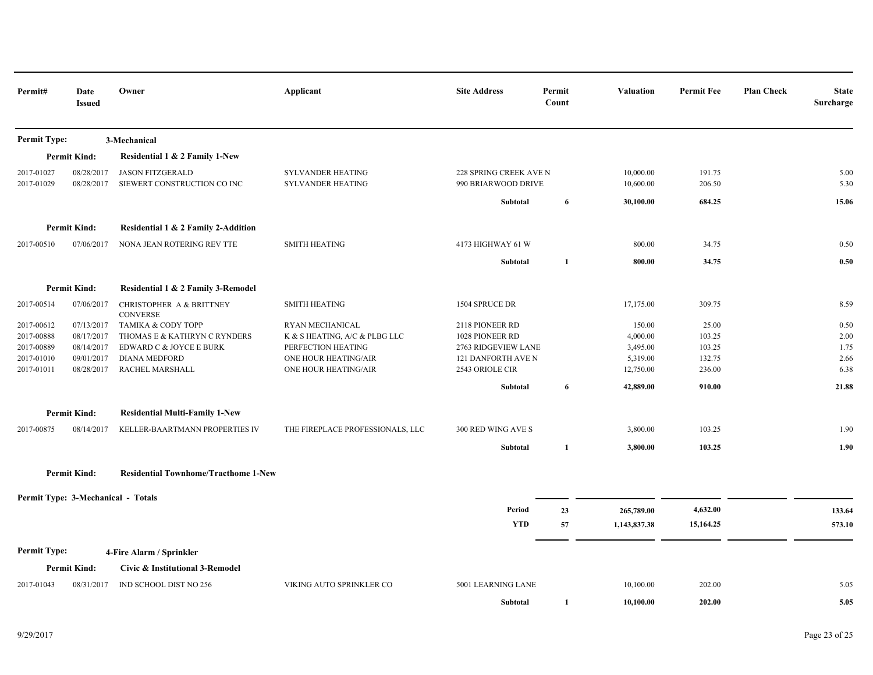| Permit#                  | Date<br><b>Issued</b>              | Owner                                                  | Applicant                                     | <b>Site Address</b>                           | Permit<br>Count | Valuation              | <b>Permit Fee</b> | <b>Plan Check</b> | <b>State</b><br>Surcharge |
|--------------------------|------------------------------------|--------------------------------------------------------|-----------------------------------------------|-----------------------------------------------|-----------------|------------------------|-------------------|-------------------|---------------------------|
| Permit Type:             |                                    | 3-Mechanical                                           |                                               |                                               |                 |                        |                   |                   |                           |
|                          | <b>Permit Kind:</b>                | Residential 1 & 2 Family 1-New                         |                                               |                                               |                 |                        |                   |                   |                           |
| 2017-01027<br>2017-01029 | 08/28/2017<br>08/28/2017           | <b>JASON FITZGERALD</b><br>SIEWERT CONSTRUCTION CO INC | SYLVANDER HEATING<br><b>SYLVANDER HEATING</b> | 228 SPRING CREEK AVE N<br>990 BRIARWOOD DRIVE |                 | 10,000.00<br>10,600.00 | 191.75<br>206.50  |                   | 5.00<br>5.30              |
|                          |                                    |                                                        |                                               | Subtotal                                      | 6               | 30,100.00              | 684.25            |                   | 15.06                     |
|                          |                                    |                                                        |                                               |                                               |                 |                        |                   |                   |                           |
|                          | <b>Permit Kind:</b>                | Residential 1 & 2 Family 2-Addition                    |                                               |                                               |                 |                        |                   |                   |                           |
| 2017-00510               | 07/06/2017                         | NONA JEAN ROTERING REV TTE                             | <b>SMITH HEATING</b>                          | 4173 HIGHWAY 61 W                             |                 | 800.00                 | 34.75             |                   | 0.50                      |
|                          |                                    |                                                        |                                               | Subtotal                                      | $\mathbf{1}$    | 800.00                 | 34.75             |                   | 0.50                      |
|                          | <b>Permit Kind:</b>                | Residential 1 & 2 Family 3-Remodel                     |                                               |                                               |                 |                        |                   |                   |                           |
| 2017-00514               | 07/06/2017                         | CHRISTOPHER A & BRITTNEY<br><b>CONVERSE</b>            | <b>SMITH HEATING</b>                          | 1504 SPRUCE DR                                |                 | 17,175.00              | 309.75            |                   | 8.59                      |
| 2017-00612               | 07/13/2017                         | TAMIKA & CODY TOPP                                     | RYAN MECHANICAL                               | 2118 PIONEER RD                               |                 | 150.00                 | 25.00             |                   | 0.50                      |
| 2017-00888               | 08/17/2017                         | THOMAS E & KATHRYN C RYNDERS                           | K & S HEATING, A/C & PLBG LLC                 | 1028 PIONEER RD                               |                 | 4,000.00               | 103.25            |                   | 2.00                      |
| 2017-00889               | 08/14/2017                         | EDWARD C & JOYCE E BURK                                | PERFECTION HEATING                            | 2763 RIDGEVIEW LANE                           |                 | 3,495.00               | 103.25            |                   | 1.75                      |
| 2017-01010               | 09/01/2017                         | <b>DIANA MEDFORD</b>                                   | ONE HOUR HEATING/AIR                          | 121 DANFORTH AVE N                            |                 | 5,319.00               | 132.75            |                   | 2.66                      |
| 2017-01011               | 08/28/2017                         | RACHEL MARSHALL                                        | ONE HOUR HEATING/AIR                          | 2543 ORIOLE CIR                               |                 | 12,750.00              | 236.00            |                   | 6.38                      |
|                          |                                    |                                                        |                                               | Subtotal                                      | 6               | 42,889.00              | 910.00            |                   | 21.88                     |
|                          | <b>Permit Kind:</b>                | <b>Residential Multi-Family 1-New</b>                  |                                               |                                               |                 |                        |                   |                   |                           |
| 2017-00875               | 08/14/2017                         | KELLER-BAARTMANN PROPERTIES IV                         | THE FIREPLACE PROFESSIONALS, LLC              | 300 RED WING AVE S                            |                 | 3,800.00               | 103.25            |                   | 1.90                      |
|                          |                                    |                                                        |                                               | Subtotal                                      | 1               | 3,800.00               | 103.25            |                   | 1.90                      |
|                          | <b>Permit Kind:</b>                | <b>Residential Townhome/Tracthome 1-New</b>            |                                               |                                               |                 |                        |                   |                   |                           |
|                          | Permit Type: 3-Mechanical - Totals |                                                        |                                               |                                               |                 |                        |                   |                   |                           |
|                          |                                    |                                                        |                                               | Period                                        | 23              | 265,789.00             | 4,632.00          |                   | 133.64                    |
|                          |                                    |                                                        |                                               | <b>YTD</b>                                    | 57              | 1,143,837.38           | 15,164.25         |                   | 573.10                    |
| <b>Permit Type:</b>      |                                    | 4-Fire Alarm / Sprinkler                               |                                               |                                               |                 |                        |                   |                   |                           |
|                          | <b>Permit Kind:</b>                | Civic & Institutional 3-Remodel                        |                                               |                                               |                 |                        |                   |                   |                           |
| 2017-01043               | 08/31/2017                         | IND SCHOOL DIST NO 256                                 | VIKING AUTO SPRINKLER CO                      | 5001 LEARNING LANE                            |                 | 10,100.00              | 202.00            |                   | 5.05                      |
|                          |                                    |                                                        |                                               | Subtotal                                      | 1               | 10,100.00              | 202.00            |                   | 5.05                      |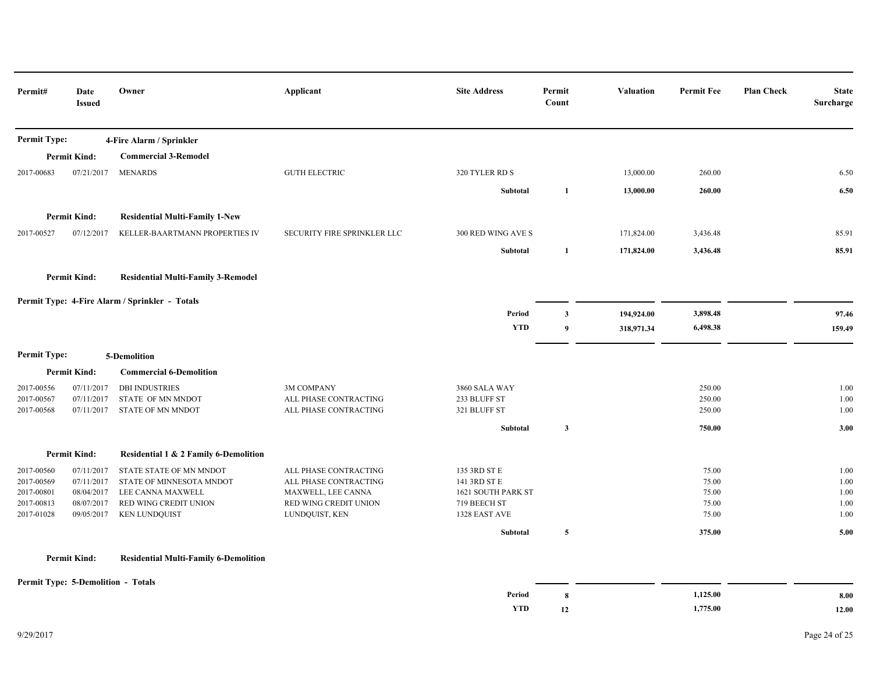| Permit#                  | Date<br><b>Issued</b>                     | Owner                                          | Applicant                                      | <b>Site Address</b>          | Permit<br>Count  | <b>Valuation</b> | <b>Permit Fee</b> | <b>Plan Check</b><br>Surcharge | <b>State</b> |
|--------------------------|-------------------------------------------|------------------------------------------------|------------------------------------------------|------------------------------|------------------|------------------|-------------------|--------------------------------|--------------|
| <b>Permit Type:</b>      |                                           | 4-Fire Alarm / Sprinkler                       |                                                |                              |                  |                  |                   |                                |              |
|                          | <b>Permit Kind:</b>                       | <b>Commercial 3-Remodel</b>                    |                                                |                              |                  |                  |                   |                                |              |
| 2017-00683               | 07/21/2017                                | <b>MENARDS</b>                                 | <b>GUTH ELECTRIC</b>                           | 320 TYLER RD S               |                  | 13,000.00        | 260.00            |                                | 6.50         |
|                          |                                           |                                                |                                                | Subtotal                     | $\mathbf{1}$     | 13,000.00        | 260.00            |                                | 6.50         |
|                          | <b>Permit Kind:</b>                       | <b>Residential Multi-Family 1-New</b>          |                                                |                              |                  |                  |                   |                                |              |
| 2017-00527               | 07/12/2017                                | KELLER-BAARTMANN PROPERTIES IV                 | SECURITY FIRE SPRINKLER LLC                    | 300 RED WING AVE S           |                  | 171,824.00       | 3,436.48          |                                | 85.91        |
|                          |                                           |                                                |                                                | Subtotal                     | 1                | 171,824.00       | 3,436.48          |                                | 85.91        |
|                          | <b>Permit Kind:</b>                       | <b>Residential Multi-Family 3-Remodel</b>      |                                                |                              |                  |                  |                   |                                |              |
|                          |                                           | Permit Type: 4-Fire Alarm / Sprinkler - Totals |                                                |                              |                  |                  |                   |                                |              |
|                          |                                           |                                                |                                                | Period                       | $\mathbf{3}$     | 194,924.00       | 3,898.48          |                                | 97.46        |
|                          |                                           |                                                |                                                | <b>YTD</b>                   | $\boldsymbol{9}$ | 318,971.34       | 6,498.38          |                                | 159.49       |
| <b>Permit Type:</b>      |                                           | 5-Demolition                                   |                                                |                              |                  |                  |                   |                                |              |
|                          | <b>Permit Kind:</b>                       | <b>Commercial 6-Demolition</b>                 |                                                |                              |                  |                  |                   |                                |              |
| 2017-00556               | 07/11/2017                                | <b>DBI INDUSTRIES</b>                          | 3M COMPANY                                     | 3860 SALA WAY                |                  |                  | 250.00            |                                | 1.00         |
| 2017-00567<br>2017-00568 | 07/11/2017<br>07/11/2017                  | STATE OF MN MNDOT<br>STATE OF MN MNDOT         | ALL PHASE CONTRACTING<br>ALL PHASE CONTRACTING | 233 BLUFF ST<br>321 BLUFF ST |                  |                  | 250.00<br>250.00  |                                | 1.00<br>1.00 |
|                          |                                           |                                                |                                                | Subtotal                     | $\mathbf{3}$     |                  | 750.00            |                                | 3.00         |
|                          | <b>Permit Kind:</b>                       | Residential 1 & 2 Family 6-Demolition          |                                                |                              |                  |                  |                   |                                |              |
| 2017-00560               | 07/11/2017                                | STATE STATE OF MN MNDOT                        | ALL PHASE CONTRACTING                          | 135 3RD ST E                 |                  |                  | 75.00             |                                | 1.00         |
| 2017-00569               | 07/11/2017                                | STATE OF MINNESOTA MNDOT                       | ALL PHASE CONTRACTING                          | 141 3RD ST E                 |                  |                  | 75.00             |                                | 1.00         |
| 2017-00801               | 08/04/2017                                | LEE CANNA MAXWELL                              | MAXWELL, LEE CANNA                             | 1621 SOUTH PARK ST           |                  |                  | 75.00             |                                | 1.00         |
| 2017-00813               | 08/07/2017                                | RED WING CREDIT UNION                          | RED WING CREDIT UNION                          | 719 BEECH ST                 |                  |                  | 75.00             |                                | 1.00         |
| 2017-01028               | 09/05/2017                                | <b>KEN LUNDQUIST</b>                           | LUNDQUIST, KEN                                 | 1328 EAST AVE                |                  |                  | 75.00             |                                | 1.00         |
|                          |                                           |                                                |                                                | Subtotal                     | $\overline{5}$   |                  | 375.00            |                                | 5.00         |
|                          | <b>Permit Kind:</b>                       | <b>Residential Multi-Family 6-Demolition</b>   |                                                |                              |                  |                  |                   |                                |              |
|                          | <b>Permit Type: 5-Demolition - Totals</b> |                                                |                                                |                              |                  |                  |                   |                                |              |
|                          |                                           |                                                |                                                | Period                       | 8                |                  | 1,125.00          |                                | 8.00         |
|                          |                                           |                                                |                                                | <b>YTD</b>                   | 12               |                  | 1,775.00          |                                | 12.00        |